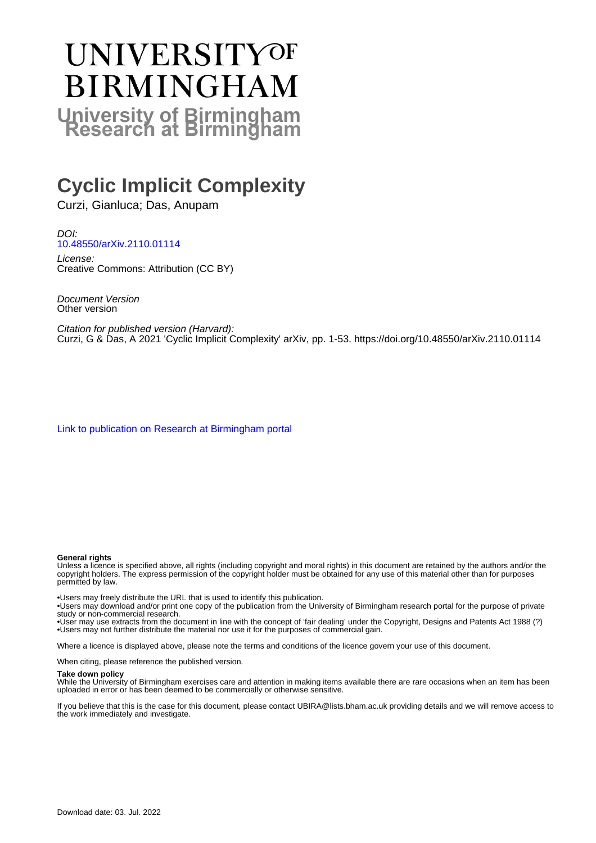# **UNIVERSITYOF BIRMINGHAM University of Birmingham**

## **Cyclic Implicit Complexity**

Curzi, Gianluca; Das, Anupam

DOI: [10.48550/arXiv.2110.01114](https://doi.org/10.48550/arXiv.2110.01114)

License: Creative Commons: Attribution (CC BY)

Document Version Other version

Citation for published version (Harvard): Curzi, G & Das, A 2021 'Cyclic Implicit Complexity' arXiv, pp. 1-53. <https://doi.org/10.48550/arXiv.2110.01114>

[Link to publication on Research at Birmingham portal](https://birmingham.elsevierpure.com/en/publications/9442b633-dc06-4207-9bf4-13e8cb666c8a)

#### **General rights**

Unless a licence is specified above, all rights (including copyright and moral rights) in this document are retained by the authors and/or the copyright holders. The express permission of the copyright holder must be obtained for any use of this material other than for purposes permitted by law.

• Users may freely distribute the URL that is used to identify this publication.

• Users may download and/or print one copy of the publication from the University of Birmingham research portal for the purpose of private study or non-commercial research.

• User may use extracts from the document in line with the concept of 'fair dealing' under the Copyright, Designs and Patents Act 1988 (?) • Users may not further distribute the material nor use it for the purposes of commercial gain.

Where a licence is displayed above, please note the terms and conditions of the licence govern your use of this document.

When citing, please reference the published version.

#### **Take down policy**

While the University of Birmingham exercises care and attention in making items available there are rare occasions when an item has been uploaded in error or has been deemed to be commercially or otherwise sensitive.

If you believe that this is the case for this document, please contact UBIRA@lists.bham.ac.uk providing details and we will remove access to the work immediately and investigate.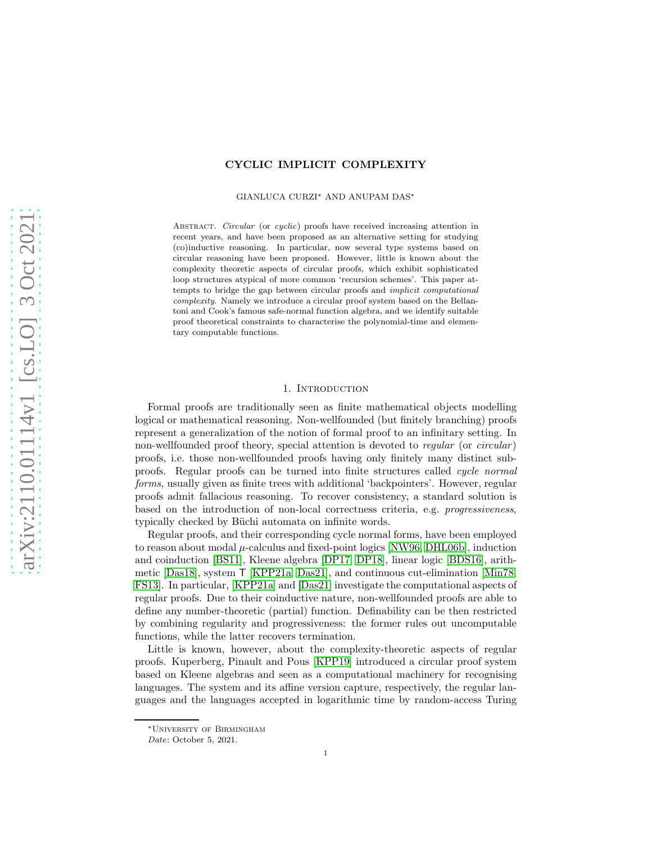#### CYCLIC IMPLICIT COMPLEXITY

GIANLUCA CURZI<sup>∗</sup> AND ANUPAM DAS<sup>∗</sup>

Abstract. *Circular* (or *cyclic*) proofs have received increasing attention in recent years, and have been proposed as an alternative setting for studying (co)inductive reasoning. In particular, now several type systems based on circular reasoning have been proposed. However, little is known about the complexity theoretic aspects of circular proofs, which exhibit sophisticated loop structures atypical of more common 'recursion schemes'. This paper attempts to bridge the gap between circular proofs and *implicit computational complexity*. Namely we introduce a circular proof system based on the Bellantoni and Cook's famous safe-normal function algebra, and we identify suitable proof theoretical constraints to characterise the polynomial-time and elementary computable functions.

#### 1. INTRODUCTION

Formal proofs are traditionally seen as finite mathematical objects modelling logical or mathematical reasoning. Non-wellfounded (but finitely branching) proofs represent a generalization of the notion of formal proof to an infinitary setting. In non-wellfounded proof theory, special attention is devoted to regular (or circular) proofs, i.e. those non-wellfounded proofs having only finitely many distinct subproofs. Regular proofs can be turned into finite structures called cycle normal forms, usually given as finite trees with additional 'backpointers'. However, regular proofs admit fallacious reasoning. To recover consistency, a standard solution is based on the introduction of non-local correctness criteria, e.g. progressiveness, typically checked by Büchi automata on infinite words.

Regular proofs, and their corresponding cycle normal forms, have been employed to reason about modal  $\mu$ -calculus and fixed-point logics [\[NW96,](#page-39-0) [DHL06b\]](#page-38-0), induction and coinduction [\[BS11\]](#page-37-0), Kleene algebra [\[DP17,](#page-38-1) [DP18\]](#page-38-2), linear logic [\[BDS16\]](#page-37-1), arithmetic [\[Das18\]](#page-37-2), system T [\[KPP21a,](#page-38-3) [Das21\]](#page-37-3), and continuous cut-elimination [\[Min78,](#page-38-4) [FS13\]](#page-38-5). In particular, [\[KPP21a\]](#page-38-3) and [\[Das21\]](#page-37-3) investigate the computational aspects of regular proofs. Due to their coinductive nature, non-wellfounded proofs are able to define any number-theoretic (partial) function. Definability can be then restricted by combining regularity and progressiveness: the former rules out uncomputable functions, while the latter recovers termination.

Little is known, however, about the complexity-theoretic aspects of regular proofs. Kuperberg, Pinault and Pous [\[KPP19\]](#page-38-6) introduced a circular proof system based on Kleene algebras and seen as a computational machinery for recognising languages. The system and its affine version capture, respectively, the regular languages and the languages accepted in logarithmic time by random-access Turing

<sup>∗</sup>University of Birmingham

*Date*: October 5, 2021.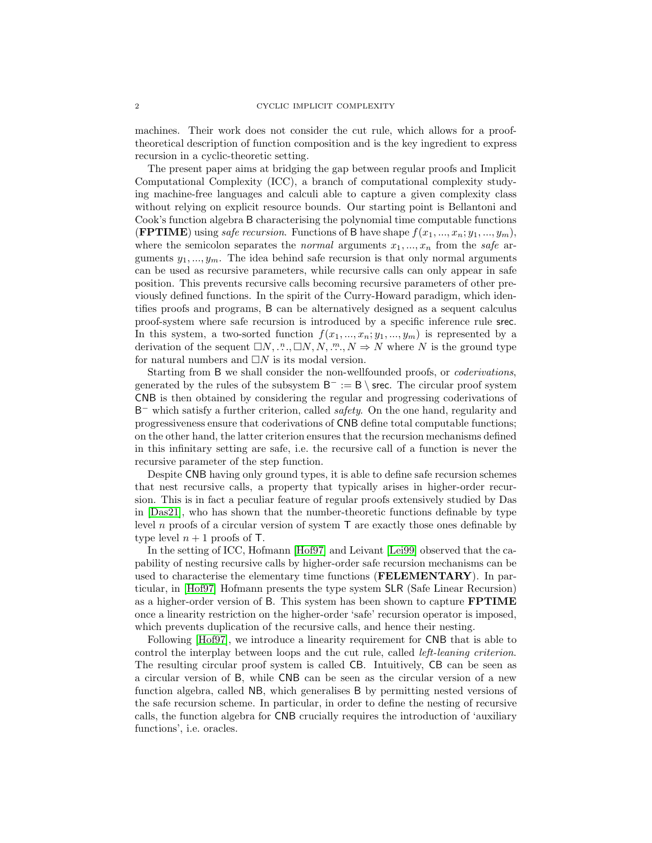machines. Their work does not consider the cut rule, which allows for a prooftheoretical description of function composition and is the key ingredient to express recursion in a cyclic-theoretic setting.

The present paper aims at bridging the gap between regular proofs and Implicit Computational Complexity (ICC), a branch of computational complexity studying machine-free languages and calculi able to capture a given complexity class without relying on explicit resource bounds. Our starting point is Bellantoni and Cook's function algebra B characterising the polynomial time computable functions (FPTIME) using *safe recursion*. Functions of B have shape  $f(x_1, ..., x_n; y_1, ..., y_m)$ , where the semicolon separates the *normal* arguments  $x_1, ..., x_n$  from the safe arguments  $y_1, \ldots, y_m$ . The idea behind safe recursion is that only normal arguments can be used as recursive parameters, while recursive calls can only appear in safe position. This prevents recursive calls becoming recursive parameters of other previously defined functions. In the spirit of the Curry-Howard paradigm, which identifies proofs and programs, B can be alternatively designed as a sequent calculus proof-system where safe recursion is introduced by a specific inference rule srec. In this system, a two-sorted function  $f(x_1, ..., x_n; y_1, ..., y_m)$  is represented by a derivation of the sequent  $\Box N, \ldots, \Box N, N, \ldots, N \Rightarrow N$  where N is the ground type for natural numbers and  $\Box N$  is its modal version.

Starting from B we shall consider the non-wellfounded proofs, or coderivations, generated by the rules of the subsystem  $B^- := B \setminus$  srec. The circular proof system CNB is then obtained by considering the regular and progressing coderivations of B <sup>−</sup> which satisfy a further criterion, called safety. On the one hand, regularity and progressiveness ensure that coderivations of CNB define total computable functions; on the other hand, the latter criterion ensures that the recursion mechanisms defined in this infinitary setting are safe, i.e. the recursive call of a function is never the recursive parameter of the step function.

Despite CNB having only ground types, it is able to define safe recursion schemes that nest recursive calls, a property that typically arises in higher-order recursion. This is in fact a peculiar feature of regular proofs extensively studied by Das in [\[Das21\]](#page-37-3), who has shown that the number-theoretic functions definable by type level n proofs of a circular version of system  $\mathsf T$  are exactly those ones definable by type level  $n + 1$  proofs of T.

In the setting of ICC, Hofmann [\[Hof97\]](#page-38-7) and Leivant [\[Lei99\]](#page-38-8) observed that the capability of nesting recursive calls by higher-order safe recursion mechanisms can be used to characterise the elementary time functions (FELEMENTARY). In particular, in [\[Hof97\]](#page-38-7) Hofmann presents the type system SLR (Safe Linear Recursion) as a higher-order version of B. This system has been shown to capture FPTIME once a linearity restriction on the higher-order 'safe' recursion operator is imposed, which prevents duplication of the recursive calls, and hence their nesting.

Following [\[Hof97\]](#page-38-7), we introduce a linearity requirement for CNB that is able to control the interplay between loops and the cut rule, called left-leaning criterion. The resulting circular proof system is called CB. Intuitively, CB can be seen as a circular version of B, while CNB can be seen as the circular version of a new function algebra, called NB, which generalises B by permitting nested versions of the safe recursion scheme. In particular, in order to define the nesting of recursive calls, the function algebra for CNB crucially requires the introduction of 'auxiliary functions', i.e. oracles.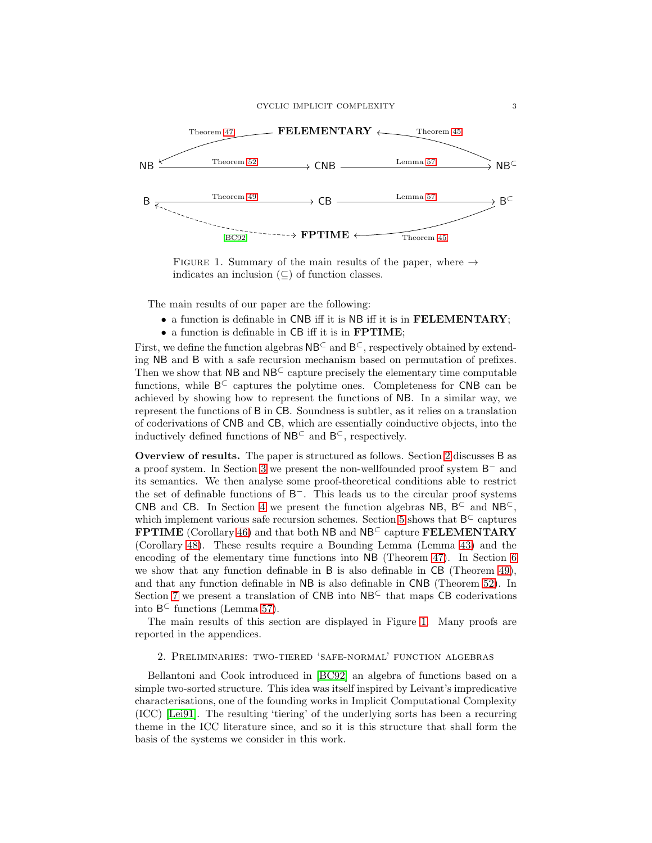

<span id="page-3-1"></span>FIGURE 1. Summary of the main results of the paper, where  $\rightarrow$ indicates an inclusion  $(\subseteq)$  of function classes.

The main results of our paper are the following:

- a function is definable in CNB iff it is NB iff it is in FELEMENTARY;
- a function is definable in CB iff it is in FPTIME;

First, we define the function algebras  $NB<sup>C</sup>$  and  $B<sup>C</sup>$ , respectively obtained by extending NB and B with a safe recursion mechanism based on permutation of prefixes. Then we show that  $NB$  and  $NB<sup>C</sup>$  capture precisely the elementary time computable functions, while B⊂ captures the polytime ones. Completeness for CNB can be achieved by showing how to represent the functions of NB. In a similar way, we represent the functions of B in CB. Soundness is subtler, as it relies on a translation of coderivations of CNB and CB, which are essentially coinductive objects, into the inductively defined functions of  $NB<sup>C</sup>$  and  $B<sup>C</sup>$ , respectively.

Overview of results. The paper is structured as follows. Section [2](#page-3-0) discusses B as a proof system. In Section [3](#page-8-0) we present the non-wellfounded proof system  $B^-$  and its semantics. We then analyse some proof-theoretical conditions able to restrict the set of definable functions of B <sup>−</sup>. This leads us to the circular proof systems CNB and CB. In Section [4](#page-17-0) we present the function algebras NB,  $B^{\subset}$  and NB<sup> $\subset$ </sup>, which implement various safe recursion schemes. Section [5](#page-22-0) shows that  $B^{\subset}$  captures FPTIME (Corollary [46\)](#page-26-0) and that both NB and NB<sup>⊂</sup> capture FELEMENTARY (Corollary [48\)](#page-27-1). These results require a Bounding Lemma (Lemma [43\)](#page-22-1) and the encoding of the elementary time functions into NB (Theorem [47\)](#page-27-0). In Section [6](#page-27-2) we show that any function definable in B is also definable in CB (Theorem [49\)](#page-28-0), and that any function definable in NB is also definable in CNB (Theorem [52\)](#page-30-0). In Section [7](#page-32-0) we present a translation of  $CNB$  into  $NB<sup>C</sup>$  that maps CB coderivations into  $B^{\subset}$  functions (Lemma [57\)](#page-33-0).

<span id="page-3-0"></span>The main results of this section are displayed in Figure [1.](#page-3-1) Many proofs are reported in the appendices.

2. Preliminaries: two-tiered 'safe-normal' function algebras

Bellantoni and Cook introduced in [\[BC92\]](#page-37-4) an algebra of functions based on a simple two-sorted structure. This idea was itself inspired by Leivant's impredicative characterisations, one of the founding works in Implicit Computational Complexity (ICC) [\[Lei91\]](#page-38-9). The resulting 'tiering' of the underlying sorts has been a recurring theme in the ICC literature since, and so it is this structure that shall form the basis of the systems we consider in this work.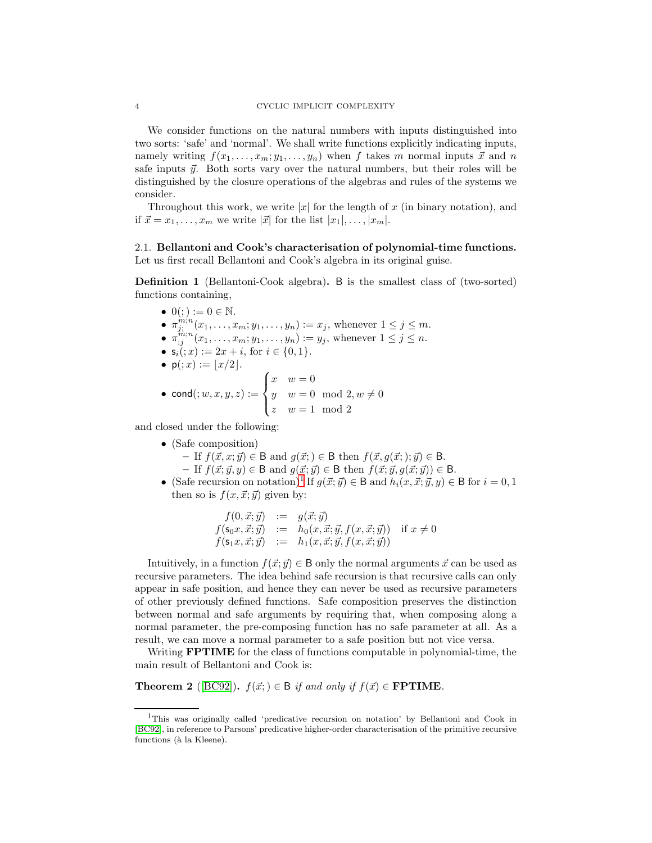We consider functions on the natural numbers with inputs distinguished into two sorts: 'safe' and 'normal'. We shall write functions explicitly indicating inputs, namely writing  $f(x_1, \ldots, x_m; y_1, \ldots, y_n)$  when f takes m normal inputs  $\vec{x}$  and n safe inputs  $\vec{y}$ . Both sorts vary over the natural numbers, but their roles will be distinguished by the closure operations of the algebras and rules of the systems we consider.

Throughout this work, we write |x| for the length of x (in binary notation), and if  $\vec{x} = x_1, \ldots, x_m$  we write  $|\vec{x}|$  for the list  $|x_1|, \ldots, |x_m|$ .

### 2.1. Bellantoni and Cook's characterisation of polynomial-time functions. Let us first recall Bellantoni and Cook's algebra in its original guise.

Definition 1 (Bellantoni-Cook algebra). B is the smallest class of (two-sorted) functions containing,

\n- \n
$$
0(0;):=0 \in \mathbb{N}.
$$
\n
\n- \n $\pi_{j;}^{m;n}(x_1, \ldots, x_m; y_1, \ldots, y_n) := x_j$ , whenever  $1 \leq j \leq m$ .\n
\n- \n $\pi_{j;}^{m;n}(x_1, \ldots, x_m; y_1, \ldots, y_n) := y_j$ , whenever  $1 \leq j \leq n$ .\n
\n- \n $s_i(0; x) := 2x + i$ , for  $i \in \{0, 1\}$ .\n
\n- \n $p(i; x) := \lfloor x/2 \rfloor.$ \n
\n- \n $p(i; x) := \lfloor x/2 \rfloor.$ \n
\n- \n $y \leq w = 0 \mod 2, w \neq 0$ \n
\n- \n $w = 1 \mod 2$ \n
\n

and closed under the following:

- (Safe composition)
	- If  $f(\vec{x}, x; \vec{y}) \in \mathsf{B}$  and  $g(\vec{x}; ) \in \mathsf{B}$  then  $f(\vec{x}, g(\vec{x}; ); \vec{y}) \in \mathsf{B}$ .
	- If  $f(\vec{x}; \vec{y}, y) \in \mathsf{B}$  and  $g(\vec{x}; \vec{y}) \in \mathsf{B}$  then  $f(\vec{x}; \vec{y}, g(\vec{x}; \vec{y})) \in \mathsf{B}$ .
- (Safe recursion on notation)<sup>[1](#page-4-0)</sup> If  $g(\vec{x}; \vec{y}) \in \mathsf{B}$  and  $h_i(x, \vec{x}; \vec{y}, y) \in \mathsf{B}$  for  $i = 0, 1$ then so is  $f(x, \vec{x}; \vec{y})$  given by:

$$
f(0, \vec{x}; \vec{y}) := g(\vec{x}; \vec{y}) f(\mathbf{s}_0 x, \vec{x}; \vec{y}) := h_0(x, \vec{x}; \vec{y}, f(x, \vec{x}; \vec{y})) \text{ if } x \neq 0 f(\mathbf{s}_1 x, \vec{x}; \vec{y}) := h_1(x, \vec{x}; \vec{y}, f(x, \vec{x}; \vec{y}))
$$

Intuitively, in a function  $f(\vec{x}; \vec{y}) \in \mathsf{B}$  only the normal arguments  $\vec{x}$  can be used as recursive parameters. The idea behind safe recursion is that recursive calls can only appear in safe position, and hence they can never be used as recursive parameters of other previously defined functions. Safe composition preserves the distinction between normal and safe arguments by requiring that, when composing along a normal parameter, the pre-composing function has no safe parameter at all. As a result, we can move a normal parameter to a safe position but not vice versa.

<span id="page-4-1"></span>Writing **FPTIME** for the class of functions computable in polynomial-time, the main result of Bellantoni and Cook is:

**Theorem 2** ([\[BC92\]](#page-37-4)).  $f(\vec{x};) \in \mathcal{B}$  if and only if  $f(\vec{x}) \in \textbf{FPTIME}$ .

<span id="page-4-0"></span><sup>1</sup>This was originally called 'predicative recursion on notation' by Bellantoni and Cook in [\[BC92\]](#page-37-4), in reference to Parsons' predicative higher-order characterisation of the primitive recursive functions (à la Kleene).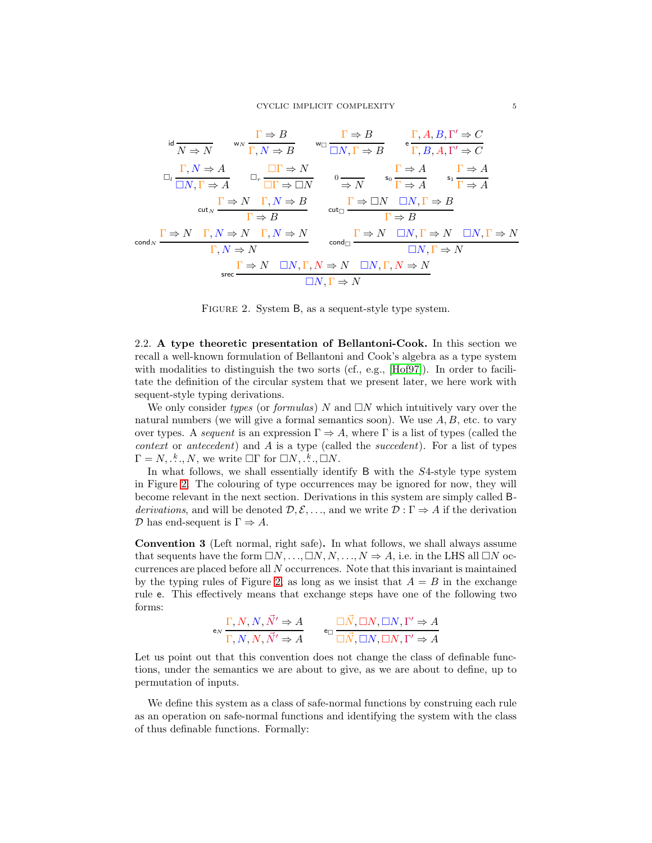$$
\operatorname{ind}_{N} \frac{\Gamma \Rightarrow B}{N \Rightarrow N} \quad \text{w}_{N} \frac{\Gamma \Rightarrow B}{\Gamma, N \Rightarrow B} \quad \text{w}_{\Box} \frac{\Gamma \Rightarrow B}{\Box N, \Gamma \Rightarrow B} \quad \operatorname{e} \frac{\Gamma, A, B, \Gamma' \Rightarrow C}{\Gamma, B, A, \Gamma' \Rightarrow C}
$$
\n
$$
\operatorname{Id}_{L} \frac{\Gamma, N \Rightarrow A}{\Box N, \Gamma \Rightarrow A} \quad \operatorname{Id}_{r} \frac{\Box \Gamma \Rightarrow N}{\Box \Gamma \Rightarrow \Box N} \quad \operatorname{O}_{\overline{\Rightarrow N}} \quad \operatorname{so}_{\mathbf{S}_{0}} \frac{\Gamma \Rightarrow A}{\Gamma \Rightarrow A} \quad \operatorname{s}_{1} \frac{\Gamma \Rightarrow A}{\Gamma \Rightarrow A}
$$
\n
$$
\operatorname{cut}_{N} \frac{\Gamma \Rightarrow N \quad \Gamma, N \Rightarrow B}{\Gamma \Rightarrow B} \quad \operatorname{cut}_{\Box} \frac{\Gamma \Rightarrow \Box N \quad \Box N, \Gamma \Rightarrow B}{\Gamma \Rightarrow B}
$$
\n
$$
\operatorname{cond}_{N} \frac{\Gamma \Rightarrow N \quad \Gamma, N \Rightarrow N \quad \Gamma, N \Rightarrow N}{\Gamma, N \Rightarrow N} \quad \operatorname{cond}_{\Box} \frac{\Gamma \Rightarrow N \quad \Box N, \Gamma \Rightarrow N \quad \Box N, \Gamma \Rightarrow N}{\Box N, \Gamma \Rightarrow N}
$$
\n
$$
\operatorname{src} \frac{\Gamma \Rightarrow N \quad \Box N, \Gamma, N \Rightarrow N \quad \Box N, \Gamma, N \Rightarrow N}{\Box N, \Gamma \Rightarrow N}
$$

<span id="page-5-0"></span>Figure 2. System B, as a sequent-style type system.

2.2. A type theoretic presentation of Bellantoni-Cook. In this section we recall a well-known formulation of Bellantoni and Cook's algebra as a type system with modalities to distinguish the two sorts (cf., e.g., [\[Hof97\]](#page-38-7)). In order to facilitate the definition of the circular system that we present later, we here work with sequent-style typing derivations.

We only consider types (or formulas) N and  $\Box N$  which intuitively vary over the natural numbers (we will give a formal semantics soon). We use  $A, B$ , etc. to vary over types. A sequent is an expression  $\Gamma \Rightarrow A$ , where  $\Gamma$  is a list of types (called the *context* or *antecedent*) and A is a type (called the *succedent*). For a list of types  $\Gamma = N, \dots, N$ , we write  $\Box \Gamma$  for  $\Box N, \dots, \Box N$ .

In what follows, we shall essentially identify B with the S4-style type system in Figure [2.](#page-5-0) The colouring of type occurrences may be ignored for now, they will become relevant in the next section. Derivations in this system are simply called Bderivations, and will be denoted  $\mathcal{D}, \mathcal{E}, \ldots$ , and we write  $\mathcal{D} : \Gamma \Rightarrow A$  if the derivation  $\mathcal D$  has end-sequent is  $\Gamma \Rightarrow A$ .

Convention 3 (Left normal, right safe). In what follows, we shall always assume that sequents have the form  $\Box N, \ldots, \Box N, N, \ldots, N \Rightarrow A$ , i.e. in the LHS all  $\Box N$  occurrences are placed before all N occurrences. Note that this invariant is maintained by the typing rules of Figure [2,](#page-5-0) as long as we insist that  $A = B$  in the exchange rule e. This effectively means that exchange steps have one of the following two forms:

$$
\mathsf{e}_N \frac{\Gamma, N, N, \vec{N}' \Rightarrow A}{\Gamma, N, N, \vec{N}' \Rightarrow A} \qquad \mathsf{e}_\Box \frac{\Box \vec{N}, \Box N, \Box N, \Gamma' \Rightarrow A}{\Box \vec{N}, \Box N, \Box N, \Gamma' \Rightarrow A}
$$

Let us point out that this convention does not change the class of definable functions, under the semantics we are about to give, as we are about to define, up to permutation of inputs.

<span id="page-5-1"></span>We define this system as a class of safe-normal functions by construing each rule as an operation on safe-normal functions and identifying the system with the class of thus definable functions. Formally: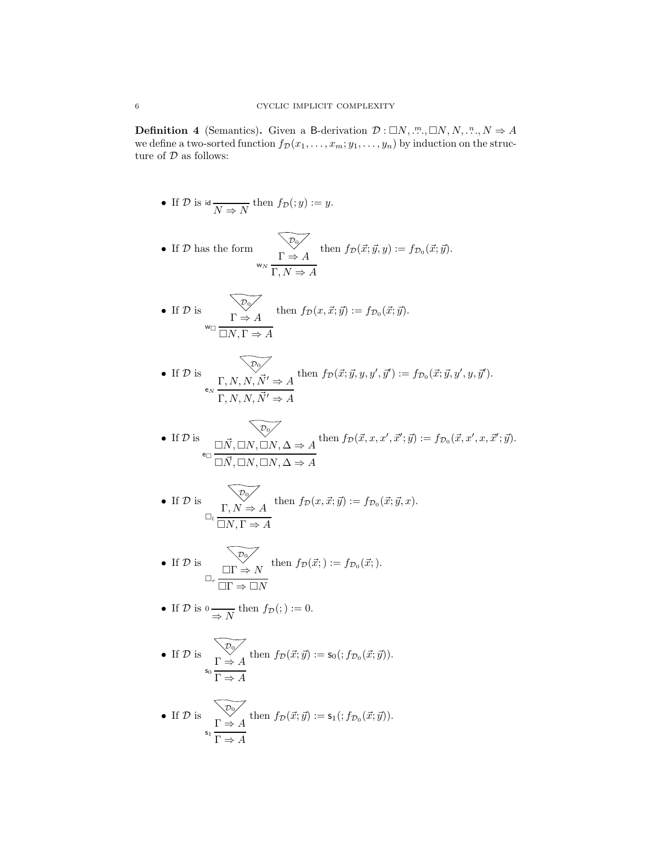**Definition 4** (Semantics). Given a B-derivation  $\mathcal{D}: \Box N, \dots, \Box N, N, \dots, N \Rightarrow A$ we define a two-sorted function  $f_D(x_1, \ldots, x_m; y_1, \ldots, y_n)$  by induction on the structure of  $\mathcal D$  as follows:

\n- If 
$$
\mathcal{D}
$$
 is id  $\overline{N \Rightarrow N}$  then  $f_{\mathcal{D}}(y) := y$ .
\n- If  $\mathcal{D}$  has the form\n 
$$
\overline{\sum_{w_N} \frac{\sum_{v \in \mathcal{D}} f(w, \vec{y}, y)}{\sum_{v \in \mathcal{D}} f(w, \vec{y}, y)}} = f_{\mathcal{D}_0}(\vec{x}; \vec{y}).
$$
\n
\n- If  $\mathcal{D}$  is\n 
$$
\overline{\sum_{w \in \mathcal{D}_0} \sum_{v \in \mathcal{D}_1} f(w, \vec{x}; \vec{y})} = f_{\mathcal{D}_0}(\vec{x}; \vec{y}).
$$
\n
\n- If  $\mathcal{D}$  is\n 
$$
\overline{\sum_{v \in \mathcal{D}_0} \sum_{v \in \mathcal{D}_1} f(w, \vec{y}, \vec{y})} = f_{\mathcal{D}_0}(\vec{x}; \vec{y}, y, y', \vec{y}')
$$
\n
\n- If  $\mathcal{D}$  is\n 
$$
\overline{\sum_{v \in \mathcal{D}_1} f(w, \vec{y}, y, \vec{y}')} = f_{\mathcal{D}_0}(\vec{x}; \vec{y}, y', y', \vec{y}')
$$
\n
\n

• If 
$$
\mathcal{D}
$$
 is  $\overline{\square N}$ ,  $\overline{\square N}$ ,  $\overline{\square N}$ ,  $\overline{\square N}$ ,  $\overline{\square N}$ ,  $\overline{\square N}$ ,  $\overline{\square N}$ ,  $\overline{\square N}$ ,  $\overline{\square N}$ ,  $\overline{\square N}$ ,  $\overline{\square N}$ ,  $\overline{\square N}$ ,  $\overline{\square N}$ ,  $\overline{\square N}$ ,  $\overline{\square N}$ ,  $\overline{\square N}$ ,  $\overline{\square N}$ ,  $\overline{\square N}$ ,  $\overline{\square N}$ 

• If 
$$
\mathcal{D}
$$
 is  $\overline{\prod_{l} \prod_{j} N_j} \neq A$  then  $f_{\mathcal{D}}(x, \vec{x}; \vec{y}) := f_{\mathcal{D}_0}(\vec{x}; \vec{y}, x)$ .

• If 
$$
\mathcal{D}
$$
 is  $\overline{\Box \Gamma} \Rightarrow N$  then  $f_{\mathcal{D}}(\vec{x};) := f_{\mathcal{D}_0}(\vec{x};)$ .

 $\overline{\phantom{a}}$ 

• If 
$$
\mathcal{D}
$$
 is  $0 \longrightarrow N$  then  $f_{\mathcal{D}}(t) := 0$ .

• If 
$$
\mathcal{D}
$$
 is  $\frac{\overline{\mathcal{D}_{0}}}{\Gamma \Rightarrow A}$  then  $f_{\mathcal{D}}(\vec{x}; \vec{y}) := s_{0}(:, f_{\mathcal{D}_{0}}(\vec{x}; \vec{y})).$ 

• If 
$$
\mathcal{D}
$$
 is  $\frac{\sum_{\mathcal{D}_{0}} \mathcal{D}_{0}}{\Gamma \Rightarrow A}$  then  $f_{\mathcal{D}}(\vec{x}; \vec{y}) := s_{1}(:, f_{\mathcal{D}_{0}}(\vec{x}; \vec{y})).$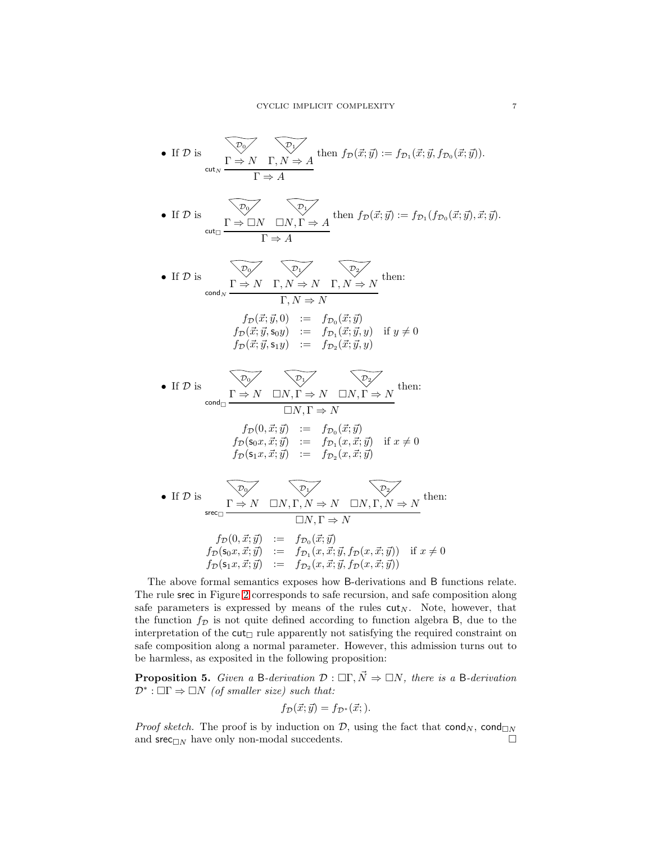\n- If 
$$
\mathcal{D}
$$
 is\n  $\overline{C_0}$ \n $\overline{C_1}$ \n $\overline{C_2}$ \n $\overline{C_3}$ \n
\n- If  $\mathcal{D}$  is\n  $\overline{C_1}$ \n $\overline{C_2}$ \n $\overline{C_3}$ \n
\n- If  $\mathcal{D}$  is\n  $\overline{C_1}$ \n $\overline{C_2}$ \n $\overline{C_3}$ \n
\n- If  $\mathcal{D}$  is\n  $\overline{C_1}$ \n $\overline{C_2}$ \n $\overline{C_3}$ \n
\n- If  $\mathcal{D}$  is\n  $\overline{C_1}$ \n $\overline{C_2}$ \n $\overline{C_3}$ \n
\n- If  $\mathcal{D}$  is\n  $\overline{C_3}$ \n $\overline{C_3}$ \n $\overline{C_3}$ \n $\overline{C_3}$ \n $\overline{C_3}$ \n
\n- If  $\mathcal{D}$  is\n  $\overline{C_3}$ \n $\overline{C_3}$ \n $\overline{C_3}$ \n $\overline{C_3}$ \n $\overline{C_3}$ \n $\overline{C_3}$ \n $\overline{C_3}$ \n $\overline{C_3}$ \n
\n- If  $\mathcal{D}$  is\n  $\overline{C_2}$ \n $\overline{C_2}$ \n $\overline{C_2}$ \n
\n- If  $\mathcal{D}$  is\n  $\overline{C_2}$ \n $\overline{C_2}$ \n $\overline{C_2}$ \n
\n- If

The above formal semantics exposes how B-derivations and B functions relate. The rule srec in Figure [2](#page-5-0) corresponds to safe recursion, and safe composition along safe parameters is expressed by means of the rules  $cut_N$ . Note, however, that the function  $f_{\mathcal{D}}$  is not quite defined according to function algebra B, due to the interpretation of the  $cut_{\Box}$  rule apparently not satisfying the required constraint on safe composition along a normal parameter. However, this admission turns out to be harmless, as exposited in the following proposition:

<span id="page-7-0"></span>**Proposition 5.** Given a B-derivation  $\mathcal{D}$  :  $\Box \Gamma, \vec{N} \Rightarrow \Box N$ , there is a B-derivation  $\mathcal{D}^*$ :  $\Box\Gamma \Rightarrow \Box N$  (of smaller size) such that:

$$
f_{\mathcal{D}}(\vec{x};\vec{y}) = f_{\mathcal{D}^*}(\vec{x};).
$$

*Proof sketch.* The proof is by induction on D, using the fact that  $\text{cond}_N$ ,  $\text{cond}_{\Box N}$ and  $\sec_{\Box N}$  have only non-modal succedents.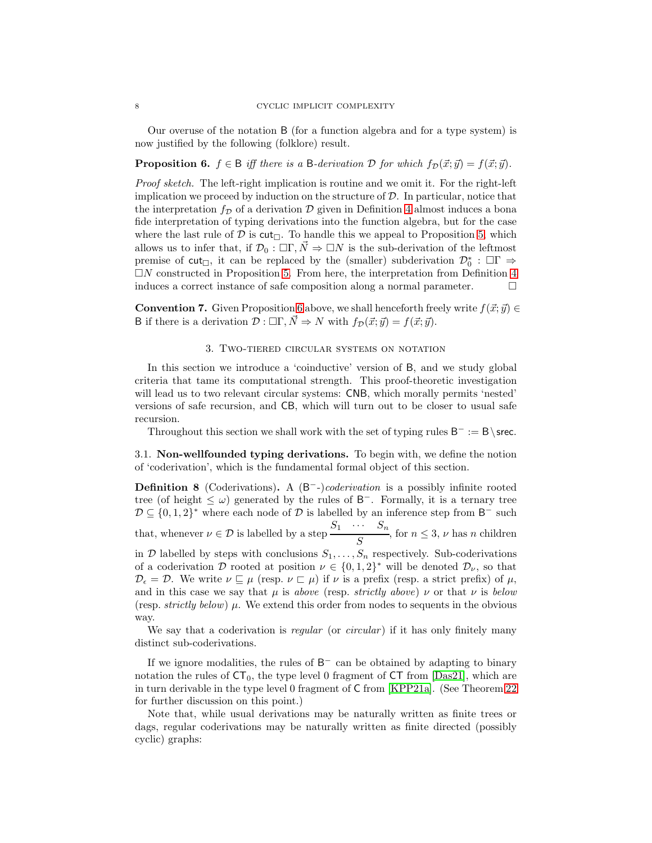<span id="page-8-1"></span>Our overuse of the notation B (for a function algebra and for a type system) is now justified by the following (folklore) result.

**Proposition 6.**  $f \in \mathcal{B}$  iff there is a B-derivation D for which  $f_{\mathcal{D}}(\vec{x}; \vec{y}) = f(\vec{x}; \vec{y})$ .

Proof sketch. The left-right implication is routine and we omit it. For the right-left implication we proceed by induction on the structure of  $\mathcal{D}$ . In particular, notice that the interpretation  $f_{\mathcal{D}}$  of a derivation  $\mathcal{D}$  given in Definition [4](#page-5-1) almost induces a bona fide interpretation of typing derivations into the function algebra, but for the case where the last rule of  $D$  is  $\text{cut}_{\Box}$ . To handle this we appeal to Proposition [5,](#page-7-0) which allows us to infer that, if  $\mathcal{D}_0 : \Box \Gamma, \overline{N} \Rightarrow \Box N$  is the sub-derivation of the leftmost premise of  $cut_{\Box}$ , it can be replaced by the (smaller) subderivation  $\mathcal{D}_0^*$ :  $\Box\Gamma \Rightarrow$  $\Box N$  constructed in Proposition [5.](#page-7-0) From here, the interpretation from Definition [4](#page-5-1) induces a correct instance of safe composition along a normal parameter.

<span id="page-8-0"></span>**Convention 7.** Given Proposition [6](#page-8-1) above, we shall henceforth freely write  $f(\vec{x}; \vec{y}) \in$ B if there is a derivation  $\mathcal{D} : \Box \Gamma, \vec{N} \Rightarrow N$  with  $f_{\mathcal{D}}(\vec{x}; \vec{y}) = f(\vec{x}; \vec{y}).$ 

#### 3. Two-tiered circular systems on notation

In this section we introduce a 'coinductive' version of B, and we study global criteria that tame its computational strength. This proof-theoretic investigation will lead us to two relevant circular systems: CNB, which morally permits 'nested' versions of safe recursion, and CB, which will turn out to be closer to usual safe recursion.

Throughout this section we shall work with the set of typing rules  $B^- := B \setminus$  srec.

3.1. Non-wellfounded typing derivations. To begin with, we define the notion of 'coderivation', which is the fundamental formal object of this section.

**Definition 8** (Coderivations). A  $(B^--)$ *coderivation* is a possibly infinite rooted tree (of height  $\leq \omega$ ) generated by the rules of B<sup>-</sup>. Formally, it is a ternary tree  $D \subseteq \{0,1,2\}^*$  where each node of D is labelled by an inference step from B<sup>-</sup> such that, whenever  $\nu \in \mathcal{D}$  is labelled by a step  $\frac{S_1 \cdots S_n}{S_n}$  $\frac{n}{S}$ , for  $n \leq 3$ ,  $\nu$  has n children in  $D$  labelled by steps with conclusions  $S_1, \ldots, S_n$  respectively. Sub-coderivations of a coderivation D rooted at position  $\nu \in \{0,1,2\}^*$  will be denoted  $\mathcal{D}_{\nu}$ , so that  $\mathcal{D}_{\epsilon} = \mathcal{D}$ . We write  $\nu \sqsubseteq \mu$  (resp.  $\nu \sqsubset \mu$ ) if  $\nu$  is a prefix (resp. a strict prefix) of  $\mu$ , and in this case we say that  $\mu$  is above (resp. strictly above)  $\nu$  or that  $\nu$  is below (resp. strictly below)  $\mu$ . We extend this order from nodes to sequents in the obvious way.

We say that a coderivation is regular (or circular) if it has only finitely many distinct sub-coderivations.

If we ignore modalities, the rules of  $B^-$  can be obtained by adapting to binary notation the rules of  $CT_0$ , the type level 0 fragment of  $CT$  from  $|Das21|$ , which are in turn derivable in the type level 0 fragment of C from [\[KPP21a\]](#page-38-3). (See Theorem [22](#page-13-0) for further discussion on this point.)

Note that, while usual derivations may be naturally written as finite trees or dags, regular coderivations may be naturally written as finite directed (possibly cyclic) graphs: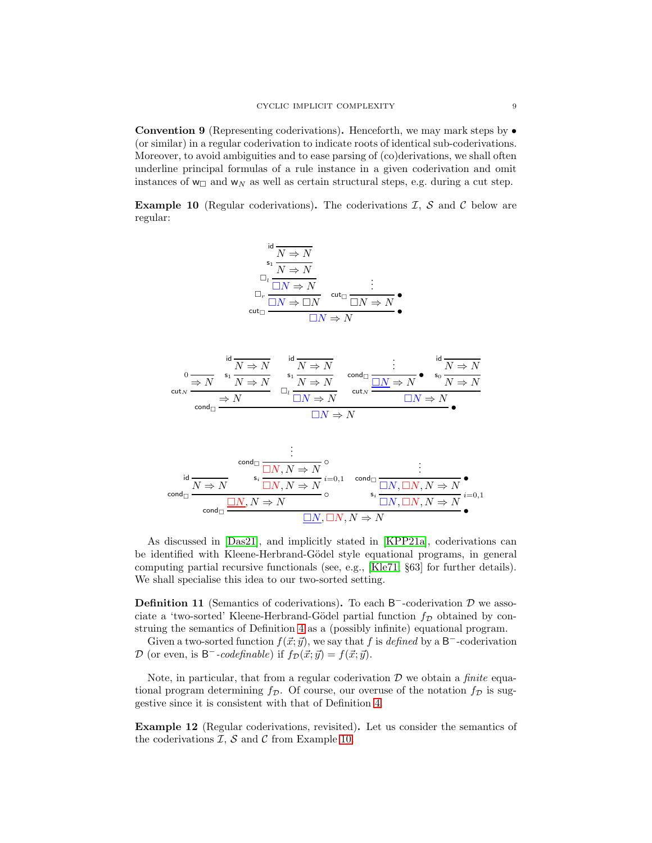Convention 9 (Representing coderivations). Henceforth, we may mark steps by • (or similar) in a regular coderivation to indicate roots of identical sub-coderivations. Moreover, to avoid ambiguities and to ease parsing of (co)derivations, we shall often underline principal formulas of a rule instance in a given coderivation and omit instances of  $w_{\Box}$  and  $w_N$  as well as certain structural steps, e.g. during a cut step.

<span id="page-9-0"></span>**Example 10** (Regular coderivations). The coderivations  $I$ ,  $S$  and  $C$  below are regular:

$$
\begin{array}{c}\n\operatorname{id} \\
\phantom{|} \overbrace{\phantom{|}}^{\operatorname{S_1}} \overbrace{N \Rightarrow N} \\
\phantom{|} \square_l \xrightarrow{\square} \overbrace{\square N \Rightarrow N} \\
\phantom{|} \square_r \xrightarrow{\square N \Rightarrow N} \operatorname{cut}_{\square} \xrightarrow{\square N \Rightarrow N} \bullet \\
\phantom{|} \textrm{cut}_{\square} \xrightarrow{\square N \Rightarrow N} \square N \Rightarrow N\n\end{array}
$$

$$
\begin{array}{cccc}\n0 & \frac{\mathrm{id} \times N}{\Rightarrow N} & \frac{\mathrm{id} \times N}{\Rightarrow N} & \frac{\mathrm{id} \times N}{\Rightarrow N} \\
\frac{\mathrm{id} \times N}{\Rightarrow N} & \frac{\mathrm{id} \times N}{\Rightarrow N} & \frac{\mathrm{id} \times N}{\Rightarrow N} & \frac{\mathrm{id} \times N}{\Rightarrow N} & \frac{\mathrm{id} \times N}{\Rightarrow N} \\
\frac{\mathrm{id} \times N}{\Rightarrow N} & \frac{\mathrm{id} \times N}{\Rightarrow N} & \frac{\mathrm{id} \times N}{\Rightarrow N} & \frac{\mathrm{id} \times N}{\Rightarrow N} \\
\frac{\mathrm{id} \times N}{\Rightarrow N} & \frac{\mathrm{id} \times N}{\Rightarrow N} & \frac{\mathrm{id} \times N}{\Rightarrow N} & \frac{\mathrm{id} \times N}{\Rightarrow N}\n\end{array}
$$

$$
\begin{array}{c}\n\vdots \\
\downarrow \text{cond}_{\square} & \downarrow \text{cond}_{\square} \\
\hline\n\frac{N \Rightarrow N}{\square N, N \Rightarrow N} \circ \downarrow \\
\downarrow \text{cond}_{\square} & \downarrow \text{cond}_{\square} \\
\hline\n\text{cond}_{\square} & \frac{\square N, N \Rightarrow N}{\square N, N \Rightarrow N} \circ \downarrow \\
\hline\n\frac{\square N, N \Rightarrow N}{\square N, \square N, N \Rightarrow N} & \downarrow \text{cond}_{\square} \\
\hline\n\frac{\square N, N \Rightarrow N}{\square N, \square N, N \Rightarrow N}\n\end{array}
$$

As discussed in [\[Das21\]](#page-37-3), and implicitly stated in [\[KPP21a\]](#page-38-3), coderivations can be identified with Kleene-Herbrand-Gödel style equational programs, in general computing partial recursive functionals (see, e.g., [\[Kle71,](#page-38-10) §63] for further details). We shall specialise this idea to our two-sorted setting.

<span id="page-9-1"></span>**Definition 11** (Semantics of coderivations). To each  $B^-$ -coderivation  $D$  we associate a 'two-sorted' Kleene-Herbrand-Gödel partial function  $f<sub>D</sub>$  obtained by construing the semantics of Definition [4](#page-5-1) as a (possibly infinite) equational program.

Given a two-sorted function  $f(\vec{x}; \vec{y})$ , we say that f is defined by a B<sup>-</sup>-coderivation D (or even, is B<sup>-</sup>-codefinable) if  $f_{\mathcal{D}}(\vec{x}; \vec{y}) = f(\vec{x}; \vec{y})$ .

Note, in particular, that from a regular coderivation  $D$  we obtain a *finite* equational program determining  $f_{\mathcal{D}}$ . Of course, our overuse of the notation  $f_{\mathcal{D}}$  is suggestive since it is consistent with that of Definition [4.](#page-5-1)

Example 12 (Regular coderivations, revisited). Let us consider the semantics of the coderivations  $\mathcal{I}, \mathcal{S}$  and  $\mathcal{C}$  from Example [10.](#page-9-0)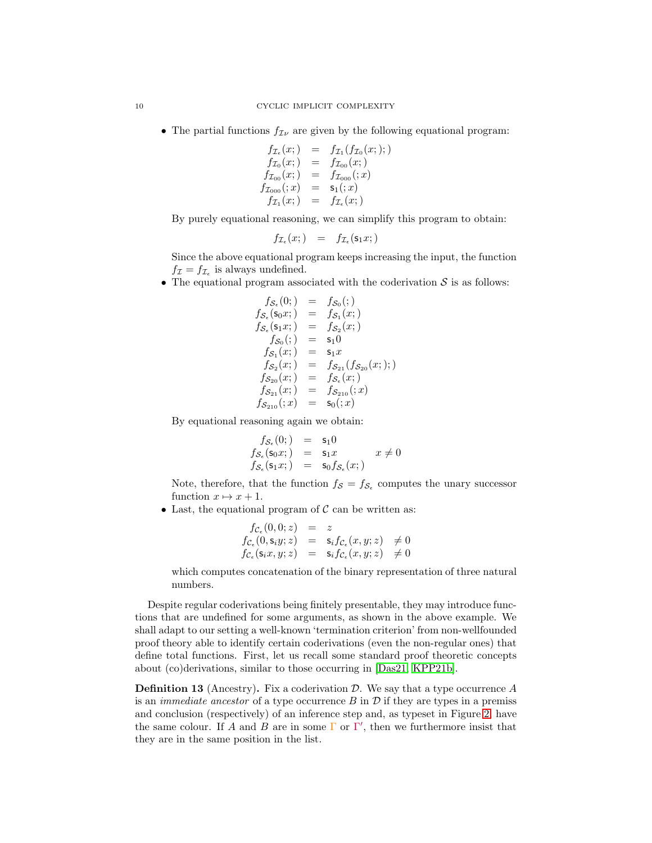• The partial functions  $f_{\mathcal{I}\nu}$  are given by the following equational program:

$$
\begin{array}{rcl} f_{\mathcal{I}_{\epsilon}}(x;) & = & f_{\mathcal{I}_{1}}(f_{\mathcal{I}_{0}}(x;)); \\ f_{\mathcal{I}_{0}}(x;) & = & f_{\mathcal{I}_{00}}(x;) \\ f_{\mathcal{I}_{00}}(x;) & = & f_{\mathcal{I}_{000}}(x) \\ f_{\mathcal{I}_{000}}(x) & = & \mathsf{s}_{1}(x) \\ f_{\mathcal{I}_{1}}(x;) & = & f_{\mathcal{I}_{\epsilon}}(x;) \end{array}
$$

By purely equational reasoning, we can simplify this program to obtain:

$$
f_{\mathcal{I}_{\epsilon}}(x;) = f_{\mathcal{I}_{\epsilon}}(\mathsf{s}_1 x;)
$$

Since the above equational program keeps increasing the input, the function  $f_{\mathcal{I}} = f_{\mathcal{I}_{\epsilon}}$  is always undefined.

• The equational program associated with the coderivation  $S$  is as follows:

$$
f_{\mathcal{S}_{\epsilon}}(0;) = f_{\mathcal{S}_{0}}(t;)
$$
\n
$$
f_{\mathcal{S}_{\epsilon}}(s_{0}x;) = f_{\mathcal{S}_{1}}(x;)
$$
\n
$$
f_{\mathcal{S}_{\epsilon}}(s_{1}x;) = f_{\mathcal{S}_{2}}(x;)
$$
\n
$$
f_{\mathcal{S}_{0}}(t) = s_{1}0
$$
\n
$$
f_{\mathcal{S}_{1}}(x;) = s_{1}x
$$
\n
$$
f_{\mathcal{S}_{2}}(x;) = f_{\mathcal{S}_{21}}(f_{\mathcal{S}_{20}}(x;))
$$
\n
$$
f_{\mathcal{S}_{20}}(x;) = f_{\mathcal{S}_{\epsilon}}(x;)
$$
\n
$$
f_{\mathcal{S}_{21}}(x;) = f_{\mathcal{S}_{210}}(x;)
$$
\n
$$
f_{\mathcal{S}_{210}}(x;) = s_{0}(x)
$$

By equational reasoning again we obtain:

$$
f_{\mathcal{S}_{\epsilon}}(0;) = s_1 0
$$
  
\n
$$
f_{\mathcal{S}_{\epsilon}}(s_0 x;) = s_1 x \qquad x \neq 0
$$
  
\n
$$
f_{\mathcal{S}_{\epsilon}}(s_1 x;) = s_0 f_{\mathcal{S}_{\epsilon}}(x;)
$$

Note, therefore, that the function  $f_{\mathcal{S}} = f_{\mathcal{S}_{\epsilon}}$  computes the unary successor function  $x \mapsto x + 1$ .

• Last, the equational program of  $\mathcal C$  can be written as:

$$
f_{\mathcal{C}_{\epsilon}}(0,0;z) = z
$$
  
\n
$$
f_{\mathcal{C}_{\epsilon}}(0,s_iy;z) = s_i f_{\mathcal{C}_{\epsilon}}(x,y;z) \neq 0
$$
  
\n
$$
f_{\mathcal{C}_{\epsilon}}(s_i x, y; z) = s_i f_{\mathcal{C}_{\epsilon}}(x,y;z) \neq 0
$$

which computes concatenation of the binary representation of three natural numbers.

Despite regular coderivations being finitely presentable, they may introduce functions that are undefined for some arguments, as shown in the above example. We shall adapt to our setting a well-known 'termination criterion' from non-wellfounded proof theory able to identify certain coderivations (even the non-regular ones) that define total functions. First, let us recall some standard proof theoretic concepts about (co)derivations, similar to those occurring in [\[Das21,](#page-37-3) [KPP21b\]](#page-38-11).

<span id="page-10-0"></span>**Definition 13** (Ancestry). Fix a coderivation  $\mathcal{D}$ . We say that a type occurrence A is an *immediate ancestor* of a type occurrence  $B$  in  $D$  if they are types in a premiss and conclusion (respectively) of an inference step and, as typeset in Figure [2,](#page-5-0) have the same colour. If A and B are in some  $\Gamma$  or  $\Gamma'$ , then we furthermore insist that they are in the same position in the list.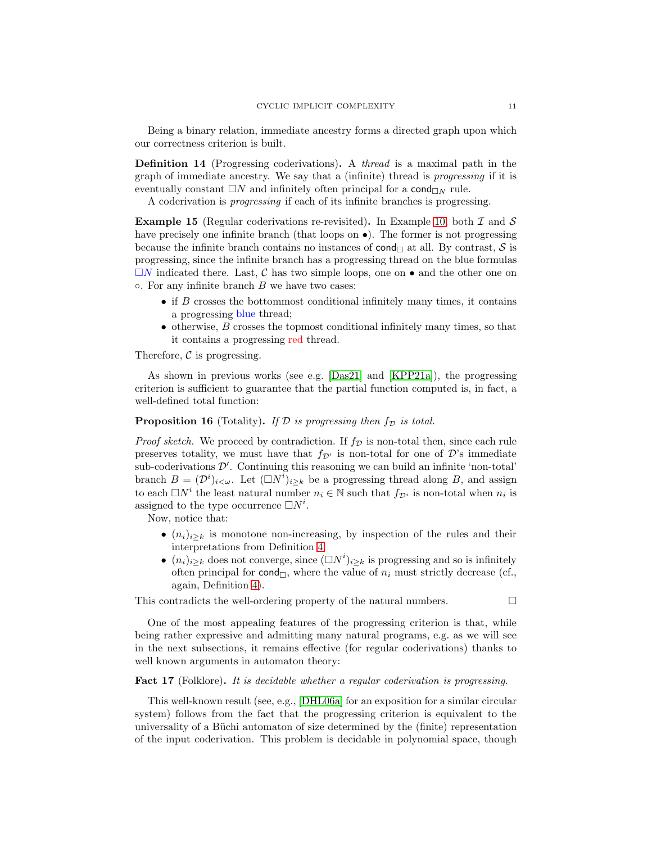<span id="page-11-1"></span>Being a binary relation, immediate ancestry forms a directed graph upon which our correctness criterion is built.

Definition 14 (Progressing coderivations). A thread is a maximal path in the graph of immediate ancestry. We say that a (infinite) thread is progressing if it is eventually constant  $\Box N$  and infinitely often principal for a cond $\Box N$  rule.

A coderivation is progressing if each of its infinite branches is progressing.

**Example 15** (Regular coderivations re-revisited). In Example [10,](#page-9-0) both  $\mathcal I$  and  $\mathcal S$ have precisely one infinite branch (that loops on  $\bullet$ ). The former is not progressing because the infinite branch contains no instances of cond $\Box$  at all. By contrast, S is progressing, since the infinite branch has a progressing thread on the blue formulas  $\Box N$  indicated there. Last, C has two simple loops, one on  $\bullet$  and the other one on  $\circ$ . For any infinite branch  $B$  we have two cases:

- if  $B$  crosses the bottommost conditional infinitely many times, it contains a progressing blue thread;
- $\bullet$  otherwise,  $B$  crosses the topmost conditional infinitely many times, so that it contains a progressing red thread.

Therefore,  $\mathcal C$  is progressing.

As shown in previous works (see e.g. [\[Das21\]](#page-37-3) and [\[KPP21a\]](#page-38-3)), the progressing criterion is sufficient to guarantee that the partial function computed is, in fact, a well-defined total function:

#### <span id="page-11-0"></span>**Proposition 16** (Totality). If  $D$  is progressing then  $f_D$  is total.

*Proof sketch.* We proceed by contradiction. If  $f<sub>D</sub>$  is non-total then, since each rule preserves totality, we must have that  $f_{\mathcal{D}'}$  is non-total for one of  $\mathcal{D}'$ 's immediate sub-coderivations  $\mathcal{D}'$ . Continuing this reasoning we can build an infinite 'non-total' branch  $B = (\mathcal{D}^i)_{i \leq \omega}$ . Let  $(\Box N^i)_{i \geq k}$  be a progressing thread along B, and assign to each  $\Box N^i$  the least natural number  $n_i \in \mathbb{N}$  such that  $f_{\mathcal{D}^i}$  is non-total when  $n_i$  is assigned to the type occurrence  $\Box N^i$ .

Now, notice that:

- $(n_i)_{i\geq k}$  is monotone non-increasing, by inspection of the rules and their interpretations from Definition [4.](#page-5-1)
- $(n_i)_{i\geq k}$  does not converge, since  $(\Box N^i)_{i\geq k}$  is progressing and so is infinitely often principal for cond<sub> $\Box$ </sub>, where the value of  $n_i$  must strictly decrease (cf., again, Definition [4\)](#page-5-1).

This contradicts the well-ordering property of the natural numbers.  $\Box$ 

One of the most appealing features of the progressing criterion is that, while being rather expressive and admitting many natural programs, e.g. as we will see in the next subsections, it remains effective (for regular coderivations) thanks to well known arguments in automaton theory:

#### Fact 17 (Folklore). It is decidable whether a regular coderivation is progressing.

This well-known result (see, e.g., [\[DHL06a\]](#page-38-12) for an exposition for a similar circular system) follows from the fact that the progressing criterion is equivalent to the universality of a Büchi automaton of size determined by the (finite) representation of the input coderivation. This problem is decidable in polynomial space, though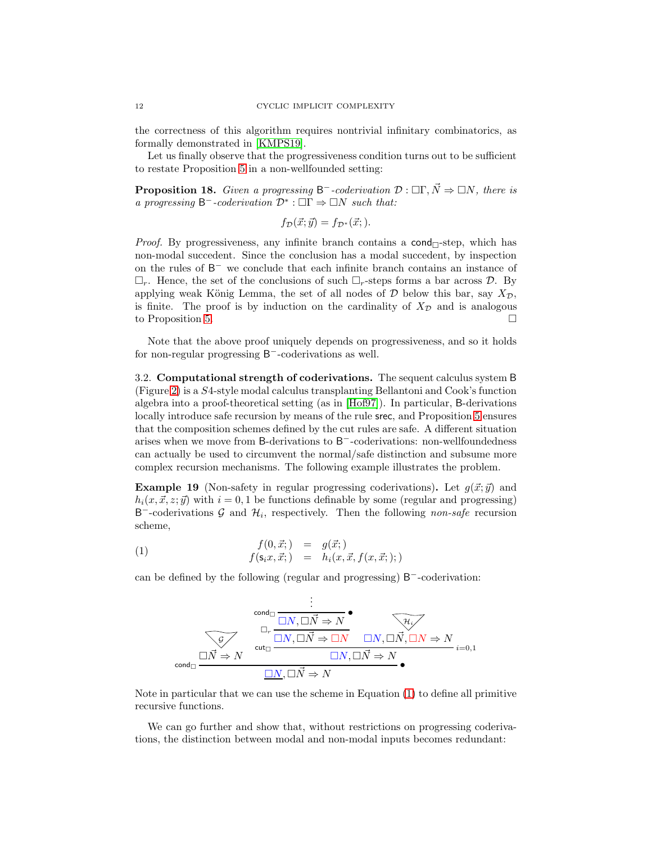the correctness of this algorithm requires nontrivial infinitary combinatorics, as formally demonstrated in [\[KMPS19\]](#page-38-13).

<span id="page-12-3"></span>Let us finally observe that the progressiveness condition turns out to be sufficient to restate Proposition [5](#page-7-0) in a non-wellfounded setting:

**Proposition 18.** Given a progressing  $B^-$ -coderivation  $\mathcal{D}$  :  $\Box \Gamma, \vec{N} \Rightarrow \Box N$ , there is a progressing  $\mathsf{B}^-$ -coderivation  $\mathcal{D}^*$ :  $\square \Gamma \Rightarrow \square N$  such that:

 $f_{\mathcal{D}}(\vec{x}; \vec{y}) = f_{\mathcal{D}^*}(\vec{x}; ).$ 

*Proof.* By progressiveness, any infinite branch contains a cond $\Box$ -step, which has non-modal succedent. Since the conclusion has a modal succedent, by inspection on the rules of B <sup>−</sup> we conclude that each infinite branch contains an instance of  $\Box_r$ . Hence, the set of the conclusions of such  $\Box_r$ -steps forms a bar across D. By applying weak König Lemma, the set of all nodes of  $D$  below this bar, say  $X_{\mathcal{D}}$ , is finite. The proof is by induction on the cardinality of  $X_{\mathcal{D}}$  and is analogous to Proposition [5.](#page-7-0)

Note that the above proof uniquely depends on progressiveness, and so it holds for non-regular progressing B<sup>-</sup>-coderivations as well.

<span id="page-12-4"></span>3.2. Computational strength of coderivations. The sequent calculus system B (Figure [2\)](#page-5-0) is a S4-style modal calculus transplanting Bellantoni and Cook's function algebra into a proof-theoretical setting (as in [\[Hof97\]](#page-38-7)). In particular, B-derivations locally introduce safe recursion by means of the rule srec, and Proposition [5](#page-7-0) ensures that the composition schemes defined by the cut rules are safe. A different situation arises when we move from B-derivations to B<sup>−</sup>-coderivations: non-wellfoundedness can actually be used to circumvent the normal/safe distinction and subsume more complex recursion mechanisms. The following example illustrates the problem.

<span id="page-12-2"></span>**Example 19** (Non-safety in regular progressing coderivations). Let  $q(\vec{x}; \vec{y})$  and  $h_i(x, \vec{x}, z; \vec{y})$  with  $i = 0, 1$  be functions definable by some (regular and progressing) B<sup>-</sup>-coderivations G and  $\mathcal{H}_i$ , respectively. Then the following non-safe recursion scheme,

(1) 
$$
f(0, \vec{x};) = g(\vec{x};)
$$

$$
f(s_i x, \vec{x};) = h_i(x, \vec{x}, f(x, \vec{x};));
$$

can be defined by the following (regular and progressing) B<sup>−</sup>-coderivation:

<span id="page-12-0"></span>
$$
\begin{array}{c}\n\vdots \\
\hline\n\text{cond}_{\Box} & \Box N, \Box \vec{N} \Rightarrow N \\
\hline\n\text{Cov}_{\Box} & \Box N, \Box \vec{N} \Rightarrow \Box N\n\end{array}\n\qquad\n\begin{array}{c}\n\Box N, \Box \vec{N} \Rightarrow N \\
\hline\n\text{Cov}_{\Box} & \Box N, \Box \vec{N}, \Box N \Rightarrow N \\
\hline\n\Box N, \Box \vec{N} \Rightarrow N\n\end{array}\n\qquad\n\begin{array}{c}\n\Box N, \Box \vec{N} \Rightarrow N \\
\hline\n\Box N, \Box \vec{N} \Rightarrow N\n\end{array}\n\qquad\n\begin{array}{c}\n\Box N, \Box \vec{N} \Rightarrow N\n\end{array}
$$

Note in particular that we can use the scheme in Equation [\(1\)](#page-12-0) to define all primitive recursive functions.

<span id="page-12-1"></span>We can go further and show that, without restrictions on progressing coderivations, the distinction between modal and non-modal inputs becomes redundant: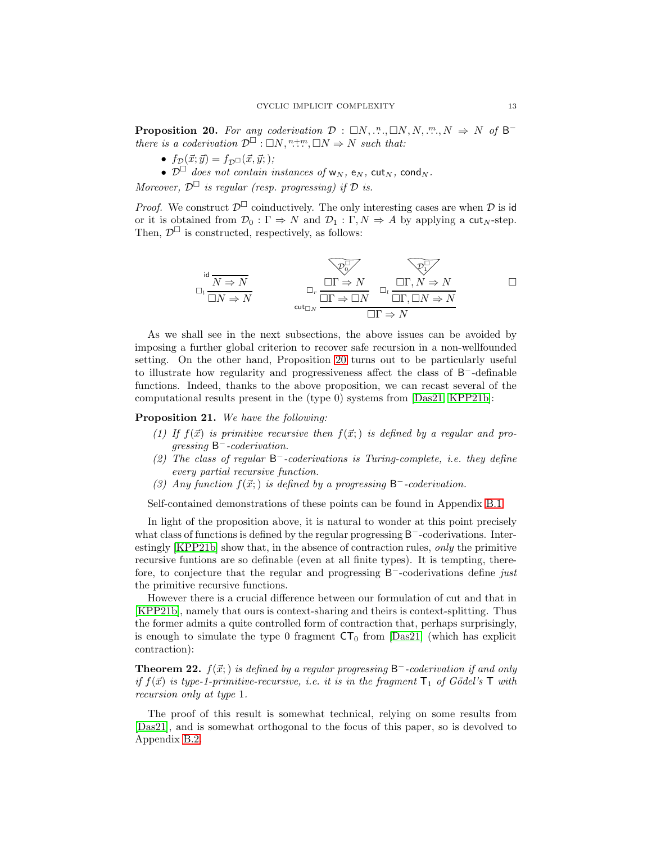**Proposition 20.** For any coderivation  $\mathcal{D}: \Box N, \Box N, N, \Box N, N, \Box N \Rightarrow N$  of  $\mathsf{B}^$ there is a coderivation  $\mathcal{D}^{\square}$ :  $\square N, \square, \square N \Rightarrow N$  such that:

- $f_{\mathcal{D}}(\vec{x}; \vec{y}) = f_{\mathcal{D}}(\vec{x}, \vec{y}; )$ ;
- $\mathcal{D}^{\Box}$  does not contain instances of w<sub>N</sub>, e<sub>N</sub>, cut<sub>N</sub>, cond<sub>N</sub>.

Moreover,  $\mathcal{D}^{\square}$  is regular (resp. progressing) if  $\mathcal D$  is.

*Proof.* We construct  $\mathcal{D}^{\square}$  coinductively. The only interesting cases are when  $\mathcal D$  is id or it is obtained from  $\mathcal{D}_0 : \Gamma \Rightarrow N$  and  $\mathcal{D}_1 : \Gamma, N \Rightarrow A$  by applying a cut<sub>N</sub>-step. Then,  $\mathcal{D}^{\square}$  is constructed, respectively, as follows:

id N ⇒ N l N ⇒ N D 0 Γ ⇒ N <sup>r</sup> Γ ⇒ N D 1 Γ, N ⇒ N l Γ, N ⇒ N cut<sup>N</sup> Γ ⇒ N 

As we shall see in the next subsections, the above issues can be avoided by imposing a further global criterion to recover safe recursion in a non-wellfounded setting. On the other hand, Proposition [20](#page-12-1) turns out to be particularly useful to illustrate how regularity and progressiveness affect the class of B <sup>−</sup>-definable functions. Indeed, thanks to the above proposition, we can recast several of the computational results present in the (type 0) systems from [\[Das21,](#page-37-3) [KPP21b\]](#page-38-11):

#### <span id="page-13-1"></span>Proposition 21. We have the following:

- (1) If  $f(\vec{x})$  is primitive recursive then  $f(\vec{x};)$  is defined by a regular and progressing B<sup>-</sup>-coderivation.
- (2) The class of regular  $B^-$ -coderivations is Turing-complete, i.e. they define every partial recursive function.
- (3) Any function  $f(\vec{x};)$  is defined by a progressing  $\mathsf{B}^-$ -coderivation.

Self-contained demonstrations of these points can be found in Appendix [B.1.](#page-40-0)

In light of the proposition above, it is natural to wonder at this point precisely what class of functions is defined by the regular progressing B<sup>-</sup>-coderivations. Interestingly [\[KPP21b\]](#page-38-11) show that, in the absence of contraction rules, only the primitive recursive funtions are so definable (even at all finite types). It is tempting, therefore, to conjecture that the regular and progressing B<sup>-</sup>-coderivations define *just* the primitive recursive functions.

However there is a crucial difference between our formulation of cut and that in [\[KPP21b\]](#page-38-11), namely that ours is context-sharing and theirs is context-splitting. Thus the former admits a quite controlled form of contraction that, perhaps surprisingly, is enough to simulate the type 0 fragment  $CT_0$  from [\[Das21\]](#page-37-3) (which has explicit contraction):

<span id="page-13-0"></span>**Theorem 22.**  $f(\vec{x};)$  is defined by a regular progressing  $B^-$ -coderivation if and only if  $f(\vec{x})$  is type-1-primitive-recursive, i.e. it is in the fragment  $T_1$  of Gödel's T with recursion only at type 1.

The proof of this result is somewhat technical, relying on some results from [\[Das21\]](#page-37-3), and is somewhat orthogonal to the focus of this paper, so is devolved to Appendix [B.2.](#page-42-0)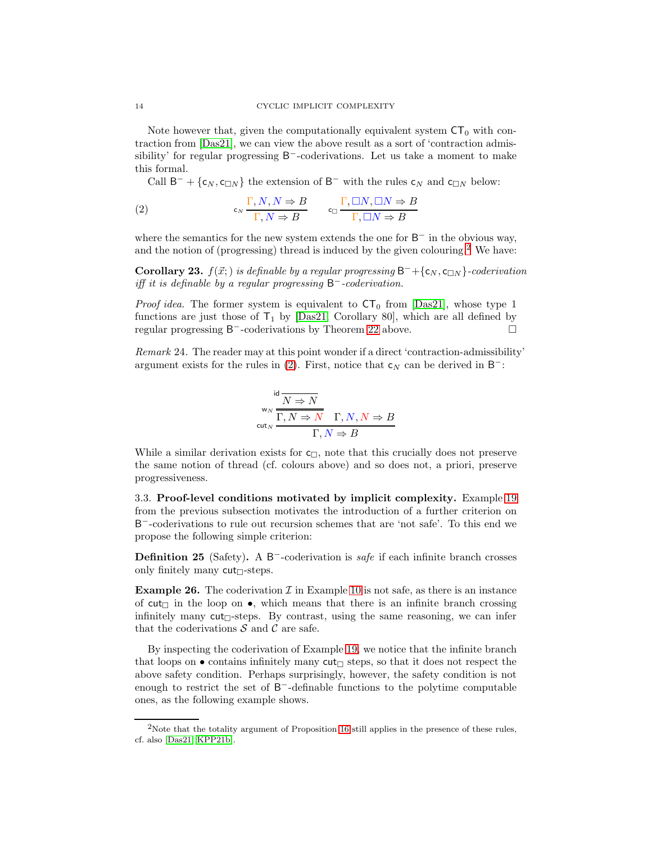Note however that, given the computationally equivalent system  $CT_0$  with contraction from [\[Das21\]](#page-37-3), we can view the above result as a sort of 'contraction admissibility' for regular progressing  $B^-$ -coderivations. Let us take a moment to make this formal.

<span id="page-14-1"></span>Call  $B^- + \{c_N, c_{\Box N}\}\$ the extension of  $B^-$  with the rules  $c_N$  and  $c_{\Box N}$  below:

(2) 
$$
\mathsf{c}_N \frac{\Gamma, N, N \Rightarrow B}{\Gamma, N \Rightarrow B} \qquad \mathsf{c}_\Box \frac{\Gamma, \Box N, \Box N \Rightarrow B}{\Gamma, \Box N \Rightarrow B}
$$

where the semantics for the new system extends the one for  $B^-$  in the obvious way, and the notion of (progressing) thread is induced by the given colouring.<sup>[2](#page-14-0)</sup> We have:

**Corollary 23.**  $f(\vec{x};)$  is definable by a regular progressing  $B^- + \{c_N, c_{\Box N}\}$ -coderivation iff it is definable by a regular progressing  $B^-$ -coderivation.

*Proof idea.* The former system is equivalent to  $CT_0$  from [\[Das21\]](#page-37-3), whose type 1 functions are just those of  $T_1$  by [\[Das21,](#page-37-3) Corollary 80], which are all defined by regular progressing B<sup>-</sup>-coderivations by Theorem [22](#page-13-0) above. □

<span id="page-14-3"></span>Remark 24. The reader may at this point wonder if a direct 'contraction-admissibility' argument exists for the rules in [\(2\)](#page-14-1). First, notice that  $c_N$  can be derived in B<sup>-</sup>:

$$
\begin{array}{c}\n\text{id } N \to N \\
\text{w}_N \overline{\Gamma, N \to N} \quad \Gamma, N, N \to B \\
\text{cut}_N \overline{\Gamma, N \to R}\n\end{array}
$$

While a similar derivation exists for  $c_{\Box}$ , note that this crucially does not preserve the same notion of thread (cf. colours above) and so does not, a priori, preserve progressiveness.

3.3. Proof-level conditions motivated by implicit complexity. Example [19](#page-12-2) from the previous subsection motivates the introduction of a further criterion on B <sup>−</sup>-coderivations to rule out recursion schemes that are 'not safe'. To this end we propose the following simple criterion:

Definition 25 (Safety). A B<sup>-</sup>-coderivation is *safe* if each infinite branch crosses only finitely many  $cut_{\Box}$ -steps.

**Example 26.** The coderivation  $\mathcal{I}$  in Example [10](#page-9-0) is not safe, as there is an instance of cut<sub> $\Box$ </sub> in the loop on  $\bullet$ , which means that there is an infinite branch crossing infinitely many cut $\sqcap$ -steps. By contrast, using the same reasoning, we can infer that the coderivations  $S$  and  $C$  are safe.

By inspecting the coderivation of Example [19,](#page-12-2) we notice that the infinite branch that loops on  $\bullet$  contains infinitely many  $\text{cut}_{\Box}$  steps, so that it does not respect the above safety condition. Perhaps surprisingly, however, the safety condition is not enough to restrict the set of B<sup>-</sup>-definable functions to the polytime computable ones, as the following example shows.

<span id="page-14-2"></span><span id="page-14-0"></span><sup>&</sup>lt;sup>2</sup>Note that the totality argument of Proposition [16](#page-11-0) still applies in the presence of these rules, cf. also [\[Das21,](#page-37-3) [KPP21b\]](#page-38-11).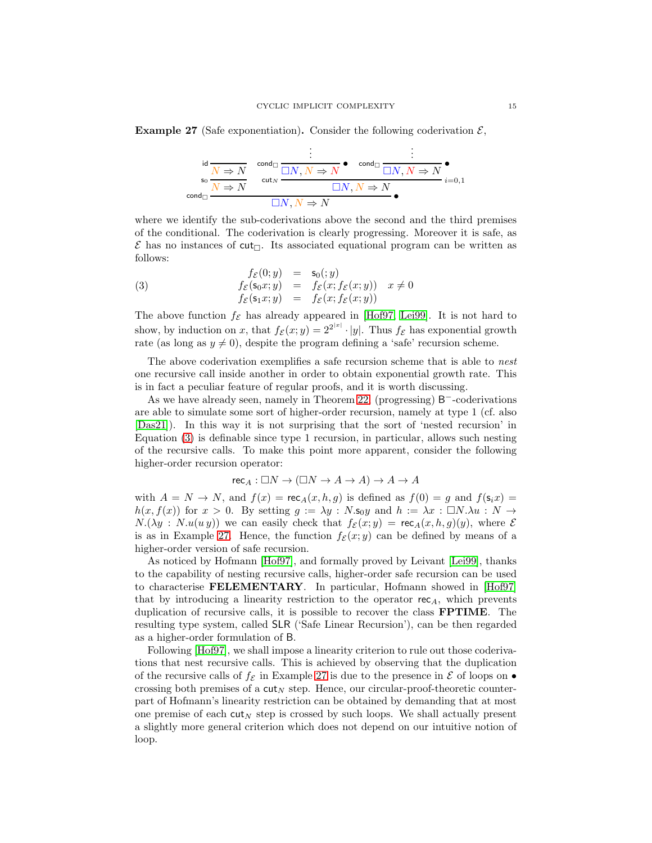**Example 27** (Safe exponentiation). Consider the following coderivation  $\mathcal{E}$ ,

$$
\begin{array}{cc}\n\vdots & \vdots \\
\int_{S_0}^{id} \frac{N \Rightarrow N}{N \Rightarrow N} & \text{cond}_{\Box} \frac{\Box N, N \Rightarrow N}{\Box N, N \Rightarrow N} & \text{cond}_{\Box} \frac{\Box N, N \Rightarrow N}{\Box N, N \Rightarrow N} \\
\text{cond}_{\Box} & \Box N, N \Rightarrow N & \end{array}
$$

where we identify the sub-coderivations above the second and the third premises of the conditional. The coderivation is clearly progressing. Moreover it is safe, as  $\mathcal E$  has no instances of cut<sub> $\Box$ </sub>. Its associated equational program can be written as follows:

<span id="page-15-0"></span>(3) 
$$
f_{\mathcal{E}}(0; y) = s_0(; y) \n f_{\mathcal{E}}(s_0x; y) = f_{\mathcal{E}}(x; f_{\mathcal{E}}(x; y)) \quad x \neq 0 \n f_{\mathcal{E}}(s_1x; y) = f_{\mathcal{E}}(x; f_{\mathcal{E}}(x; y))
$$

The above function  $f_{\mathcal{E}}$  has already appeared in [\[Hof97,](#page-38-7) [Lei99\]](#page-38-8). It is not hard to show, by induction on x, that  $f_{\mathcal{E}}(x; y) = 2^{2^{|x|}} \cdot |y|$ . Thus  $f_{\mathcal{E}}$  has exponential growth rate (as long as  $y \neq 0$ ), despite the program defining a 'safe' recursion scheme.

The above coderivation exemplifies a safe recursion scheme that is able to nest one recursive call inside another in order to obtain exponential growth rate. This is in fact a peculiar feature of regular proofs, and it is worth discussing.

As we have already seen, namely in Theorem [22,](#page-13-0) (progressing) B<sup>−</sup>-coderivations are able to simulate some sort of higher-order recursion, namely at type 1 (cf. also [\[Das21\]](#page-37-3)). In this way it is not surprising that the sort of 'nested recursion' in Equation [\(3\)](#page-15-0) is definable since type 1 recursion, in particular, allows such nesting of the recursive calls. To make this point more apparent, consider the following higher-order recursion operator:

$$
\mathsf{rec}_A:\square N\to (\square N\to A\to A)\to A\to A
$$

with  $A = N \rightarrow N$ , and  $f(x) = \text{rec}_A(x, h, g)$  is defined as  $f(0) = g$  and  $f(\mathbf{s}_i x) =$  $h(x, f(x))$  for  $x > 0$ . By setting  $g := \lambda y : N \cdot s_0 y$  and  $h := \lambda x : \Box N \cdot \lambda u : N \rightarrow$  $N(\lambda y : N(u(y)))$  we can easily check that  $f_{\mathcal{E}}(x; y) = \text{rec}_{A}(x, h, g)(y)$ , where  $\mathcal{E}$ is as in Example [27.](#page-14-2) Hence, the function  $f_{\mathcal{E}}(x; y)$  can be defined by means of a higher-order version of safe recursion.

As noticed by Hofmann [\[Hof97\]](#page-38-7), and formally proved by Leivant [\[Lei99\]](#page-38-8), thanks to the capability of nesting recursive calls, higher-order safe recursion can be used to characterise FELEMENTARY. In particular, Hofmann showed in [\[Hof97\]](#page-38-7) that by introducing a linearity restriction to the operator  $rec_A$ , which prevents duplication of recursive calls, it is possible to recover the class FPTIME. The resulting type system, called SLR ('Safe Linear Recursion'), can be then regarded as a higher-order formulation of B.

Following [\[Hof97\]](#page-38-7), we shall impose a linearity criterion to rule out those coderivations that nest recursive calls. This is achieved by observing that the duplication of the recursive calls of  $f_{\mathcal{E}}$  in Example [27](#page-14-2) is due to the presence in  $\mathcal E$  of loops on  $\bullet$ crossing both premises of a  $\text{cut}_N$  step. Hence, our circular-proof-theoretic counterpart of Hofmann's linearity restriction can be obtained by demanding that at most one premise of each  $\text{cut}_N$  step is crossed by such loops. We shall actually present a slightly more general criterion which does not depend on our intuitive notion of loop.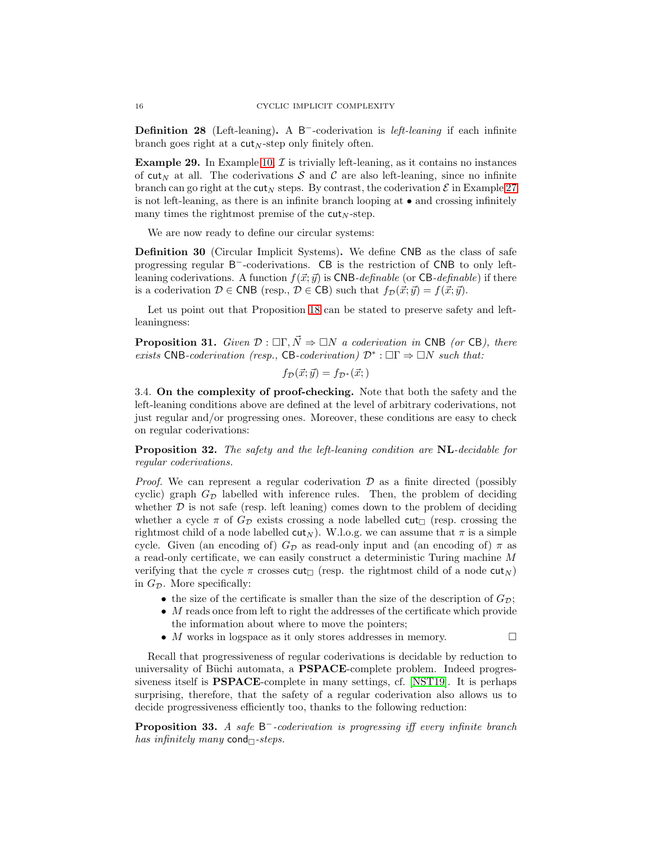Definition 28 (Left-leaning). A B<sup>-</sup>-coderivation is *left-leaning* if each infinite branch goes right at a  $\text{cut}_N$ -step only finitely often.

**Example 29.** In Example [10,](#page-9-0)  $\mathcal{I}$  is trivially left-leaning, as it contains no instances of cut<sub>N</sub> at all. The coderivations S and C are also left-leaning, since no infinite branch can go right at the cut<sub>N</sub> steps. By contrast, the coderivation  $\mathcal E$  in Example [27](#page-14-2) is not left-leaning, as there is an infinite branch looping at • and crossing infinitely many times the rightmost premise of the  $cut_N\text{-step}$ .

We are now ready to define our circular systems:

Definition 30 (Circular Implicit Systems). We define CNB as the class of safe progressing regular B<sup>-</sup>-coderivations. CB is the restriction of CNB to only leftleaning coderivations. A function  $f(\vec{x}; \vec{y})$  is CNB-definable (or CB-definable) if there is a coderivation  $D \in \text{CNB}$  (resp.,  $D \in \text{CB}$ ) such that  $f_{\mathcal{D}}(\vec{x}; \vec{y}) = f(\vec{x}; \vec{y})$ .

<span id="page-16-2"></span>Let us point out that Proposition [18](#page-12-3) can be stated to preserve safety and leftleaningness:

**Proposition 31.** Given  $\mathcal{D}: \Box \Gamma, \vec{N} \Rightarrow \Box N$  a coderivation in CNB (or CB), there exists CNB-coderivation (resp., CB-coderivation)  $\mathcal{D}^*$  :  $\Box\Gamma \Rightarrow \Box N$  such that:

$$
f_{\mathcal{D}}(\vec{x};\vec{y}) = f_{\mathcal{D}^*}(\vec{x};)
$$

3.4. On the complexity of proof-checking. Note that both the safety and the left-leaning conditions above are defined at the level of arbitrary coderivations, not just regular and/or progressing ones. Moreover, these conditions are easy to check on regular coderivations:

<span id="page-16-0"></span>Proposition 32. The safety and the left-leaning condition are NL-decidable for regular coderivations.

*Proof.* We can represent a regular coderivation  $\mathcal D$  as a finite directed (possibly cyclic) graph  $G_{\mathcal{D}}$  labelled with inference rules. Then, the problem of deciding whether  $D$  is not safe (resp. left leaning) comes down to the problem of deciding whether a cycle  $\pi$  of  $G_{\mathcal{D}}$  exists crossing a node labelled cut<sub> $\Box$ </sub> (resp. crossing the rightmost child of a node labelled  $\text{cut}_N$ ). W.l.o.g. we can assume that  $\pi$  is a simple cycle. Given (an encoding of)  $G_{\mathcal{D}}$  as read-only input and (an encoding of)  $\pi$  as a read-only certificate, we can easily construct a deterministic Turing machine M verifying that the cycle  $\pi$  crosses cut<sub> $\Box$ </sub> (resp. the rightmost child of a node cut<sub>N</sub>) in  $G_{\mathcal{D}}$ . More specifically:

- the size of the certificate is smaller than the size of the description of  $G_{\mathcal{D}}$ ;
- M reads once from left to right the addresses of the certificate which provide the information about where to move the pointers;
- $M$  works in logspace as it only stores addresses in memory.  $\Box$

Recall that progressiveness of regular coderivations is decidable by reduction to universality of Büchi automata, a **PSPACE**-complete problem. Indeed progressiveness itself is PSPACE-complete in many settings, cf. [\[NST19\]](#page-38-14). It is perhaps surprising, therefore, that the safety of a regular coderivation also allows us to decide progressiveness efficiently too, thanks to the following reduction:

<span id="page-16-1"></span>**Proposition 33.** A safe  $B^-$ -coderivation is progressing iff every infinite branch has infinitely many cond $\Box$ -steps.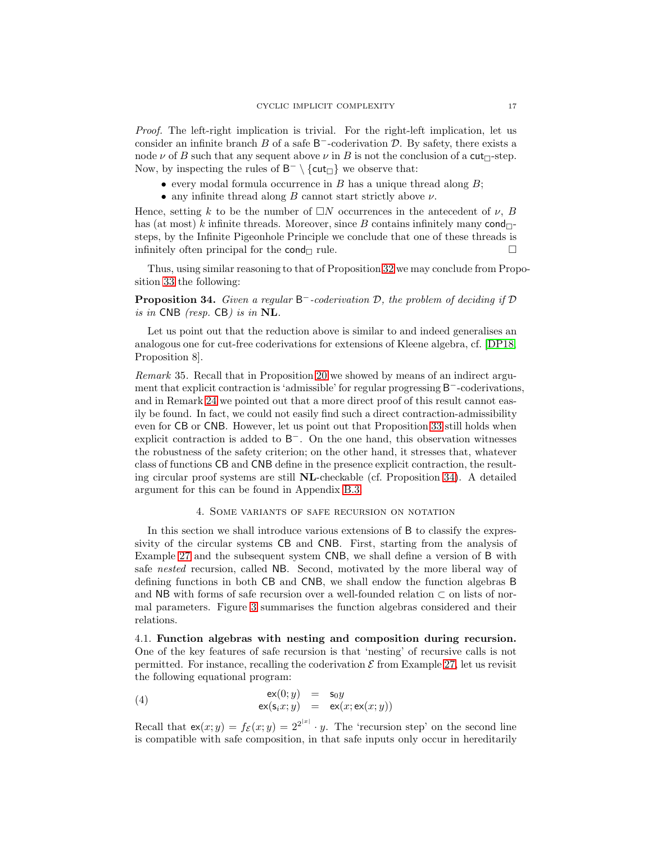Proof. The left-right implication is trivial. For the right-left implication, let us consider an infinite branch  $B$  of a safe  $B^-$ -coderivation  $D$ . By safety, there exists a node  $\nu$  of B such that any sequent above  $\nu$  in B is not the conclusion of a cut $\Box$ -step. Now, by inspecting the rules of  $B^- \setminus \{cut_\Box\}$  we observe that:

- every modal formula occurrence in  $B$  has a unique thread along  $B$ ;
- any infinite thread along  $B$  cannot start strictly above  $\nu$ .

Hence, setting k to be the number of  $\Box N$  occurrences in the antecedent of  $\nu$ , B has (at most) k infinite threads. Moreover, since B contains infinitely many  $\text{cond}_{\Box}$ steps, by the Infinite Pigeonhole Principle we conclude that one of these threads is infinitely often principal for the cond  $\Box$  rule.  $\Box$ 

<span id="page-17-1"></span>Thus, using similar reasoning to that of Proposition [32](#page-16-0) we may conclude from Proposition [33](#page-16-1) the following:

**Proposition 34.** Given a regular  $B^-$ -coderivation  $D$ , the problem of deciding if  $D$ is in CNB (resp. CB) is in NL.

Let us point out that the reduction above is similar to and indeed generalises an analogous one for cut-free coderivations for extensions of Kleene algebra, cf. [\[DP18,](#page-38-2) Proposition 8].

<span id="page-17-3"></span>Remark 35. Recall that in Proposition [20](#page-12-1) we showed by means of an indirect argument that explicit contraction is 'admissible' for regular progressing B<sup>-</sup>-coderivations, and in Remark [24](#page-14-3) we pointed out that a more direct proof of this result cannot easily be found. In fact, we could not easily find such a direct contraction-admissibility even for CB or CNB. However, let us point out that Proposition [33](#page-16-1) still holds when explicit contraction is added to B<sup>-</sup>. On the one hand, this observation witnesses the robustness of the safety criterion; on the other hand, it stresses that, whatever class of functions CB and CNB define in the presence explicit contraction, the resulting circular proof systems are still NL-checkable (cf. Proposition [34\)](#page-17-1). A detailed argument for this can be found in Appendix [B.3.](#page-43-0)

#### 4. Some variants of safe recursion on notation

<span id="page-17-0"></span>In this section we shall introduce various extensions of B to classify the expressivity of the circular systems CB and CNB. First, starting from the analysis of Example [27](#page-14-2) and the subsequent system CNB, we shall define a version of B with safe nested recursion, called NB. Second, motivated by the more liberal way of defining functions in both CB and CNB, we shall endow the function algebras B and NB with forms of safe recursion over a well-founded relation  $\subset$  on lists of normal parameters. Figure [3](#page-18-0) summarises the function algebras considered and their relations.

4.1. Function algebras with nesting and composition during recursion. One of the key features of safe recursion is that 'nesting' of recursive calls is not permitted. For instance, recalling the coderivation  $\mathcal E$  from Example [27,](#page-14-2) let us revisit the following equational program:

<span id="page-17-2"></span>(4) 
$$
\begin{array}{rcl}\n\mathsf{ex}(0;y) & = & \mathsf{s}_0 y \\
\mathsf{ex}(\mathsf{s}_i x; y) & = & \mathsf{ex}(x; \mathsf{ex}(x; y))\n\end{array}
$$

Recall that  $ex(x; y) = f_{\mathcal{E}}(x; y) = 2^{2^{|\mathcal{E}|}} \cdot y$ . The 'recursion step' on the second line is compatible with safe composition, in that safe inputs only occur in hereditarily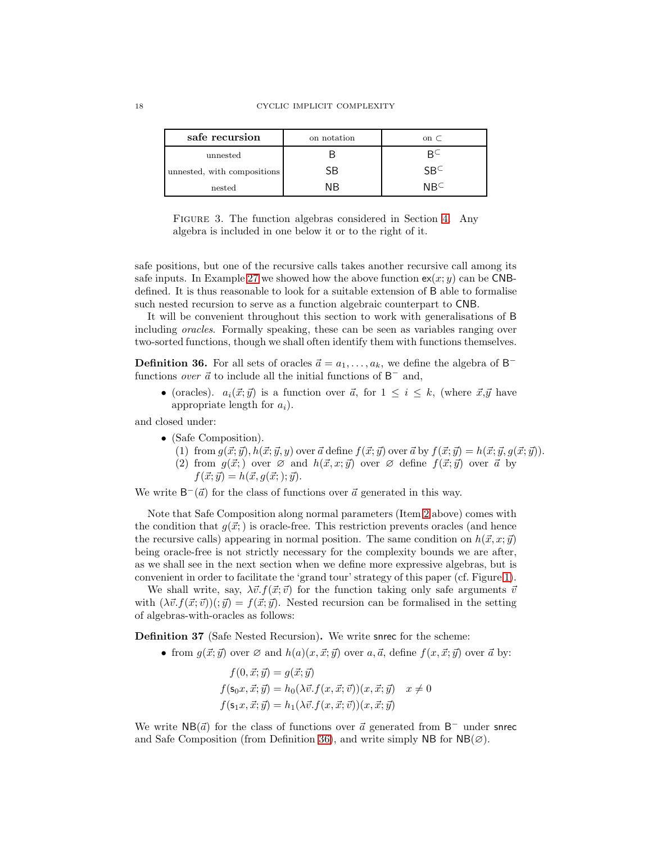| safe recursion              | on notation | on $\subset$ |
|-----------------------------|-------------|--------------|
| unnested                    |             |              |
| unnested, with compositions | 5В          | SRC          |
| nested                      | ΝR          | NR∟          |

<span id="page-18-0"></span>FIGURE 3. The function algebras considered in Section [4.](#page-17-0) Any algebra is included in one below it or to the right of it.

safe positions, but one of the recursive calls takes another recursive call among its safe inputs. In Example [27](#page-14-2) we showed how the above function  $ex(x; y)$  can be CNBdefined. It is thus reasonable to look for a suitable extension of B able to formalise such nested recursion to serve as a function algebraic counterpart to CNB.

It will be convenient throughout this section to work with generalisations of B including oracles. Formally speaking, these can be seen as variables ranging over two-sorted functions, though we shall often identify them with functions themselves.

<span id="page-18-2"></span>**Definition 36.** For all sets of oracles  $\vec{a} = a_1, \ldots, a_k$ , we define the algebra of B<sup>-</sup> functions *over*  $\vec{a}$  to include all the initial functions of  $B^-$  and,

• (oracles).  $a_i(\vec{x}; \vec{y})$  is a function over  $\vec{a}$ , for  $1 \leq i \leq k$ , (where  $\vec{x}, \vec{y}$  have appropriate length for  $a_i$ ).

<span id="page-18-3"></span>and closed under:

- <span id="page-18-1"></span>• (Safe Composition).
	- (1) from  $g(\vec{x}; \vec{y})$ ,  $h(\vec{x}; \vec{y}, y)$  over  $\vec{a}$  define  $f(\vec{x}; \vec{y})$  over  $\vec{a}$  by  $f(\vec{x}; \vec{y}) = h(\vec{x}; \vec{y}, g(\vec{x}; \vec{y}))$ .
	- (2) from  $q(\vec{x};)$  over  $\varnothing$  and  $h(\vec{x}, x; \vec{y})$  over  $\varnothing$  define  $f(\vec{x}; \vec{y})$  over  $\vec{a}$  by  $f(\vec{x}; \vec{y}) = h(\vec{x}, g(\vec{x}; ); \vec{y}).$

We write  $B^{-}(\vec{a})$  for the class of functions over  $\vec{a}$  generated in this way.

Note that Safe Composition along normal parameters (Item [2](#page-18-1) above) comes with the condition that  $g(\vec{x})$  is oracle-free. This restriction prevents oracles (and hence the recursive calls) appearing in normal position. The same condition on  $h(\vec{x}, x; \vec{y})$ being oracle-free is not strictly necessary for the complexity bounds we are after, as we shall see in the next section when we define more expressive algebras, but is convenient in order to facilitate the 'grand tour' strategy of this paper (cf. Figure [1\)](#page-3-1).

We shall write, say,  $\lambda \vec{v}$ .  $f(\vec{x}; \vec{v})$  for the function taking only safe arguments  $\vec{v}$ with  $(\lambda \vec{v}.f(\vec{x}; \vec{v}))$ ;  $\vec{y}$  =  $f(\vec{x}; \vec{y})$ . Nested recursion can be formalised in the setting of algebras-with-oracles as follows:

Definition 37 (Safe Nested Recursion). We write snrec for the scheme:

• from  $g(\vec{x}; \vec{y})$  over  $\varnothing$  and  $h(a)(x, \vec{x}; \vec{y})$  over  $a, \vec{a}$ , define  $f(x, \vec{x}; \vec{y})$  over  $\vec{a}$  by:

$$
f(0, \vec{x}; \vec{y}) = g(\vec{x}; \vec{y})
$$
  
\n
$$
f(\mathsf{s}_0 x, \vec{x}; \vec{y}) = h_0(\lambda \vec{v}. f(x, \vec{x}; \vec{v})) (x, \vec{x}; \vec{y}) \quad x \neq 0
$$
  
\n
$$
f(\mathsf{s}_1 x, \vec{x}; \vec{y}) = h_1(\lambda \vec{v}. f(x, \vec{x}; \vec{v})) (x, \vec{x}; \vec{y})
$$

We write  $NB(\vec{a})$  for the class of functions over  $\vec{a}$  generated from B<sup>-</sup> under snrec and Safe Composition (from Definition [36\)](#page-18-2), and write simply NB for  $NB(\emptyset)$ .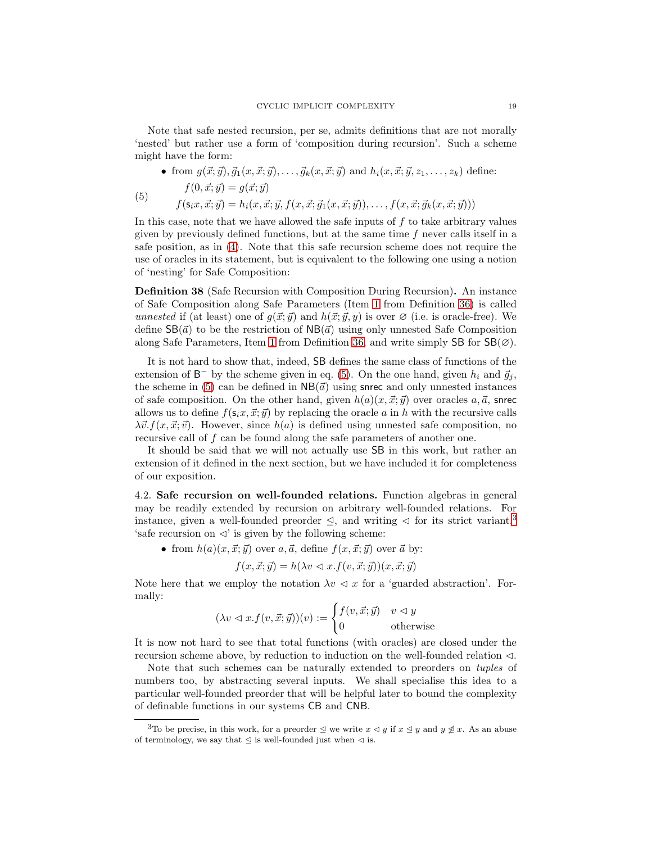Note that safe nested recursion, per se, admits definitions that are not morally 'nested' but rather use a form of 'composition during recursion'. Such a scheme might have the form:

• from 
$$
g(\vec{x}; \vec{y}), \vec{g}_1(x, \vec{x}; \vec{y}), \dots, \vec{g}_k(x, \vec{x}; \vec{y})
$$
 and  $h_i(x, \vec{x}; \vec{y}, z_1, \dots, z_k)$  define:  
\n
$$
f(0, \vec{x}; \vec{y}) = g(\vec{x}; \vec{y})
$$

<span id="page-19-0"></span>
$$
f(\mathbf{s}_i x, \vec{x}; \vec{y}) = h_i(x, \vec{x}; \vec{y}, f(x, \vec{x}; \vec{g}_1(x, \vec{x}; \vec{y})), \dots, f(x, \vec{x}; \vec{g}_k(x, \vec{x}; \vec{y})))
$$

In this case, note that we have allowed the safe inputs of  $f$  to take arbitrary values given by previously defined functions, but at the same time  $f$  never calls itself in a safe position, as in [\(4\)](#page-17-2). Note that this safe recursion scheme does not require the use of oracles in its statement, but is equivalent to the following one using a notion of 'nesting' for Safe Composition:

<span id="page-19-2"></span>Definition 38 (Safe Recursion with Composition During Recursion). An instance of Safe Composition along Safe Parameters (Item [1](#page-18-3) from Definition [36\)](#page-18-2) is called unnested if (at least) one of  $q(\vec{x}; \vec{y})$  and  $h(\vec{x}; \vec{y}, y)$  is over  $\varnothing$  (i.e. is oracle-free). We define  $\text{SB}(\vec{a})$  to be the restriction of  $\text{NB}(\vec{a})$  using only unnested Safe Composition along Safe Parameters, Item [1](#page-18-3) from Definition [36,](#page-18-2) and write simply SB for  $\text{SB}(\emptyset)$ .

It is not hard to show that, indeed, SB defines the same class of functions of the extension of  $B^-$  by the scheme given in eq. [\(5\)](#page-19-0). On the one hand, given  $h_i$  and  $\vec{g}_j$ , the scheme in [\(5\)](#page-19-0) can be defined in  $NB(\vec{a})$  using snrec and only unnested instances of safe composition. On the other hand, given  $h(a)(x, \vec{x}; \vec{y})$  over oracles  $a, \vec{a}$ , snrec allows us to define  $f(s_i x, \vec{x}; \vec{y})$  by replacing the oracle a in h with the recursive calls  $\lambda \vec{v}$ .  $f(x, \vec{x}; \vec{v})$ . However, since  $h(a)$  is defined using unnested safe composition, no recursive call of f can be found along the safe parameters of another one.

It should be said that we will not actually use SB in this work, but rather an extension of it defined in the next section, but we have included it for completeness of our exposition.

4.2. Safe recursion on well-founded relations. Function algebras in general may be readily extended by recursion on arbitrary well-founded relations. For instance, given a well-founded preorder  $\leq$ , and writing  $\leq$  for its strict variant,<sup>[3](#page-19-1)</sup> 'safe recursion on  $\triangleleft$ ' is given by the following scheme:

• from  $h(a)(x, \vec{x}; \vec{y})$  over  $a, \vec{a}$ , define  $f(x, \vec{x}; \vec{y})$  over  $\vec{a}$  by:

$$
f(x, \vec{x}; \vec{y}) = h(\lambda v \lhd x \cdot f(v, \vec{x}; \vec{y})) (x, \vec{x}; \vec{y})
$$

Note here that we employ the notation  $\lambda v \leq x$  for a 'guarded abstraction'. Formally:

$$
(\lambda v \lhd x.f(v,\vec{x};\vec{y}))(v) := \begin{cases} f(v,\vec{x};\vec{y}) & v \lhd y \\ 0 & \text{otherwise} \end{cases}
$$

It is now not hard to see that total functions (with oracles) are closed under the recursion scheme above, by reduction to induction on the well-founded relation  $\lhd$ .

Note that such schemes can be naturally extended to preorders on *tuples* of numbers too, by abstracting several inputs. We shall specialise this idea to a particular well-founded preorder that will be helpful later to bound the complexity of definable functions in our systems CB and CNB.

<span id="page-19-1"></span><sup>&</sup>lt;sup>3</sup>To be precise, in this work, for a preorder  $\leq$  we write  $x \leq y$  if  $x \leq y$  and  $y \not\leq x$ . As an abuse of terminology, we say that  $\leq$  is well-founded just when  $\lhd$  is.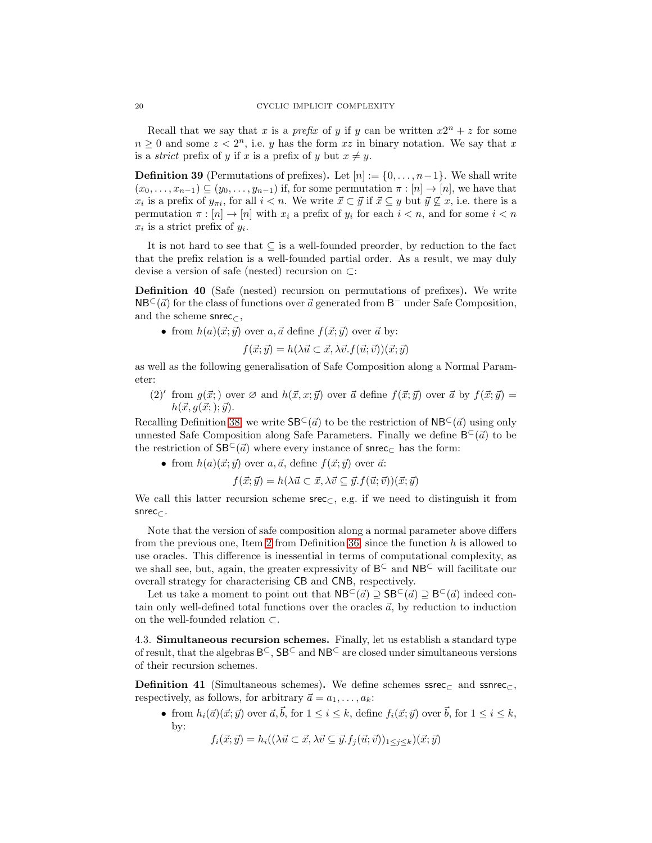Recall that we say that x is a *prefix* of y if y can be written  $x2^n + z$  for some  $n \geq 0$  and some  $z < 2<sup>n</sup>$ , i.e. y has the form xz in binary notation. We say that x is a *strict* prefix of y if x is a prefix of y but  $x \neq y$ .

**Definition 39** (Permutations of prefixes). Let  $[n] := \{0, \ldots, n-1\}$ . We shall write  $(x_0, \ldots, x_{n-1}) \subseteq (y_0, \ldots, y_{n-1})$  if, for some permutation  $\pi : [n] \to [n]$ , we have that  $x_i$  is a prefix of  $y_{\pi i}$ , for all  $i < n$ . We write  $\vec{x} \subset \vec{y}$  if  $\vec{x} \subseteq y$  but  $\vec{y} \not\subseteq x$ , i.e. there is a permutation  $\pi : [n] \to [n]$  with  $x_i$  a prefix of  $y_i$  for each  $i < n$ , and for some  $i < n$  $x_i$  is a strict prefix of  $y_i$ .

It is not hard to see that  $\subseteq$  is a well-founded preorder, by reduction to the fact that the prefix relation is a well-founded partial order. As a result, we may duly devise a version of safe (nested) recursion on ⊂:

Definition 40 (Safe (nested) recursion on permutations of prefixes). We write  $NB<sup>C</sup>(\vec{a})$  for the class of functions over  $\vec{a}$  generated from  $B^-$  under Safe Composition, and the scheme snrec $\subset$ ,

• from  $h(a)(\vec{x}; \vec{y})$  over a,  $\vec{a}$  define  $f(\vec{x}; \vec{y})$  over  $\vec{a}$  by:

$$
f(\vec{x}; \vec{y}) = h(\lambda \vec{u} \subset \vec{x}, \lambda \vec{v}. f(\vec{u}; \vec{v}))(\vec{x}; \vec{y})
$$

as well as the following generalisation of Safe Composition along a Normal Parameter:

(2)' from  $g(\vec{x};)$  over  $\varnothing$  and  $h(\vec{x}, x; \vec{y})$  over  $\vec{a}$  define  $f(\vec{x}; \vec{y})$  over  $\vec{a}$  by  $f(\vec{x}; \vec{y}) =$  $h(\vec{x}, g(\vec{x}; ); \vec{y}).$ 

Recalling Definition [38,](#page-19-2) we write  $SB<sup>C</sup>(\vec{a})$  to be the restriction of  $NB<sup>C</sup>(\vec{a})$  using only unnested Safe Composition along Safe Parameters. Finally we define  $B^{\subset}(\vec{a})$  to be the restriction of  $SB^{\subset}(\vec{a})$  where every instance of snrec<sub>⊂</sub> has the form:

• from  $h(a)(\vec{x}; \vec{y})$  over a,  $\vec{a}$ , define  $f(\vec{x}; \vec{y})$  over  $\vec{a}$ :

$$
f(\vec{x}; \vec{y}) = h(\lambda \vec{u} \subset \vec{x}, \lambda \vec{v} \subseteq \vec{y}. f(\vec{u}; \vec{v})) (\vec{x}; \vec{y})
$$

We call this latter recursion scheme  $\sec\zeta$ , e.g. if we need to distinguish it from snrec⊂.

Note that the version of safe composition along a normal parameter above differs from the previous one, Item [2](#page-18-1) from Definition [36,](#page-18-2) since the function  $h$  is allowed to use oracles. This difference is inessential in terms of computational complexity, as we shall see, but, again, the greater expressivity of  $B^{\subset}$  and  $NB^{\subset}$  will facilitate our overall strategy for characterising CB and CNB, respectively.

Let us take a moment to point out that  $NB<sup>C</sup>(\vec{a}) \supseteq SB<sup>C</sup>(\vec{a})$  indeed contain only well-defined total functions over the oracles  $\vec{a}$ , by reduction to induction on the well-founded relation ⊂.

4.3. Simultaneous recursion schemes. Finally, let us establish a standard type of result, that the algebras  $\mathsf{B}^{\subset}$ ,  $\mathsf{S}\mathsf{B}^{\subset}$  and  $\mathsf{N}\mathsf{B}^{\subset}$  are closed under simultaneous versions of their recursion schemes.

<span id="page-20-0"></span>**Definition 41** (Simultaneous schemes). We define schemes ssrec<sub> $\subset$ </sub> and ssnrec<sub> $\subset$ </sub>, respectively, as follows, for arbitrary  $\vec{a} = a_1, \ldots, a_k$ :

• from  $h_i(\vec{a})(\vec{x}; \vec{y})$  over  $\vec{a}, \vec{b}$ , for  $1 \leq i \leq k$ , define  $f_i(\vec{x}; \vec{y})$  over  $\vec{b}$ , for  $1 \leq i \leq k$ , by:

 $f_i(\vec{x}; \vec{y}) = h_i((\lambda \vec{u} \subset \vec{x}, \lambda \vec{v} \subset \vec{y}, f_i(\vec{u}; \vec{v}))_{1 \leq i \leq k})(\vec{x}; \vec{y})$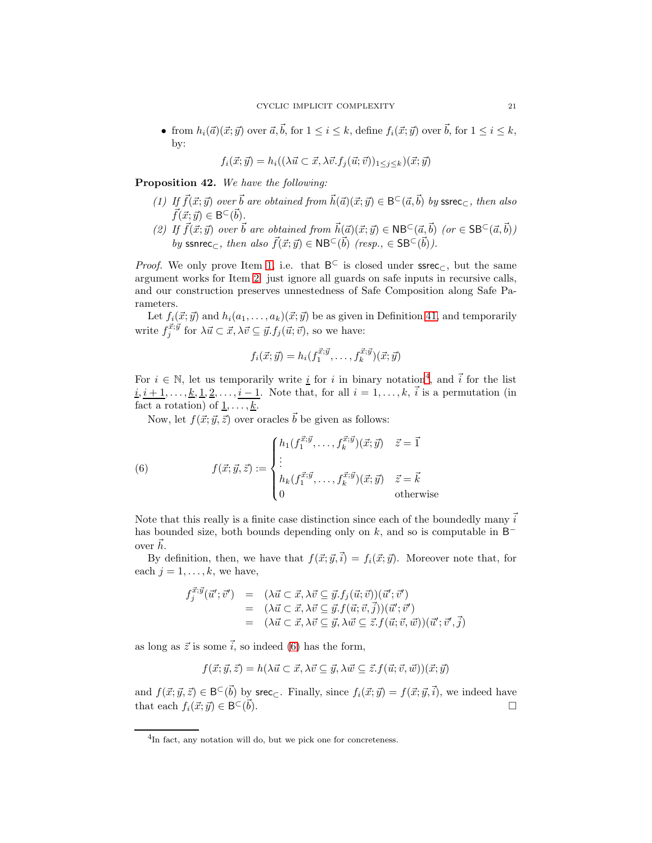• from  $h_i(\vec{a})(\vec{x}; \vec{y})$  over  $\vec{a}, \vec{b}$ , for  $1 \leq i \leq k$ , define  $f_i(\vec{x}; \vec{y})$  over  $\vec{b}$ , for  $1 \leq i \leq k$ , by:

$$
f_i(\vec{x}; \vec{y}) = h_i((\lambda \vec{u} \subset \vec{x}, \lambda \vec{v}. f_j(\vec{u}; \vec{v}))_{1 \leq j \leq k})(\vec{x}; \vec{y})
$$

<span id="page-21-4"></span><span id="page-21-0"></span>Proposition 42. We have the following:

- (1) If  $\vec{f}(\vec{x}; \vec{y})$  over  $\vec{b}$  are obtained from  $\vec{h}(\vec{a})(\vec{x}; \vec{y}) \in B^{\subset}(\vec{a}, \vec{b})$  by ssrec<sub>C</sub>, then also  $\vec{f}(\vec{x}; \vec{y}) \in \mathsf{B}^{\subset}(\vec{b}).$
- <span id="page-21-1"></span>(2) If  $\vec{f}(\vec{x}; \vec{y})$  over  $\vec{b}$  are obtained from  $\vec{h}(\vec{a})(\vec{x}; \vec{y}) \in \text{NB}^{\subset}(\vec{a}, \vec{b})$  (or  $\in \text{SB}^{\subset}(\vec{a}, \vec{b})$ ) by ssnrec<sub>⊂</sub>, then also  $\vec{f}(\vec{x}; \vec{y}) \in \mathsf{NB}^{\subset}(\vec{b})$  (resp.,  $\in \mathsf{SB}^{\subset}(\vec{b})$ ).

*Proof.* We only prove Item [1,](#page-21-0) i.e. that  $B^{\subset}$  is closed under ssrec<sub> $\subset$ </sub>, but the same argument works for Item [2:](#page-21-1) just ignore all guards on safe inputs in recursive calls, and our construction preserves unnestedness of Safe Composition along Safe Parameters.

Let  $f_i(\vec{x}; \vec{y})$  and  $h_i(a_1, \ldots, a_k)(\vec{x}; \vec{y})$  be as given in Definition [41,](#page-20-0) and temporarily write  $f_j^{\vec{x};\vec{y}}$  for  $\lambda \vec{u} \subset \vec{x}, \lambda \vec{v} \subseteq \vec{y}. f_j(\vec{u}; \vec{v})$ , so we have:

$$
f_i(\vec{x}; \vec{y}) = h_i(f_1^{\vec{x}; \vec{y}}, \dots, f_k^{\vec{x}; \vec{y}})(\vec{x}; \vec{y})
$$

For  $i \in \mathbb{N}$ , let us temporarily write <u>i</u> for i in binary notation<sup>[4](#page-21-2)</sup>, and i for the list  $i, i+1, \ldots, k, 1, 2, \ldots, i-1$ . Note that, for all  $i = 1, \ldots, k, i$  is a permutation (in fact a rotation) of  $\underline{1}, \ldots, \underline{k}$ .

Now, let  $f(\vec{x}; \vec{y}, \vec{z})$  over oracles  $\vec{b}$  be given as follows:

<span id="page-21-3"></span>(6) 
$$
f(\vec{x}; \vec{y}, \vec{z}) := \begin{cases} h_1(f_1^{\vec{x}; \vec{y}}, \dots, f_k^{\vec{x}; \vec{y}})(\vec{x}; \vec{y}) & \vec{z} = \vec{1} \\ \vdots \\ h_k(f_1^{\vec{x}; \vec{y}}, \dots, f_k^{\vec{x}; \vec{y}})(\vec{x}; \vec{y}) & \vec{z} = \vec{k} \\ 0 & \text{otherwise} \end{cases}
$$

Note that this really is a finite case distinction since each of the boundedly many  $\vec{i}$ has bounded size, both bounds depending only on  $k$ , and so is computable in  $\mathsf{B}^$ over  $\vec{h}$ .

By definition, then, we have that  $f(\vec{x}; \vec{y}, \vec{i}) = f_i(\vec{x}; \vec{y})$ . Moreover note that, for each  $j = 1, \ldots, k$ , we have,

$$
f_j^{\vec{x};\vec{y}}(\vec{u}';\vec{v}') = (\lambda \vec{u} \subset \vec{x}, \lambda \vec{v} \subseteq \vec{y}. f_j(\vec{u};\vec{v}))(\vec{u}';\vec{v}')
$$
  
\n
$$
= (\lambda \vec{u} \subset \vec{x}, \lambda \vec{v} \subseteq \vec{y}. f(\vec{u};\vec{v},\vec{j}))(\vec{u}';\vec{v}')
$$
  
\n
$$
= (\lambda \vec{u} \subset \vec{x}, \lambda \vec{v} \subseteq \vec{y}, \lambda \vec{w} \subseteq \vec{z}. f(\vec{u};\vec{v},\vec{w}))(\vec{u}';\vec{v}',\vec{j})
$$

as long as  $\vec{z}$  is some  $\vec{i}$ , so indeed [\(6\)](#page-21-3) has the form,

$$
f(\vec{x}; \vec{y}, \vec{z}) = h(\lambda \vec{u} \subset \vec{x}, \lambda \vec{v} \subseteq \vec{y}, \lambda \vec{w} \subseteq \vec{z}. f(\vec{u}; \vec{v}, \vec{w}))(\vec{x}; \vec{y})
$$

and  $f(\vec{x}; \vec{y}, \vec{z}) \in \mathsf{B}^{\subset}(\vec{b})$  by srec<sub>C</sub>. Finally, since  $f_i(\vec{x}; \vec{y}) = f(\vec{x}; \vec{y}, \vec{i})$ , we indeed have that each  $f_i(\vec{x}; \vec{y}) \in \mathsf{B}^{\subset}$  $\vec{b}$ ).

<span id="page-21-2"></span><sup>4</sup> In fact, any notation will do, but we pick one for concreteness.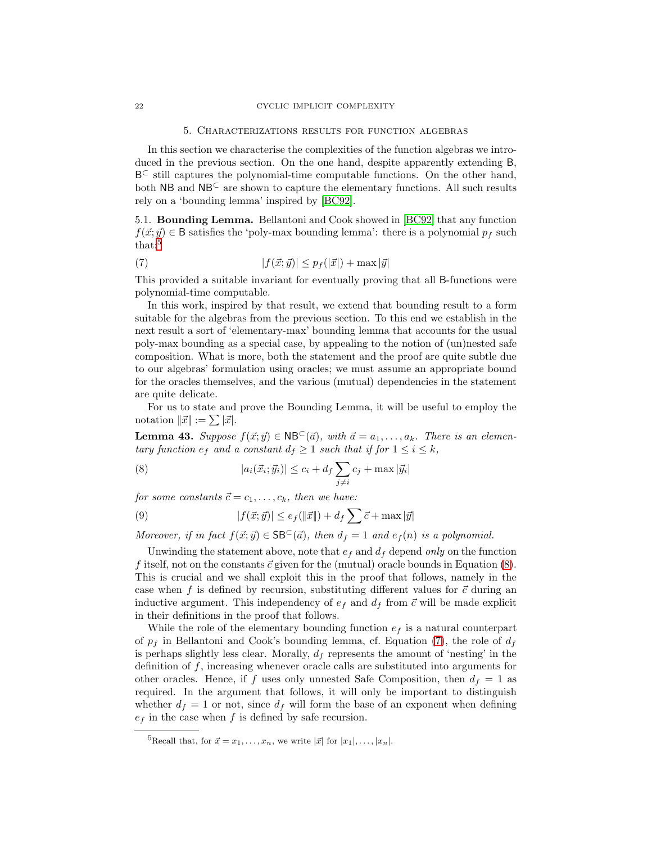#### 5. Characterizations results for function algebras

<span id="page-22-0"></span>In this section we characterise the complexities of the function algebras we introduced in the previous section. On the one hand, despite apparently extending B, B⊂ still captures the polynomial-time computable functions. On the other hand, both NB and NB<sup>⊂</sup> are shown to capture the elementary functions. All such results rely on a 'bounding lemma' inspired by [\[BC92\]](#page-37-4).

5.1. Bounding Lemma. Bellantoni and Cook showed in [\[BC92\]](#page-37-4) that any function  $f(\vec{x}; \vec{y}) \in \mathsf{B}$  satisfies the 'poly-max bounding lemma': there is a polynomial  $p_f$  such that:<sup>[5](#page-22-2)</sup>

<span id="page-22-4"></span>(7) 
$$
|f(\vec{x};\vec{y})| \le p_f(|\vec{x}|) + \max |\vec{y}|
$$

This provided a suitable invariant for eventually proving that all B-functions were polynomial-time computable.

In this work, inspired by that result, we extend that bounding result to a form suitable for the algebras from the previous section. To this end we establish in the next result a sort of 'elementary-max' bounding lemma that accounts for the usual poly-max bounding as a special case, by appealing to the notion of (un)nested safe composition. What is more, both the statement and the proof are quite subtle due to our algebras' formulation using oracles; we must assume an appropriate bound for the oracles themselves, and the various (mutual) dependencies in the statement are quite delicate.

<span id="page-22-1"></span>For us to state and prove the Bounding Lemma, it will be useful to employ the notation  $\|\vec{x}\| := \sum |\vec{x}|$ .

**Lemma 43.** Suppose  $f(\vec{x}; \vec{y}) \in \text{NB}^{\subset}(\vec{a})$ , with  $\vec{a} = a_1, \ldots, a_k$ . There is an elementary function  $e_f$  and a constant  $d_f \geq 1$  such that if for  $1 \leq i \leq k$ ,

<span id="page-22-3"></span>(8) 
$$
|a_i(\vec{x}_i; \vec{y}_i)| \leq c_i + d_f \sum_{j \neq i} c_j + \max |\vec{y}_i|
$$

for some constants  $\vec{c} = c_1, \ldots, c_k$ , then we have:

<span id="page-22-5"></span>(9) 
$$
|f(\vec{x};\vec{y})| \leq e_f(\|\vec{x}\|) + d_f \sum \vec{c} + \max |\vec{y}|
$$

Moreover, if in fact  $f(\vec{x}; \vec{y}) \in \mathsf{SB}^{\subset}(\vec{a})$ , then  $d_f = 1$  and  $e_f(n)$  is a polynomial.

Unwinding the statement above, note that  $e_f$  and  $d_f$  depend only on the function f itself, not on the constants  $\vec{c}$  given for the (mutual) oracle bounds in Equation [\(8\)](#page-22-3). This is crucial and we shall exploit this in the proof that follows, namely in the case when f is defined by recursion, substituting different values for  $\vec{c}$  during an inductive argument. This independency of  $e_f$  and  $d_f$  from  $\vec{c}$  will be made explicit in their definitions in the proof that follows.

While the role of the elementary bounding function  $e_f$  is a natural counterpart of  $p_f$  in Bellantoni and Cook's bounding lemma, cf. Equation [\(7\)](#page-22-4), the role of  $d_f$ is perhaps slightly less clear. Morally,  $d_f$  represents the amount of 'nesting' in the definition of  $f$ , increasing whenever oracle calls are substituted into arguments for other oracles. Hence, if f uses only unnested Safe Composition, then  $d_f = 1$  as required. In the argument that follows, it will only be important to distinguish whether  $d_f = 1$  or not, since  $d_f$  will form the base of an exponent when defining  $e_f$  in the case when f is defined by safe recursion.

<span id="page-22-2"></span><sup>&</sup>lt;sup>5</sup>Recall that, for  $\vec{x} = x_1, \ldots, x_n$ , we write  $|\vec{x}|$  for  $|x_1|, \ldots, |x_n|$ .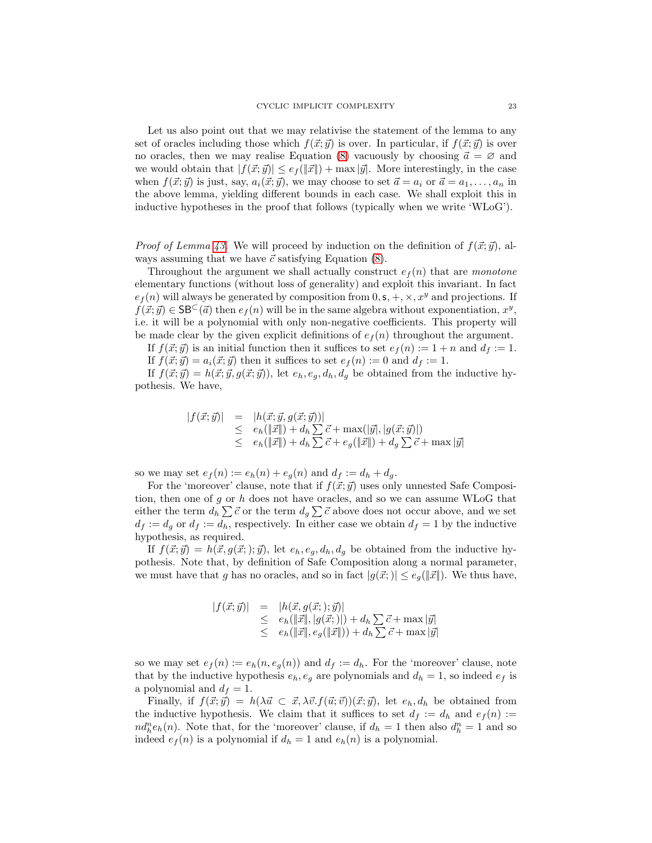Let us also point out that we may relativise the statement of the lemma to any set of oracles including those which  $f(\vec{x}; \vec{y})$  is over. In particular, if  $f(\vec{x}; \vec{y})$  is over no oracles, then we may realise Equation [\(8\)](#page-22-3) vacuously by choosing  $\vec{a} = \emptyset$  and we would obtain that  $|f(\vec{x}; \vec{y})| \leq e_f(\|\vec{x}\|) + \max |\vec{y}|$ . More interestingly, in the case when  $f(\vec{x}; \vec{y})$  is just, say,  $a_i(\vec{x}; \vec{y})$ , we may choose to set  $\vec{a} = a_i$  or  $\vec{a} = a_1, \ldots, a_n$  in the above lemma, yielding different bounds in each case. We shall exploit this in inductive hypotheses in the proof that follows (typically when we write 'WLoG').

*Proof of Lemma [43.](#page-22-1)* We will proceed by induction on the definition of  $f(\vec{x}; \vec{y})$ , always assuming that we have  $\vec{c}$  satisfying Equation [\(8\)](#page-22-3).

Throughout the argument we shall actually construct  $e_f(n)$  that are monotone elementary functions (without loss of generality) and exploit this invariant. In fact  $e_f(n)$  will always be generated by composition from  $0, s, +, \times, x^y$  and projections. If  $f(\vec{x}; \vec{y}) \in \mathsf{SB}^{\subset}(\vec{a})$  then  $e_f(n)$  will be in the same algebra without exponentiation,  $x^y$ , i.e. it will be a polynomial with only non-negative coefficients. This property will be made clear by the given explicit definitions of  $e_f(n)$  throughout the argument.

If  $f(\vec{x}; \vec{y})$  is an initial function then it suffices to set  $e_f(n) := 1 + n$  and  $d_f := 1$ .

If  $f(\vec{x}; \vec{y}) = a_i(\vec{x}; \vec{y})$  then it suffices to set  $e_f(n) := 0$  and  $d_f := 1$ .

If  $f(\vec{x}; \vec{y}) = h(\vec{x}; \vec{y}, g(\vec{x}; \vec{y}))$ , let  $e_h, e_g, d_h, d_g$  be obtained from the inductive hypothesis. We have,

$$
|f(\vec{x};\vec{y})| = |h(\vec{x};\vec{y},g(\vec{x};\vec{y}))|
$$
  
\n
$$
\leq e_h(\|\vec{x}\|) + d_h \sum \vec{c} + \max(|\vec{y}|, |g(\vec{x};\vec{y})|)
$$
  
\n
$$
\leq e_h(\|\vec{x}\|) + d_h \sum \vec{c} + e_g(\|\vec{x}\|) + d_g \sum \vec{c} + \max|\vec{y}|
$$

so we may set  $e_f(n) := e_h(n) + e_g(n)$  and  $d_f := d_h + d_g$ .

For the 'moreover' clause, note that if  $f(\vec{x}; \vec{y})$  uses only unnested Safe Composition, then one of g or h does not have oracles, and so we can assume  $WLoG$  that either the term  $d_h \sum \vec{c}$  or the term  $d_g \sum \vec{c}$  above does not occur above, and we set  $d_f := d_g$  or  $d_f := d_h$ , respectively. In either case we obtain  $d_f = 1$  by the inductive hypothesis, as required.

If  $f(\vec{x}; \vec{y}) = h(\vec{x}, g(\vec{x};); \vec{y})$ , let  $e_h, e_g, d_h, d_g$  be obtained from the inductive hypothesis. Note that, by definition of Safe Composition along a normal parameter, we must have that g has no oracles, and so in fact  $|g(\vec{x};)| \leq e_q(\|\vec{x}\|)$ . We thus have,

$$
|f(\vec{x}; \vec{y})| = |h(\vec{x}, g(\vec{x};); \vec{y})|
$$
  
\n
$$
\leq e_h(||\vec{x}||, |g(\vec{x};)|) + d_h \sum \vec{c} + \max |\vec{y}|
$$
  
\n
$$
\leq e_h(||\vec{x}||, e_g(||\vec{x}||)) + d_h \sum \vec{c} + \max |\vec{y}|
$$

so we may set  $e_f(n) := e_h(n, e_g(n))$  and  $d_f := d_h$ . For the 'moreover' clause, note that by the inductive hypothesis  $e_h$ ,  $e_g$  are polynomials and  $d_h = 1$ , so indeed  $e_f$  is a polynomial and  $d_f = 1$ .

Finally, if  $f(\vec{x}; \vec{y}) = h(\lambda \vec{u} \subset \vec{x}, \lambda \vec{v}.f(\vec{u}; \vec{v}))(\vec{x}; \vec{y})$ , let  $e_h, d_h$  be obtained from the inductive hypothesis. We claim that it suffices to set  $d_f := d_h$  and  $e_f(n) :=$  $nd_h^n e_h(n)$ . Note that, for the 'moreover' clause, if  $d_h = 1$  then also  $d_h^n = 1$  and so indeed  $e_f(n)$  is a polynomial if  $d_h = 1$  and  $e_h(n)$  is a polynomial.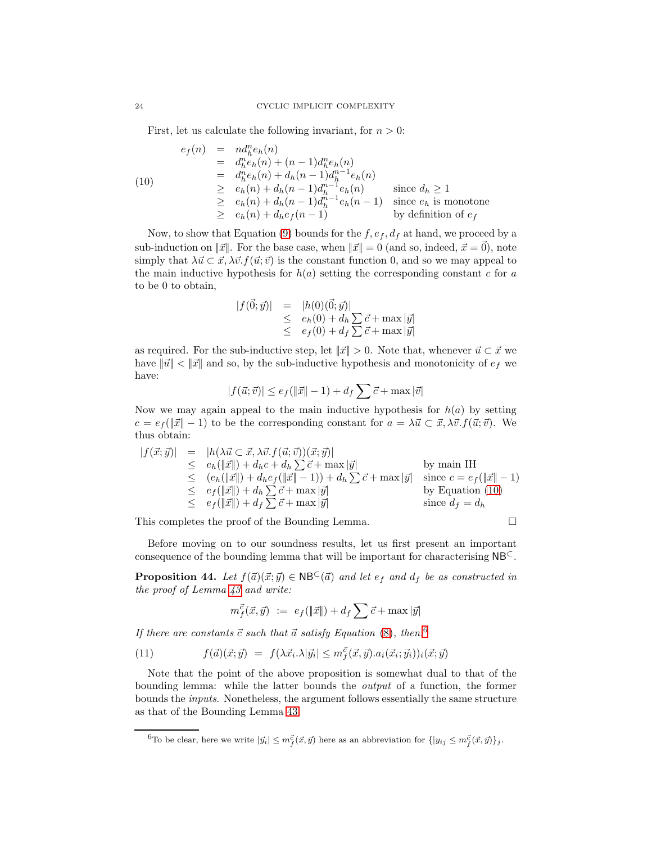First, let us calculate the following invariant, for  $n > 0$ :

<span id="page-24-0"></span>
$$
e_f(n) = nd_h^n e_h(n)
$$
  
\n
$$
= d_h^n e_h(n) + (n-1)d_h^n e_h(n)
$$
  
\n
$$
= d_h^n e_h(n) + d_h(n-1)d_h^{n-1} e_h(n)
$$
  
\n
$$
\geq e_h(n) + d_h(n-1)d_h^{n-1} e_h(n)
$$
 since  $d_h \geq 1$   
\n
$$
\geq e_h(n) + d_h(n-1)d_h^{n-1} e_h(n-1)
$$
 since  $e_h$  is monotone  
\n
$$
\geq e_h(n) + d_h e_f(n-1)
$$
 by definition of  $e_f$ 

Now, to show that Equation [\(9\)](#page-22-5) bounds for the  $f, e_f, d_f$  at hand, we proceed by a sub-induction on  $||\vec{x}||$ . For the base case, when  $||\vec{x}|| = 0$  (and so, indeed,  $\vec{x} = \vec{0}$ ), note simply that  $\lambda \vec{u} \subset \vec{x}, \lambda \vec{v}$ .  $f(\vec{u}; \vec{v})$  is the constant function 0, and so we may appeal to the main inductive hypothesis for  $h(a)$  setting the corresponding constant c for a to be 0 to obtain,

$$
|f(\vec{0};\vec{y})| = |h(0)(\vec{0};\vec{y})|
$$
  
\n
$$
\leq e_h(0) + d_h \sum \vec{c} + \max |\vec{y}|
$$
  
\n
$$
\leq e_f(0) + d_f \sum \vec{c} + \max |\vec{y}|
$$

as required. For the sub-inductive step, let  $\|\vec{x}\| > 0$ . Note that, whenever  $\vec{u} \subset \vec{x}$  we have  $\|\vec{u}\| < \|\vec{x}\|$  and so, by the sub-inductive hypothesis and monotonicity of  $e_f$  we have:

$$
|f(\vec{u};\vec{v})| \leq e_f(\|\vec{x}\|-1) + d_f \sum \vec{c} + \max |\vec{v}|
$$

Now we may again appeal to the main inductive hypothesis for  $h(a)$  by setting  $c = e_f(||\vec{x}|| - 1)$  to be the corresponding constant for  $a = \lambda \vec{u} \subset \vec{x}, \lambda \vec{v}. f(\vec{u}; \vec{v})$ . We thus obtain:

$$
|f(\vec{x};\vec{y})| = |h(\lambda \vec{u} \subset \vec{x}, \lambda \vec{v} \cdot f(\vec{u};\vec{v}))(\vec{x};\vec{y})|
$$
  
\n
$$
\leq e_h(||\vec{x}||) + d_h c + d_h \sum \vec{c} + \max |\vec{y}|
$$
 by main IH  
\n
$$
\leq (e_h(||\vec{x}||) + d_h e_f(||\vec{x}|| - 1)) + d_h \sum \vec{c} + \max |\vec{y}|
$$
 since  $c = e_f(||\vec{x}|| - 1)$   
\n
$$
\leq e_f(||\vec{x}||) + d_h \sum \vec{c} + \max |\vec{y}|
$$
 by Equation (10)  
\n
$$
\leq e_f(||\vec{x}||) + d_f \sum \vec{c} + \max |\vec{y}|
$$
 since  $d_f = d_h$ 

This completes the proof of the Bounding Lemma.

<span id="page-24-3"></span>Before moving on to our soundness results, let us first present an important consequence of the bounding lemma that will be important for characterising NB<sup>⊂</sup>.

**Proposition 44.** Let  $f(\vec{a})(\vec{x}; \vec{y}) \in \text{NB}^{\subset}(\vec{a})$  and let  $e_f$  and  $d_f$  be as constructed in the proof of Lemma [43](#page-22-1) and write:

<span id="page-24-2"></span>
$$
m_f^{\vec{c}}(\vec{x}, \vec{y}) \ := \ e_f(\|\vec{x}\|) + d_f \sum \vec{c} + \max |\vec{y}|
$$

If there are constants  $\vec{c}$  such that  $\vec{a}$  satisfy Equation [\(8\)](#page-22-3), then.<sup>[6](#page-24-1)</sup>

(11) 
$$
f(\vec{a})(\vec{x}; \vec{y}) = f(\lambda \vec{x}_i \cdot \lambda |\vec{y}_i| \leq m_f^{\vec{c}}(\vec{x}, \vec{y}) . a_i(\vec{x}_i; \vec{y}_i))_i(\vec{x}; \vec{y})
$$

Note that the point of the above proposition is somewhat dual to that of the bounding lemma: while the latter bounds the output of a function, the former bounds the inputs. Nonetheless, the argument follows essentially the same structure as that of the Bounding Lemma [43.](#page-22-1)

<span id="page-24-1"></span><sup>&</sup>lt;sup>6</sup>To be clear, here we write  $|\vec{y}_i| \leq m_f^{\vec{c}}(\vec{x}, \vec{y})$  here as an abbreviation for  $\{|y_{ij} \leq m_f^{\vec{c}}(\vec{x}, \vec{y})\}_j$ .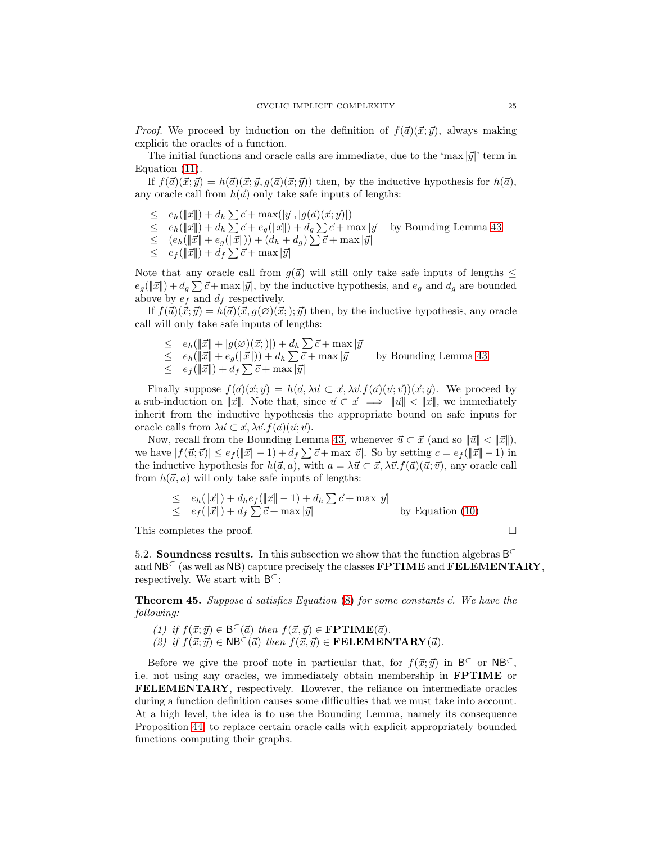*Proof.* We proceed by induction on the definition of  $f(\vec{a})(\vec{x}; \vec{y})$ , always making explicit the oracles of a function.

The initial functions and oracle calls are immediate, due to the 'max  $|\vec{y}|$ ' term in Equation [\(11\)](#page-24-2).

If  $f(\vec{a})(\vec{x}; \vec{y}) = h(\vec{a})(\vec{x}; \vec{y}, g(\vec{a})(\vec{x}; \vec{y}))$  then, by the inductive hypothesis for  $h(\vec{a})$ , any oracle call from  $h(\vec{a})$  only take safe inputs of lengths:

- $\leq e_h(\|\vec{x}\|) + d_h \sum \vec{c} + \max(|\vec{y}|, |g(\vec{a})(\vec{x}; \vec{y})|)$
- $\leq e_h(\Vert \vec{x} \Vert) + d_h \sum \vec{c} + e_g(\Vert \vec{x} \Vert) + d_g \sum \vec{c} + \text{max} |\vec{y}|$  by Bounding Lemma [43](#page-22-1)
- $\leq (e_h(\|\vec{x}\| + e_g(\|\vec{x}\|)) + (d_h + d_g) \sum \vec{c} + \max |\vec{y}|)$
- $\leq e_f(\Vert\vec{x}\Vert) + d_f\sum \vec{c} + \max|\vec{y}|$

Note that any oracle call from  $g(\vec{a})$  will still only take safe inputs of lengths  $\leq$  $e_g(\|\vec{x}\|) + d_g \sum \vec{c} + \max |\vec{y}|$ , by the inductive hypothesis, and  $e_g$  and  $d_g$  are bounded above by  $e_f$  and  $d_f$  respectively.

If  $f(\vec{a})(\vec{x}; \vec{y}) = h(\vec{a})(\vec{x}, g(\emptyset)(\vec{x}; \vec{y}))$  then, by the inductive hypothesis, any oracle call will only take safe inputs of lengths:

 $\leq e_h(\Vert \vec{x} \Vert + \vert g(\varnothing)(\vec{x}; \Vert) + d_h \sum \vec{c} + \max |\vec{y}|)$  $\leq e_h(\|\vec{x}\| + e_g(\|\vec{x}\|)) + d_h$ by Bounding Lemma  $43$  $\leq e_f(\Vert\vec{x}\Vert) + d_f\sum \vec{c} + \max|\vec{y}|$ 

Finally suppose  $f(\vec{a})(\vec{x}; \vec{y}) = h(\vec{a}, \lambda \vec{u} \subset \vec{x}, \lambda \vec{v}.f(\vec{a})(\vec{u}; \vec{v}))(\vec{x}; \vec{y})$ . We proceed by a sub-induction on  $||\vec{x}||$ . Note that, since  $\vec{u} \subset \vec{x} \implies ||\vec{u}|| < ||\vec{x}||$ , we immediately inherit from the inductive hypothesis the appropriate bound on safe inputs for oracle calls from  $\lambda \vec{u} \subset \vec{x}, \lambda \vec{v}.f(\vec{a})(\vec{u}; \vec{v}).$ 

Now, recall from the Bounding Lemma [43,](#page-22-1) whenever  $\vec{u} \subset \vec{x}$  (and so  $\|\vec{u}\| < \|\vec{x}\|$ ), we have  $|f(\vec{u}; \vec{v})| \leq e_f(||\vec{x}|| - 1) + d_f \sum \vec{c} + \max |\vec{v}|$ . So by setting  $c = e_f(||\vec{x}|| - 1)$  in the inductive hypothesis for  $h(\vec{a}, a)$ , with  $a = \lambda \vec{u} \subset \vec{x}, \lambda \vec{v}. f(\vec{a})(\vec{u}; \vec{v})$ , any oracle call from  $h(\vec{a}, a)$  will only take safe inputs of lengths:

$$
\leq e_h(\Vert \vec{x} \Vert) + d_h e_f(\Vert \vec{x} \Vert - 1) + d_h \sum \vec{c} + \max |\vec{y}|
$$
  
 
$$
\leq e_f(\Vert \vec{x} \Vert) + d_f \sum \vec{c} + \max |\vec{y}|
$$
 by Equation (10)

This completes the proof.

5.2. **Soundness results.** In this subsection we show that the function algebras  $B^{\subset}$ and  $N\mathsf{B}^{\subset}$  (as well as  $N\mathsf{B}$ ) capture precisely the classes  $\mathbf{FPTIME}$  and  $\mathbf{FELEMENTARY}$ , respectively. We start with  $B^{\subset}$ :

<span id="page-25-1"></span><span id="page-25-0"></span>**Theorem 45.** Suppose  $\vec{a}$  satisfies Equation [\(8\)](#page-22-3) for some constants  $\vec{c}$ . We have the following:

- (1) if  $f(\vec{x}; \vec{y}) \in B^{\subset}(\vec{a})$  then  $f(\vec{x}, \vec{y}) \in \textbf{FPTIME}(\vec{a})$ .
- (2) if  $f(\vec{x}; \vec{y}) \in \mathsf{NB}^{\subset}(\vec{a})$  then  $f(\vec{x}, \vec{y}) \in \mathbf{FELEMENTARY}(\vec{a})$ .

Before we give the proof note in particular that, for  $f(\vec{x}; \vec{y})$  in  $B^{\subset}$  or  $NB^{\subset}$ , i.e. not using any oracles, we immediately obtain membership in FPTIME or FELEMENTARY, respectively. However, the reliance on intermediate oracles during a function definition causes some difficulties that we must take into account. At a high level, the idea is to use the Bounding Lemma, namely its consequence Proposition [44,](#page-24-3) to replace certain oracle calls with explicit appropriately bounded functions computing their graphs.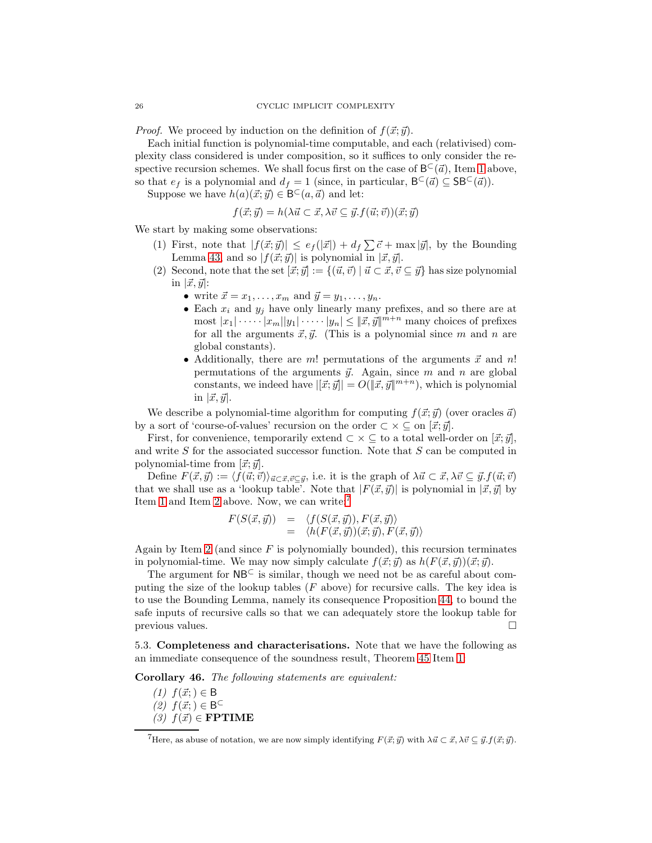*Proof.* We proceed by induction on the definition of  $f(\vec{x}; \vec{y})$ .

Each initial function is polynomial-time computable, and each (relativised) complexity class considered is under composition, so it suffices to only consider the respective recursion schemes. We shall focus first on the case of  $B^{\subset}(\vec{a})$ , Item [1](#page-25-1) above, so that  $e_f$  is a polynomial and  $d_f = 1$  (since, in particular,  $B^{\subset}(\vec{a}) \subseteq \mathsf{SB}^{\subset}(\vec{a})$ ).

Suppose we have  $h(a)(\vec{x}; \vec{y}) \in B^{\subset}(a, \vec{a})$  and let:

$$
f(\vec{x}; \vec{y}) = h(\lambda \vec{u} \subset \vec{x}, \lambda \vec{v} \subseteq \vec{y}. f(\vec{u}; \vec{v}))(\vec{x}; \vec{y})
$$

<span id="page-26-1"></span>We start by making some observations:

- (1) First, note that  $|f(\vec{x}; \vec{y})| \leq e_f(|\vec{x}|) + d_f \sum \vec{c} + \max |\vec{y}|$ , by the Bounding Lemma [43,](#page-22-1) and so  $|f(\vec{x}; \vec{y})|$  is polynomial in  $|\vec{x}, \vec{y}|$ .
- <span id="page-26-2"></span>(2) Second, note that the set  $[\vec{x}; \vec{y}] := \{(\vec{u}, \vec{v}) \mid \vec{u} \subset \vec{x}, \vec{v} \subseteq \vec{y}\}\)$  has size polynomial in  $|\vec{x}, \vec{y}|$ :
	- write  $\vec{x} = x_1, \ldots, x_m$  and  $\vec{y} = y_1, \ldots, y_n$ .
	- Each  $x_i$  and  $y_j$  have only linearly many prefixes, and so there are at most  $|x_1| \cdots |x_m||y_1| \cdots |y_n| \leq ||\vec{x}, \vec{y}||^{m+n}$  many choices of prefixes for all the arguments  $\vec{x}, \vec{y}$ . (This is a polynomial since m and n are global constants).
	- Additionally, there are m! permutations of the arguments  $\vec{x}$  and n! permutations of the arguments  $\vec{y}$ . Again, since m and n are global constants, we indeed have  $|[\vec{x}; \vec{y}]| = O(|\vec{x}, \vec{y}|^{m+n})$ , which is polynomial in  $|\vec{x}, \vec{y}|$ .

We describe a polynomial-time algorithm for computing  $f(\vec{x}; \vec{y})$  (over oracles  $\vec{a}$ ) by a sort of 'course-of-values' recursion on the order  $\subset \times \subseteq$  on  $[\vec{x}; \vec{y}]$ .

First, for convenience, temporarily extend  $\subset \times \subseteq$  to a total well-order on  $[\vec{x}; \vec{y}]$ , and write  $S$  for the associated successor function. Note that  $S$  can be computed in polynomial-time from  $[\vec{x}; \vec{y}]$ .

Define  $F(\vec{x}, \vec{y}) := \langle f(\vec{u}; \vec{v}) \rangle_{\vec{u} \subset \vec{x}, \vec{v} \subset \vec{y}},$  i.e. it is the graph of  $\lambda \vec{u} \subset \vec{x}, \lambda \vec{v} \subseteq \vec{y}.f(\vec{u}; \vec{v})$ that we shall use as a 'lookup table'. Note that  $|F(\vec{x}, \vec{y})|$  is polynomial in  $|\vec{x}, \vec{y}|$  by Item [1](#page-26-1) and Item [2](#page-26-2) above. Now, we can write:[7](#page-26-3)

$$
F(S(\vec{x}, \vec{y})) = \langle f(S(\vec{x}, \vec{y})), F(\vec{x}, \vec{y}) \rangle = \langle h(F(\vec{x}, \vec{y}))(\vec{x}; \vec{y}), F(\vec{x}, \vec{y}) \rangle
$$

Again by Item [2](#page-26-2) (and since  $F$  is polynomially bounded), this recursion terminates in polynomial-time. We may now simply calculate  $f(\vec{x}; \vec{y})$  as  $h(F(\vec{x}, \vec{y}))(\vec{x}; \vec{y})$ .

The argument for  $NB<sup>C</sup>$  is similar, though we need not be as careful about computing the size of the lookup tables  $(F \t{ above})$  for recursive calls. The key idea is to use the Bounding Lemma, namely its consequence Proposition [44,](#page-24-3) to bound the safe inputs of recursive calls so that we can adequately store the lookup table for  $p$ revious values.  $\Box$ 

<span id="page-26-0"></span>5.3. Completeness and characterisations. Note that we have the following as an immediate consequence of the soundness result, Theorem [45](#page-25-0) Item [1:](#page-25-1)

<span id="page-26-4"></span>Corollary 46. The following statements are equivalent:

<span id="page-26-6"></span><span id="page-26-5"></span> $(1)$   $f(\vec{x}; ) \in B$  $(2)$   $f(\vec{x}; ) \in \mathsf{B}^{\subset}$ (3)  $f(\vec{x}) \in \textbf{FPTIME}$ 

<span id="page-26-3"></span><sup>&</sup>lt;sup>7</sup>Here, as abuse of notation, we are now simply identifying  $F(\vec{x}; \vec{y})$  with  $\lambda \vec{u} \subset \vec{x}, \lambda \vec{v} \subseteq \vec{y}.f(\vec{x}; \vec{y})$ .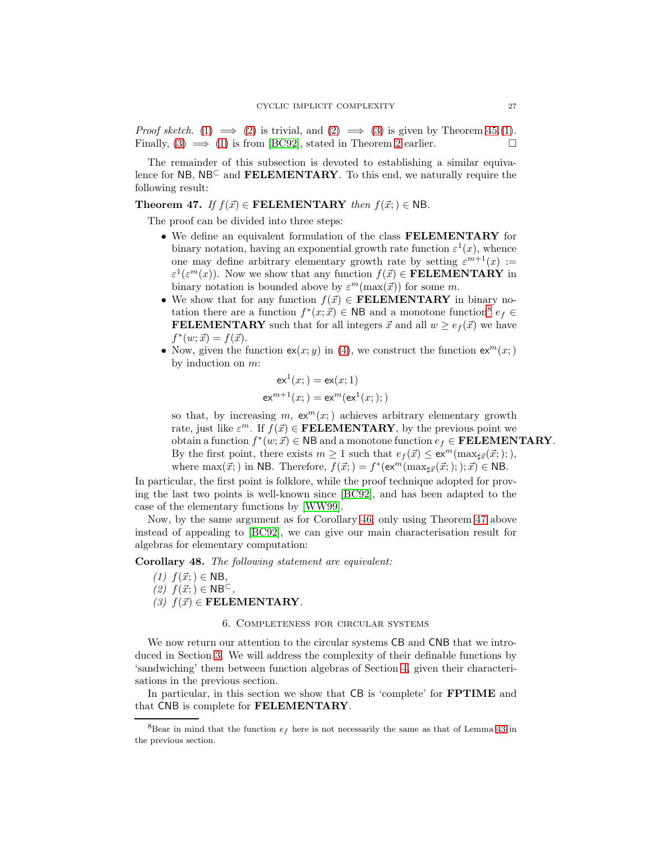*Proof sketch.* [\(1\)](#page-25-1)  $\implies$  [\(2\)](#page-26-5) is trivial, and [\(2\)](#page-26-5)  $\implies$  [\(3\)](#page-26-6) is given by Theorem [45.](#page-25-0)(1). Finally,  $(3) \implies (1)$  $(3) \implies (1)$  is from [\[BC92\]](#page-37-4), stated in Theorem [2](#page-4-1) earlier.

The remainder of this subsection is devoted to establishing a similar equivalence for NB,  $NB<sup>C</sup>$  and FELEMENTARY. To this end, we naturally require the following result:

<span id="page-27-0"></span>Theorem 47. If  $f(\vec{x}) \in \textbf{FELEMENTARY}$  then  $f(\vec{x};) \in \textbf{NB}$ .

The proof can be divided into three steps:

- We define an equivalent formulation of the class FELEMENTARY for binary notation, having an exponential growth rate function  $\varepsilon^1(x)$ , whence one may define arbitrary elementary growth rate by setting  $\varepsilon^{m+1}(x) :=$  $\varepsilon^1(\varepsilon^m(x))$ . Now we show that any function  $f(\vec{x}) \in \textbf{FELEMENTARY}$  in binary notation is bounded above by  $\varepsilon^{m}(\max(\vec{x}))$  for some m.
- We show that for any function  $f(\vec{x}) \in \textbf{FELEMENTARY}$  in binary notation there are a function  $f^*(x; \vec{x}) \in \mathsf{NB}$  and a monotone function<sup>[8](#page-27-3)</sup>  $e_f \in \mathsf{B}$ **FELEMENTARY** such that for all integers  $\vec{x}$  and all  $w \geq e_f(\vec{x})$  we have  $f^*(w; \vec{x}) = f(\vec{x}).$
- Now, given the function  $ex(x; y)$  in [\(4\)](#page-17-2), we construct the function  $ex^m(x; )$ by induction on  $m$ :

$$
ex^{1}(x; ) = ex(x; 1)
$$
  

$$
ex^{m+1}(x; ) = ex^{m}(ex^{1}(x; ); )
$$

so that, by increasing m,  $ex^m(x)$  achieves arbitrary elementary growth rate, just like  $\varepsilon^m$ . If  $f(\vec{x}) \in \textbf{FELEMENTARY}$ , by the previous point we obtain a function  $f^*(w; \vec{x}) \in \mathsf{NB}$  and a monotone function  $e_f \in \mathbf{FELEMENTARY}$ . By the first point, there exists  $m \ge 1$  such that  $e_f(\vec{x}) \le \text{ex}^m(\max_{\vec{x}}(\vec{x};));$ where  $\max(\vec{x};)$  in NB. Therefore,  $f(\vec{x};) = f^*(\exp(\max_{\sharp \vec{x}}(\vec{x};)); \vec{x}) \in \text{NB}$ .

In particular, the first point is folklore, while the proof technique adopted for proving the last two points is well-known since [\[BC92\]](#page-37-4), and has been adapted to the case of the elementary functions by [\[WW99\]](#page-39-1).

Now, by the same argument as for Corollary [46,](#page-26-0) only using Theorem [47](#page-27-0) above instead of appealing to [\[BC92\]](#page-37-4), we can give our main characterisation result for algebras for elementary computation:

<span id="page-27-1"></span>Corollary 48. The following statement are equivalent:

 $(1)$   $f(\vec{x}; ) \in NB$ ,  $(2)$   $f(\vec{x}; ) \in \text{NB}^{\subset}$ , (3)  $f(\vec{x}) \in \textbf{FELEMENTARY}.$ 

#### 6. Completeness for circular systems

<span id="page-27-2"></span>We now return our attention to the circular systems CB and CNB that we introduced in Section [3.](#page-8-0) We will address the complexity of their definable functions by 'sandwiching' them between function algebras of Section [4,](#page-17-0) given their characterisations in the previous section.

In particular, in this section we show that CB is 'complete' for **FPTIME** and that CNB is complete for FELEMENTARY.

<span id="page-27-3"></span> ${}^{8}$ Bear in mind that the function  $e_f$  here is not necessarily the same as that of Lemma [43](#page-22-1) in the previous section.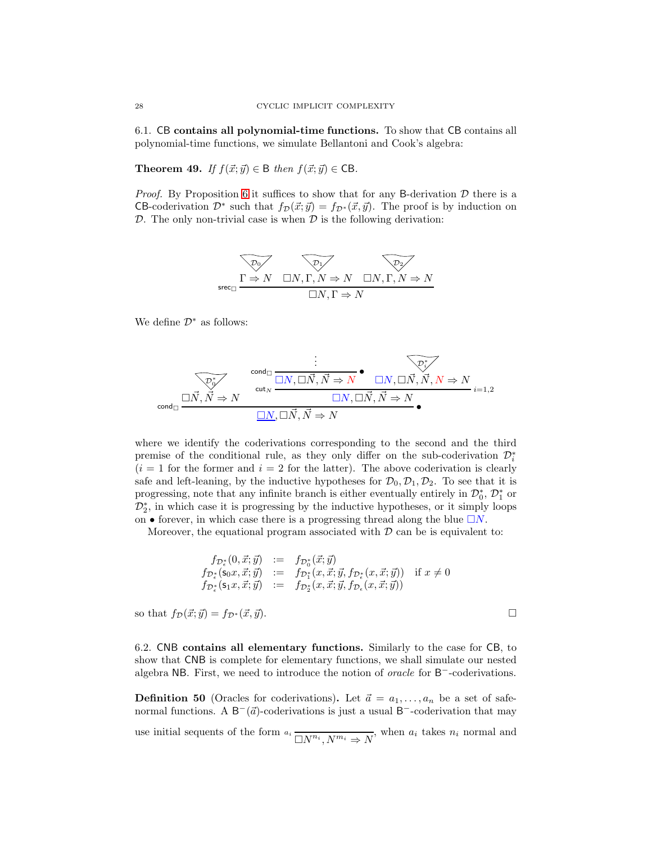<span id="page-28-0"></span>6.1. CB contains all polynomial-time functions. To show that CB contains all polynomial-time functions, we simulate Bellantoni and Cook's algebra:

**Theorem 49.** If  $f(\vec{x}; \vec{y}) \in \mathsf{B}$  then  $f(\vec{x}; \vec{y}) \in \mathsf{CB}$ .

*Proof.* By Proposition [6](#page-8-1) it suffices to show that for any B-derivation  $D$  there is a CB-coderivation  $\mathcal{D}^*$  such that  $f_{\mathcal{D}}(\vec{x}; \vec{y}) = f_{\mathcal{D}^*}(\vec{x}, \vec{y})$ . The proof is by induction on  $\mathcal{D}$ . The only non-trivial case is when  $\mathcal{D}$  is the following derivation:

$$
\overbrace{\Gamma \Rightarrow N \quad \Box N, \Gamma, N \Rightarrow N \quad \Box N, \Gamma, N \Rightarrow N}^{\text{D}_1} \quad \overbrace{\Box N, \Gamma \Rightarrow N}^{\text{D}_2} \quad \overbrace{\Box N, \Gamma \Rightarrow N}^{\text{D}_2}
$$

We define  $\mathcal{D}^*$  as follows:

$$
\begin{array}{ccc}\n&\vdots & \overbrace{\mathcal{D}_{0}^{*}} \\
\hline\n\downarrow & & \text{curl}_{N} \\
\hline\n\text{cond}_{\Box} & \Box N, \Box \vec{N}, \vec{N} \Rightarrow N & \Box N, \Box \vec{N}, \vec{N}, N \Rightarrow N \\
&\Box N, \Box \vec{N}, \vec{N} \Rightarrow N & \\
&\Box N, \Box \vec{N}, \vec{N} \Rightarrow N\n\end{array}
$$

where we identify the coderivations corresponding to the second and the third premise of the conditional rule, as they only differ on the sub-coderivation  $\mathcal{D}_i^*$  $(i = 1$  for the former and  $i = 2$  for the latter). The above coderivation is clearly safe and left-leaning, by the inductive hypotheses for  $\mathcal{D}_0$ ,  $\mathcal{D}_1$ ,  $\mathcal{D}_2$ . To see that it is progressing, note that any infinite branch is either eventually entirely in  $\mathcal{D}_0^*$ ,  $\mathcal{D}_1^*$  or  $\mathcal{D}_2^*$ , in which case it is progressing by the inductive hypotheses, or it simply loops on • forever, in which case there is a progressing thread along the blue  $\Box N$ .

Moreover, the equational program associated with  $D$  can be is equivalent to:

$$
f_{\mathcal{D}_{\epsilon}^{*}}(0, \vec{x}; \vec{y}) := f_{\mathcal{D}_{0}^{*}}(\vec{x}; \vec{y}) f_{\mathcal{D}_{\epsilon}^{*}}(s_{0}x, \vec{x}; \vec{y}) := f_{\mathcal{D}_{1}^{*}}(x, \vec{x}; \vec{y}, f_{\mathcal{D}_{\epsilon}^{*}}(x, \vec{x}; \vec{y})) \text{ if } x \neq 0 f_{\mathcal{D}_{\epsilon}^{*}}(s_{1}x, \vec{x}; \vec{y}) := f_{\mathcal{D}_{2}^{*}}(x, \vec{x}; \vec{y}, f_{\mathcal{D}_{\epsilon}}(x, \vec{x}; \vec{y}))
$$

so that  $f_{\mathcal{D}}(\vec{x}; \vec{y}) = f_{\mathcal{D}^*}(\vec{x}, \vec{y}).$ 

6.2. CNB contains all elementary functions. Similarly to the case for CB, to show that CNB is complete for elementary functions, we shall simulate our nested algebra NB. First, we need to introduce the notion of *oracle* for B<sup>−</sup>-coderivations.

**Definition 50** (Oracles for coderivations). Let  $\vec{a} = a_1, \ldots, a_n$  be a set of safenormal functions. A  $B^{-}(\vec{a})$ -coderivations is just a usual  $B^{-}$ -coderivation that may

use initial sequents of the form  $a_i \overline{\Box N^{n_i}, N^{m_i} \Rightarrow N}$ , when  $a_i$  takes  $n_i$  normal and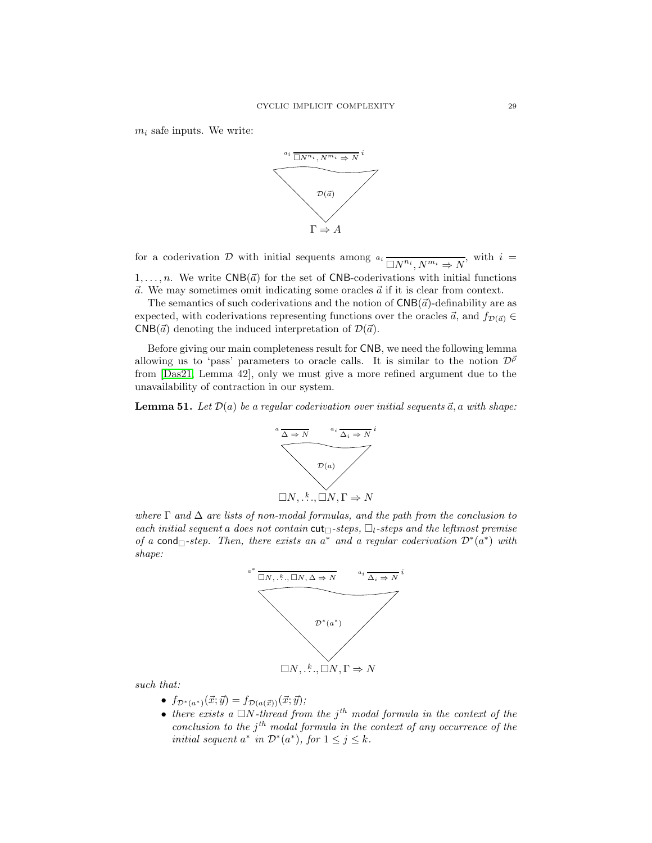$m_i$  safe inputs. We write:



for a coderivation D with initial sequents among  $a_i \overline{\Box N^{n_i}, N^{m_i} \Rightarrow N}$ , with  $i =$  $1, \ldots, n$ . We write CNB( $\vec{a}$ ) for the set of CNB-coderivations with initial functions

 $\vec{a}$ . We may sometimes omit indicating some oracles  $\vec{a}$  if it is clear from context. The semantics of such coderivations and the notion of  $\mathsf{CNB}(\vec{a})$ -definability are as expected, with coderivations representing functions over the oracles  $\vec{a}$ , and  $f_{\mathcal{D}(\vec{a})} \in$  $CNB(\vec{a})$  denoting the induced interpretation of  $\mathcal{D}(\vec{a})$ .

Before giving our main completeness result for CNB, we need the following lemma allowing us to 'pass' parameters to oracle calls. It is similar to the notion  $\mathcal{D}^{\bar{\rho}}$ from [\[Das21,](#page-37-3) Lemma 42], only we must give a more refined argument due to the unavailability of contraction in our system.

<span id="page-29-0"></span>**Lemma 51.** Let  $\mathcal{D}(a)$  be a regular coderivation over initial sequents  $\vec{a}$ , a with shape:



where  $\Gamma$  and  $\Delta$  are lists of non-modal formulas, and the path from the conclusion to each initial sequent a does not contain cut $\Box$ -steps,  $\Box$ <sub>1</sub>-steps and the leftmost premise of a cond $\Box$ -step. Then, there exists an a<sup>\*</sup> and a regular coderivation  $\mathcal{D}^*(a^*)$  with shape:



such that:

- $f_{\mathcal{D}^*(a^*)}(\vec{x}; \vec{y}) = f_{\mathcal{D}(a(\vec{x}))}(\vec{x}; \vec{y});$
- there exists a  $\Box N$ -thread from the j<sup>th</sup> modal formula in the context of the conclusion to the  $j<sup>th</sup>$  modal formula in the context of any occurrence of the initial sequent  $a^*$  in  $\mathcal{D}^*(a^*)$ , for  $1 \leq j \leq k$ .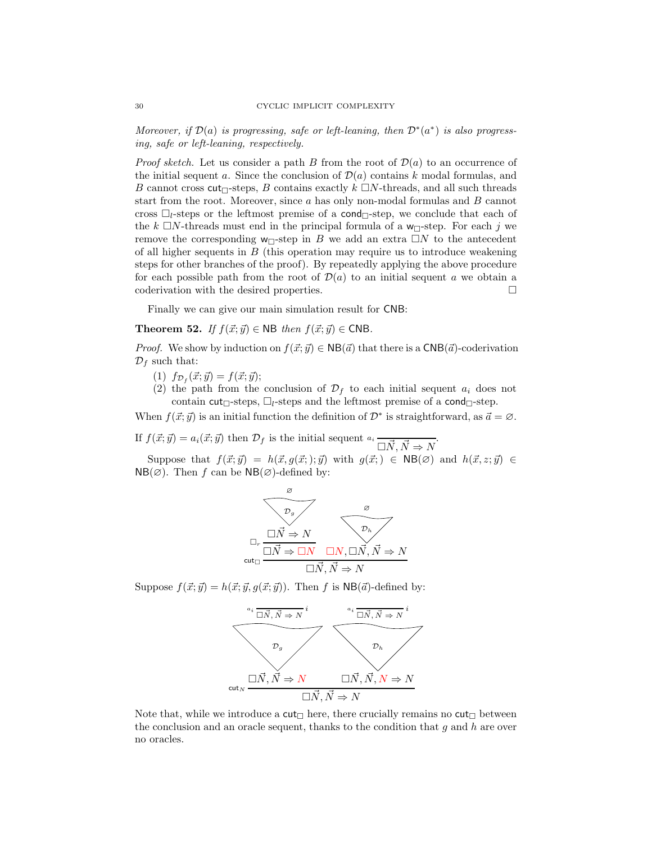Moreover, if  $\mathcal{D}(a)$  is progressing, safe or left-leaning, then  $\mathcal{D}^*(a^*)$  is also progressing, safe or left-leaning, respectively.

*Proof sketch.* Let us consider a path B from the root of  $\mathcal{D}(a)$  to an occurrence of the initial sequent a. Since the conclusion of  $\mathcal{D}(a)$  contains k modal formulas, and B cannot cross  $\text{cut}_{\Box}$ -steps, B contains exactly  $k \Box N$ -threads, and all such threads start from the root. Moreover, since  $a$  has only non-modal formulas and  $B$  cannot cross  $\Box_l$ -steps or the leftmost premise of a cond $\Box_l$ -step, we conclude that each of the k  $\Box N$ -threads must end in the principal formula of a w $\Box$ -step. For each j we remove the corresponding  $w_{\Box}$ -step in B we add an extra  $\Box N$  to the antecedent of all higher sequents in  $B$  (this operation may require us to introduce weakening steps for other branches of the proof). By repeatedly applying the above procedure for each possible path from the root of  $\mathcal{D}(a)$  to an initial sequent a we obtain a coderivation with the desired properties.

<span id="page-30-0"></span>Finally we can give our main simulation result for CNB:

**Theorem 52.** If  $f(\vec{x}; \vec{y}) \in \text{NB}$  then  $f(\vec{x}; \vec{y}) \in \text{CNB}$ .

*Proof.* We show by induction on  $f(\vec{x}; \vec{y}) \in NB(\vec{a})$  that there is a CNB( $\vec{a}$ )-coderivation  $\mathcal{D}_f$  such that:

- (1)  $f_{\mathcal{D}_f}(\vec{x}; \vec{y}) = f(\vec{x}; \vec{y});$
- (2) the path from the conclusion of  $\mathcal{D}_f$  to each initial sequent  $a_i$  does not contain cut<sub> $\Box$ </sub>-steps,  $\Box_l$ -steps and the leftmost premise of a cond $\Box$ -step.

When  $f(\vec{x}; \vec{y})$  is an initial function the definition of  $\mathcal{D}^*$  is straightforward, as  $\vec{a} = \emptyset$ .

If  $f(\vec{x}; \vec{y}) = a_i(\vec{x}; \vec{y})$  then  $\mathcal{D}_f$  is the initial sequent  $a_i \overrightarrow{\Delta N}, \vec{N} \Rightarrow N$ .

Suppose that  $f(\vec{x}; \vec{y}) = h(\vec{x}, g(\vec{x};); \vec{y})$  with  $g(\vec{x};) \in NB(\emptyset)$  and  $h(\vec{x}, z; \vec{y}) \in$  $NB(\emptyset)$ . Then f can be  $NB(\emptyset)$ -defined by:



Suppose  $f(\vec{x}; \vec{y}) = h(\vec{x}; \vec{y}, g(\vec{x}; \vec{y}))$ . Then f is NB( $\vec{a}$ )-defined by:



Note that, while we introduce a  $\text{cut}_{\Box}$  here, there crucially remains no  $\text{cut}_{\Box}$  between the conclusion and an oracle sequent, thanks to the condition that  $g$  and  $h$  are over no oracles.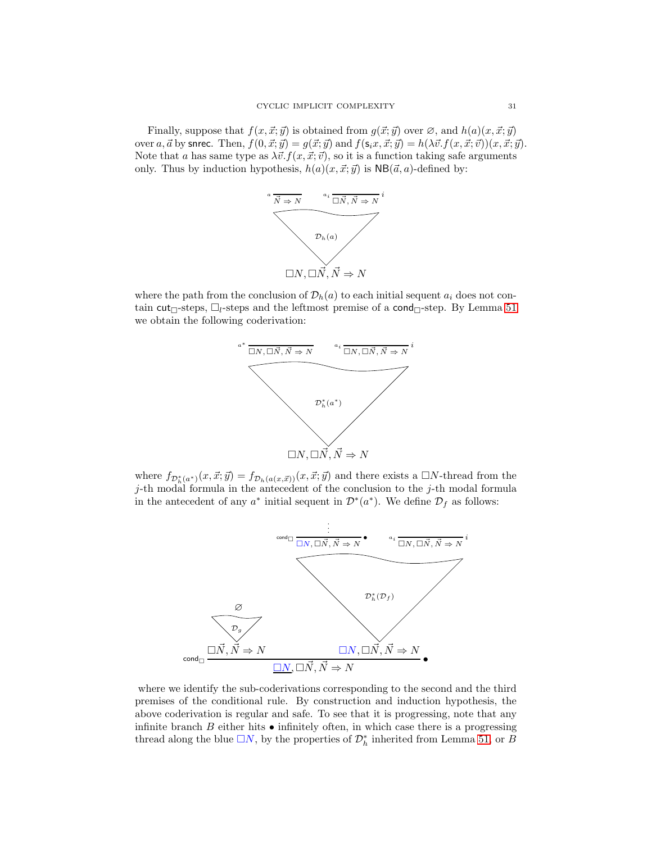Finally, suppose that  $f(x, \vec{x}; \vec{y})$  is obtained from  $g(\vec{x}; \vec{y})$  over  $\varnothing$ , and  $h(a)(x, \vec{x}; \vec{y})$ over a,  $\vec{a}$  by snrec. Then,  $f(0, \vec{x}; \vec{y}) = g(\vec{x}; \vec{y})$  and  $f(\mathbf{s}_i x, \vec{x}; \vec{y}) = h(\lambda \vec{v} \cdot f(x, \vec{x}; \vec{v}))(x, \vec{x}; \vec{y}).$ Note that a has same type as  $\lambda \vec{v}$ .  $f(x, \vec{x}; \vec{v})$ , so it is a function taking safe arguments only. Thus by induction hypothesis,  $h(a)(x, \vec{x}; \vec{y})$  is  $NB(\vec{a}, a)$ -defined by:



where the path from the conclusion of  $\mathcal{D}_h(a)$  to each initial sequent  $a_i$  does not contain cut<sub> $\Box$ -steps,  $\Box$ <sub>l</sub>-steps and the leftmost premise of a cond $\Box$ -step. By Lemma [51](#page-29-0)</sub> we obtain the following coderivation:



where  $f_{\mathcal{D}_h^*(a^*)}(x, \vec{x}; \vec{y}) = f_{\mathcal{D}_h(a(x, \vec{x}))}(x, \vec{x}; \vec{y})$  and there exists a  $\Box N$ -thread from the  $j$ -th modal formula in the antecedent of the conclusion to the  $j$ -th modal formula in the antecedent of any  $a^*$  initial sequent in  $\mathcal{D}^*(a^*)$ . We define  $\mathcal{D}_f$  as follows:



where we identify the sub-coderivations corresponding to the second and the third premises of the conditional rule. By construction and induction hypothesis, the above coderivation is regular and safe. To see that it is progressing, note that any infinite branch  $B$  either hits  $\bullet$  infinitely often, in which case there is a progressing thread along the blue  $\square N$ , by the properties of  $\mathcal{D}_h^*$  inherited from Lemma [51,](#page-29-0) or B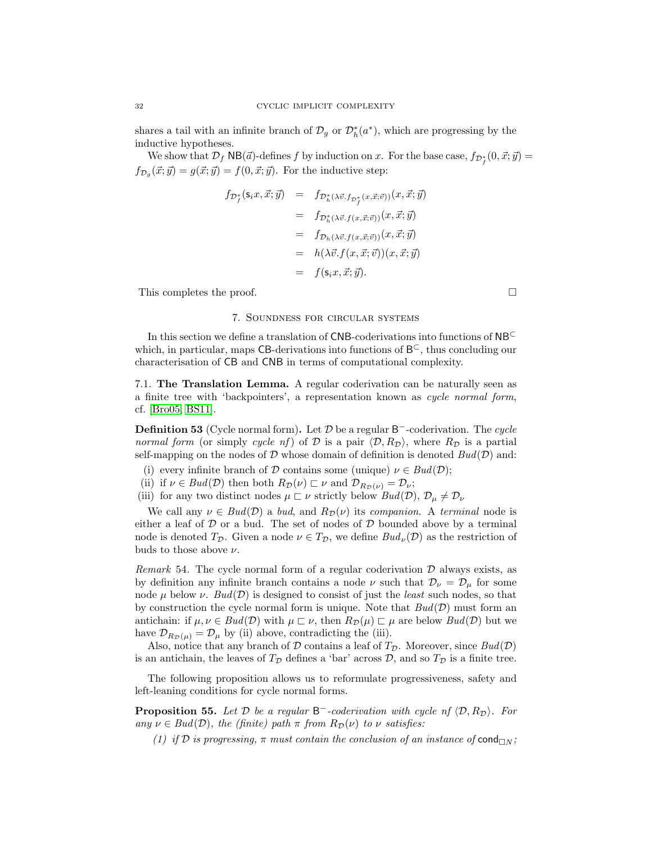shares a tail with an infinite branch of  $\mathcal{D}_g$  or  $\mathcal{D}_h^*(a^*)$ , which are progressing by the inductive hypotheses.

We show that  $\mathcal{D}_f$  NB( $\vec{a}$ )-defines f by induction on x. For the base case,  $f_{\mathcal{D}_f^*}(0, \vec{x}; \vec{y}) =$  $f_{\mathcal{D}_g}(\vec{x}; \vec{y}) = g(\vec{x}; \vec{y}) = f(0, \vec{x}; \vec{y})$ . For the inductive step:

$$
f_{\mathcal{D}_f^*}(s_i x, \vec{x}; \vec{y}) = f_{\mathcal{D}_h^*(\lambda \vec{v}.f_{\mathcal{D}_f^*}(x, \vec{x}; \vec{v}))}(x, \vec{x}; \vec{y})
$$
  
\n
$$
= f_{\mathcal{D}_h^*(\lambda \vec{v}.f(x, \vec{x}; \vec{v}))}(x, \vec{x}; \vec{y})
$$
  
\n
$$
= f_{\mathcal{D}_h(\lambda \vec{v}.f(x, \vec{x}; \vec{v}))}(x, \vec{x}; \vec{y})
$$
  
\n
$$
= h(\lambda \vec{v}.f(x, \vec{x}; \vec{v}))(x, \vec{x}; \vec{y})
$$
  
\n
$$
= f(s_i x, \vec{x}; \vec{y}).
$$

<span id="page-32-0"></span>This completes the proof.

#### 7. Soundness for circular systems

In this section we define a translation of CNB-coderivations into functions of NB<sup>⊂</sup> which, in particular, maps CB-derivations into functions of  $B^{\subset}$ , thus concluding our characterisation of CB and CNB in terms of computational complexity.

7.1. The Translation Lemma. A regular coderivation can be naturally seen as a finite tree with 'backpointers', a representation known as cycle normal form, cf. [\[Bro05,](#page-37-5) [BS11\]](#page-37-0).

**Definition 53** (Cycle normal form). Let  $D$  be a regular  $B^-$ -coderivation. The cycle normal form (or simply cycle nf) of D is a pair  $\langle \mathcal{D}, R_{\mathcal{D}} \rangle$ , where  $R_{\mathcal{D}}$  is a partial self-mapping on the nodes of  $D$  whose domain of definition is denoted  $Bud(D)$  and:

- (i) every infinite branch of D contains some (unique)  $\nu \in Bud(\mathcal{D});$
- (ii) if  $\nu \in \text{Bud}(\mathcal{D})$  then both  $R_{\mathcal{D}}(\nu) \sqsubset \nu$  and  $\mathcal{D}_{R_{\mathcal{D}}(\nu)} = \mathcal{D}_{\nu}$ ;
- (iii) for any two distinct nodes  $\mu \subset \nu$  strictly below  $Bud(\mathcal{D}), \mathcal{D}_{\mu} \neq \mathcal{D}_{\nu}$

We call any  $\nu \in Bud(\mathcal{D})$  a bud, and  $R_{\mathcal{D}}(\nu)$  its companion. A terminal node is either a leaf of  $D$  or a bud. The set of nodes of  $D$  bounded above by a terminal node is denoted  $T_{\mathcal{D}}$ . Given a node  $\nu \in T_{\mathcal{D}}$ , we define  $Bud_{\nu}(\mathcal{D})$  as the restriction of buds to those above  $\nu$ .

*Remark* 54. The cycle normal form of a regular coderivation  $\mathcal{D}$  always exists, as by definition any infinite branch contains a node  $\nu$  such that  $\mathcal{D}_{\nu} = \mathcal{D}_{\mu}$  for some node  $\mu$  below  $\nu$ . Bud( $\mathcal{D}$ ) is designed to consist of just the *least* such nodes, so that by construction the cycle normal form is unique. Note that  $Bud(\mathcal{D})$  must form an antichain: if  $\mu, \nu \in \text{Bud}(\mathcal{D})$  with  $\mu \subset \nu$ , then  $R_{\mathcal{D}}(\mu) \subset \mu$  are below  $\text{Bud}(\mathcal{D})$  but we have  $\mathcal{D}_{R_{\mathcal{D}}(\mu)} = \mathcal{D}_{\mu}$  by (ii) above, contradicting the (iii).

Also, notice that any branch of  $D$  contains a leaf of  $T_{\mathcal{D}}$ . Moreover, since  $Bud(\mathcal{D})$ is an antichain, the leaves of  $T_{\mathcal{D}}$  defines a 'bar' across  $\mathcal{D}$ , and so  $T_{\mathcal{D}}$  is a finite tree.

<span id="page-32-1"></span>The following proposition allows us to reformulate progressiveness, safety and left-leaning conditions for cycle normal forms.

<span id="page-32-2"></span>**Proposition 55.** Let  $D$  be a regular  $B^-$ -coderivation with cycle nf  $\langle D, R_D \rangle$ . For any  $\nu \in Bud(\mathcal{D})$ , the (finite) path  $\pi$  from  $R_{\mathcal{D}}(\nu)$  to  $\nu$  satisfies:

(1) if D is progressing,  $\pi$  must contain the conclusion of an instance of cond $_{\Box N}$ ;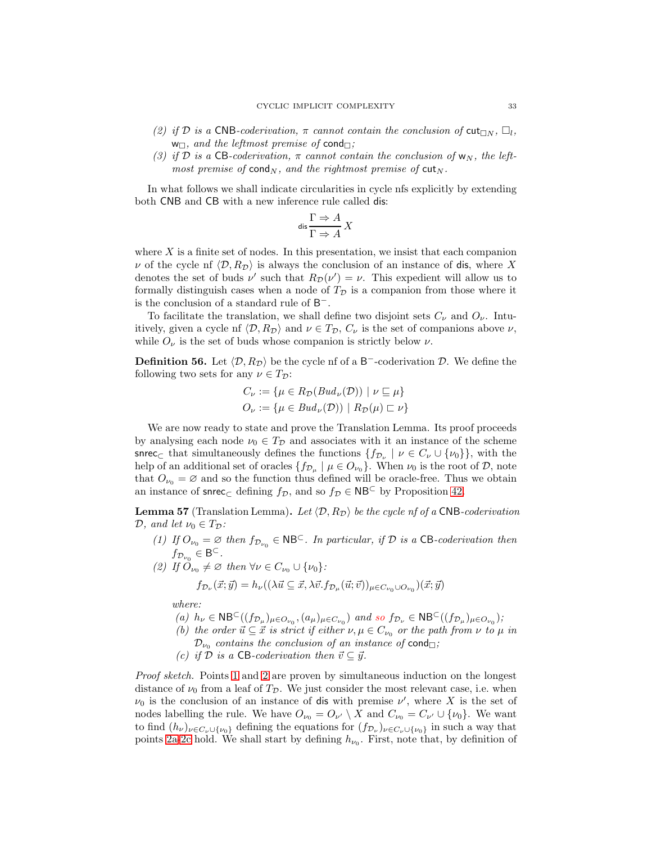- <span id="page-33-7"></span><span id="page-33-6"></span>(2) if D is a CNB-coderivation,  $\pi$  cannot contain the conclusion of  $\text{cut}_{\Box N}$ ,  $\Box_l$ ,  $w_{\square}$ , and the leftmost premise of cond $_{\square}$ ;
- (3) if D is a CB-coderivation,  $\pi$  cannot contain the conclusion of  $w_N$ , the leftmost premise of cond<sub>N</sub>, and the rightmost premise of cut<sub>N</sub>.

In what follows we shall indicate circularities in cycle nfs explicitly by extending both CNB and CB with a new inference rule called dis:

$$
\text{dis} \frac{\Gamma \Rightarrow A}{\Gamma \Rightarrow A} X
$$

where  $X$  is a finite set of nodes. In this presentation, we insist that each companion  $\nu$  of the cycle nf  $\langle \mathcal{D}, R_{\mathcal{D}} \rangle$  is always the conclusion of an instance of dis, where X denotes the set of buds  $\nu'$  such that  $R_{\mathcal{D}}(\nu') = \nu$ . This expedient will allow us to formally distinguish cases when a node of  $T_{\mathcal{D}}$  is a companion from those where it is the conclusion of a standard rule of  $B^-$ .

To facilitate the translation, we shall define two disjoint sets  $C_{\nu}$  and  $O_{\nu}$ . Intuitively, given a cycle nf  $\langle \mathcal{D}, R_{\mathcal{D}} \rangle$  and  $\nu \in T_{\mathcal{D}}, C_{\nu}$  is the set of companions above  $\nu$ , while  $O_{\nu}$  is the set of buds whose companion is strictly below  $\nu$ .

**Definition 56.** Let  $\langle \mathcal{D}, R_{\mathcal{D}} \rangle$  be the cycle of a B<sup>-</sup>-coderivation  $\mathcal{D}$ . We define the following two sets for any  $\nu \in T_{\mathcal{D}}$ :

$$
C_{\nu} := \{ \mu \in R_{\mathcal{D}}(Bud_{\nu}(\mathcal{D})) \mid \nu \sqsubseteq \mu \}
$$
  

$$
O_{\nu} := \{ \mu \in Bud_{\nu}(\mathcal{D})) \mid R_{\mathcal{D}}(\mu) \sqsubset \nu \}
$$

We are now ready to state and prove the Translation Lemma. Its proof proceeds by analysing each node  $\nu_0 \in T_{\mathcal{D}}$  and associates with it an instance of the scheme snrec<sub>⊂</sub> that simultaneously defines the functions  $\{f_{\mathcal{D}_{\nu}} \mid \nu \in C_{\nu} \cup \{\nu_0\}\}\,$  with the help of an additional set of oracles  $\{f_{\mathcal{D}_{\mu}} \mid \mu \in O_{\nu_0}\}\$ . When  $\nu_0$  is the root of  $\mathcal{D}$ , note that  $O_{\nu_0} = \emptyset$  and so the function thus defined will be oracle-free. Thus we obtain an instance of snrec<sub>⊂</sub> defining  $f_{\mathcal{D}}$ , and so  $f_{\mathcal{D}} \in \mathsf{NB}^{\subset}$  by Proposition [42.](#page-21-4)

<span id="page-33-1"></span><span id="page-33-0"></span>**Lemma 57** (Translation Lemma). Let  $\langle \mathcal{D}, R_{\mathcal{D}} \rangle$  be the cycle nf of a CNB-coderivation  $\mathcal{D}$ , and let  $\nu_0 \in T_{\mathcal{D}}$ :

(1) If  $O_{\nu_0} = \emptyset$  then  $f_{\mathcal{D}_{\nu_0}} \in \mathsf{NB}^{\mathsf{C}}$ . In particular, if  $\mathcal D$  is a CB-coderivation then  $f_{\mathcal{D}_{\nu_0}} \in \mathsf{B}^\subset.$ 

<span id="page-33-2"></span>(2) If 
$$
\check{O}_{\nu_0} \neq \varnothing
$$
 then  $\forall \nu \in C_{\nu_0} \cup {\{\nu_0\}}$ :

 $f_{\mathcal{D}_{\nu}}(\vec{x};\vec{y}) = h_{\nu}((\lambda \vec{u} \subseteq \vec{x}, \lambda \vec{v}. f_{\mathcal{D}_{\mu}}(\vec{u};\vec{v}))_{\mu \in C_{\nu_{0}} \cup O_{\nu_{0}}})(\vec{x};\vec{y})$ 

<span id="page-33-5"></span><span id="page-33-3"></span>where:

- (a)  $h_{\nu} \in \mathsf{NB}^{\mathsf{C}}((f_{\mathcal{D}_{\mu}})_{\mu \in O_{\nu_0}}, (a_{\mu})_{\mu \in C_{\nu_0}})$  and so  $f_{\mathcal{D}_{\nu}} \in \mathsf{NB}^{\mathsf{C}}((f_{\mathcal{D}_{\mu}})_{\mu \in O_{\nu_0}});$
- (b) the order  $\vec{u} \subseteq \vec{x}$  is strict if either  $\nu, \mu \in C_{\nu_0}$  or the path from  $\nu$  to  $\mu$  in  $\mathcal{D}_{\nu_0}$  contains the conclusion of an instance of cond $_{\square}$ ;
- (c) if  $\mathcal D$  is a CB-coderivation then  $\vec{v} \subseteq \vec{y}$ .

<span id="page-33-4"></span>Proof sketch. Points [1](#page-33-1) and [2](#page-33-2) are proven by simultaneous induction on the longest distance of  $\nu_0$  from a leaf of  $T_{\mathcal{D}}$ . We just consider the most relevant case, i.e. when  $\nu_0$  is the conclusion of an instance of dis with premise  $\nu'$ , where X is the set of nodes labelling the rule. We have  $O_{\nu_0} = O_{\nu'} \setminus X$  and  $C_{\nu_0} = C_{\nu'} \cup \{\nu_0\}$ . We want to find  $(h_\nu)_{\nu \in C_\nu \cup \{\nu_0\}}$  defining the equations for  $(f_{\mathcal{D}_\nu})_{\nu \in C_\nu \cup \{\nu_0\}}$  in such a way that points [2a-](#page-33-3)[2c](#page-33-4) hold. We shall start by defining  $h_{\nu_0}$ . First, note that, by definition of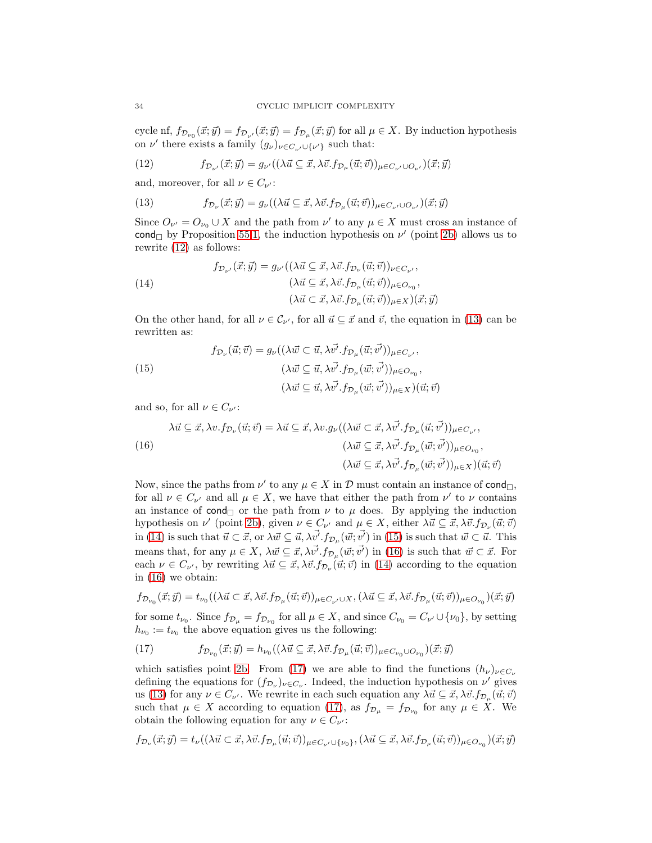cycle nf,  $f_{\mathcal{D}_{\nu_0}}(\vec{x}; \vec{y}) = f_{\mathcal{D}_{\nu'}}(\vec{x}; \vec{y}) = f_{\mathcal{D}_{\mu}}(\vec{x}; \vec{y})$  for all  $\mu \in X$ . By induction hypothesis on  $\nu'$  there exists a family  $(g_{\nu})_{\nu \in C_{\nu'} \cup {\{\nu'\}}}$  such that:

<span id="page-34-0"></span>
$$
(12) \qquad \qquad f_{\mathcal{D}_{\nu'}}(\vec{x};\vec{y})=g_{\nu'}((\lambda\vec{u}\subseteq \vec{x},\lambda\vec{v}.f_{\mathcal{D}_{\mu}}(\vec{u};\vec{v}))_{\mu\in C_{\nu'}\cup O_{\nu'}})(\vec{x};\vec{y})
$$

and, moreover, for all  $\nu \in C_{\nu'}$ :

<span id="page-34-1"></span>(13) 
$$
f_{\mathcal{D}_{\nu}}(\vec{x};\vec{y}) = g_{\nu}((\lambda \vec{u} \subseteq \vec{x}, \lambda \vec{v}.f_{\mathcal{D}_{\mu}}(\vec{u};\vec{v}))_{\mu \in C_{\nu'} \cup O_{\nu'}})(\vec{x};\vec{y})
$$

Since  $O_{\nu'} = O_{\nu_0} \cup X$  and the path from  $\nu'$  to any  $\mu \in X$  must cross an instance of cond by Proposition [55](#page-32-1)[.1,](#page-32-2) the induction hypothesis on  $\nu'$  (point [2b\)](#page-33-5) allows us to rewrite [\(12\)](#page-34-0) as follows:

<span id="page-34-2"></span>(14)  
\n
$$
f_{\mathcal{D}_{\nu'}}(\vec{x}; \vec{y}) = g_{\nu'}((\lambda \vec{u} \subseteq \vec{x}, \lambda \vec{v}. f_{\mathcal{D}_{\nu}}(\vec{u}; \vec{v}))_{\nu \in C_{\nu'}},
$$
\n
$$
(\lambda \vec{u} \subseteq \vec{x}, \lambda \vec{v}. f_{\mathcal{D}_{\mu}}(\vec{u}; \vec{v}))_{\mu \in \mathcal{D}_{\nu_0}},
$$
\n
$$
(\lambda \vec{u} \subset \vec{x}, \lambda \vec{v}. f_{\mathcal{D}_{\mu}}(\vec{u}; \vec{v}))_{\mu \in X})(\vec{x}; \vec{y})
$$

On the other hand, for all  $\nu \in \mathcal{C}_{\nu'}$ , for all  $\vec{u} \subseteq \vec{x}$  and  $\vec{v}$ , the equation in [\(13\)](#page-34-1) can be rewritten as:

<span id="page-34-3"></span>(15)  
\n
$$
f_{\mathcal{D}_{\nu}}(\vec{u};\vec{v}) = g_{\nu}((\lambda \vec{w} \subset \vec{u}, \lambda \vec{v'}, f_{\mathcal{D}_{\mu}}(\vec{u};\vec{v'}))_{\mu \in C_{\nu'}},
$$
\n
$$
(\lambda \vec{w} \subseteq \vec{u}, \lambda \vec{v'}, f_{\mathcal{D}_{\mu}}(\vec{w};\vec{v'}))_{\mu \in O_{\nu_{0}}},
$$
\n
$$
(\lambda \vec{w} \subseteq \vec{u}, \lambda \vec{v'}, f_{\mathcal{D}_{\mu}}(\vec{w};\vec{v'}))_{\mu \in X})(\vec{u};\vec{v})
$$

and so, for all  $\nu \in C_{\nu'}$ :

<span id="page-34-4"></span>
$$
\lambda \vec{u} \subseteq \vec{x}, \lambda v. f_{\mathcal{D}_{\nu}}(\vec{u}; \vec{v}) = \lambda \vec{u} \subseteq \vec{x}, \lambda v. g_{\nu}((\lambda \vec{w} \subset \vec{x}, \lambda \vec{v'}, f_{\mathcal{D}_{\mu}}(\vec{u}; \vec{v'}))_{\mu \in C_{\nu'}},
$$
\n
$$
(\lambda \vec{w} \subseteq \vec{x}, \lambda \vec{v'}, f_{\mathcal{D}_{\mu}}(\vec{w}; \vec{v'}))_{\mu \in O_{\nu_{0}}},
$$
\n
$$
(\lambda \vec{w} \subseteq \vec{x}, \lambda \vec{v'}, f_{\mathcal{D}_{\mu}}(\vec{w}; \vec{v'}))_{\mu \in X})(\vec{u}; \vec{v})
$$

Now, since the paths from  $\nu'$  to any  $\mu \in X$  in  $\mathcal D$  must contain an instance of cond<sub> $\Box$ </sub>, for all  $\nu \in C_{\nu'}$  and all  $\mu \in X$ , we have that either the path from  $\nu'$  to  $\nu$  contains an instance of  $\text{cond}_{\Box}$  or the path from  $\nu$  to  $\mu$  does. By applying the induction hypothesis on  $\nu'$  (point [2b\)](#page-33-5), given  $\nu \in C_{\nu'}$  and  $\mu \in X$ , either  $\lambda \vec{u} \subseteq \vec{x}, \lambda \vec{v}. f_{\mathcal{D}_{\nu}}(\vec{u}; \vec{v})$ in [\(14\)](#page-34-2) is such that  $\vec{u} \subset \vec{x}$ , or  $\lambda \vec{w} \subseteq \vec{u}, \lambda \vec{v'} . f_{\mathcal{D}_{\mu}}(\vec{w}; \vec{v'})$  in [\(15\)](#page-34-3) is such that  $\vec{w} \subset \vec{u}$ . This means that, for any  $\mu \in X$ ,  $\lambda \vec{w} \subseteq \vec{x}, \lambda \vec{v'} . f_{\mathcal{D}_{\mu}}(\vec{w}; \vec{v'})$  in [\(16\)](#page-34-4) is such that  $\vec{w} \subset \vec{x}$ . For each  $\nu \in C_{\nu'}$ , by rewriting  $\lambda \vec{u} \subseteq \vec{x}, \lambda \vec{v}.f_{\mathcal{D}_{\nu}}(\vec{u}; \vec{v})$  in [\(14\)](#page-34-2) according to the equation in [\(16\)](#page-34-4) we obtain:

$$
f_{\mathcal{D}_{\nu_0}}(\vec{x};\vec{y}) = t_{\nu_0}((\lambda \vec{u} \subset \vec{x}, \lambda \vec{v}.f_{\mathcal{D}_{\mu}}(\vec{u};\vec{v}))_{\mu \in C_{\nu'} \cup X}, (\lambda \vec{u} \subseteq \vec{x}, \lambda \vec{v}.f_{\mathcal{D}_{\mu}}(\vec{u};\vec{v}))_{\mu \in O_{\nu_0}})(\vec{x};\vec{y})
$$

for some  $t_{\nu_0}$ . Since  $f_{\mathcal{D}_\mu} = f_{\mathcal{D}_{\nu_0}}$  for all  $\mu \in X$ , and since  $C_{\nu_0} = C_{\nu'} \cup {\{\nu_0\}}$ , by setting  $h_{\nu_0} := t_{\nu_0}$  the above equation gives us the following:

<span id="page-34-5"></span>(17) 
$$
f_{\mathcal{D}_{\nu_0}}(\vec{x};\vec{y}) = h_{\nu_0}((\lambda \vec{u} \subseteq \vec{x}, \lambda \vec{v}.f_{\mathcal{D}_{\mu}}(\vec{u};\vec{v}))_{\mu \in C_{\nu_0} \cup O_{\nu_0}})(\vec{x};\vec{y})
$$

which satisfies point [2b.](#page-33-5) From [\(17\)](#page-34-5) we are able to find the functions  $(h_{\nu})_{\nu \in C_{\nu}}$ defining the equations for  $(f_{\mathcal{D}_{\nu}})_{\nu \in C_{\nu}}$ . Indeed, the induction hypothesis on  $\nu'$  gives us [\(13\)](#page-34-1) for any  $\nu \in C_{\nu'}$ . We rewrite in each such equation any  $\lambda \vec{u} \subseteq \vec{x}, \lambda \vec{v}.f_{\mathcal{D}_{\mu}}(\vec{u}; \vec{v})$ such that  $\mu \in X$  according to equation [\(17\)](#page-34-5), as  $f_{\mathcal{D}_{\mu}} = f_{\mathcal{D}_{\nu_0}}$  for any  $\mu \in X$ . We obtain the following equation for any  $\nu \in C_{\nu'}$ :

$$
f_{\mathcal{D}_{\nu}}(\vec{x};\vec{y}) = t_{\nu}((\lambda \vec{u} \subset \vec{x}, \lambda \vec{v}.f_{\mathcal{D}_{\mu}}(\vec{u};\vec{v}))_{\mu \in C_{\nu}, \cup \{\nu_0\}}, (\lambda \vec{u} \subseteq \vec{x}, \lambda \vec{v}.f_{\mathcal{D}_{\mu}}(\vec{u};\vec{v}))_{\mu \in O_{\nu_0}})(\vec{x};\vec{y})
$$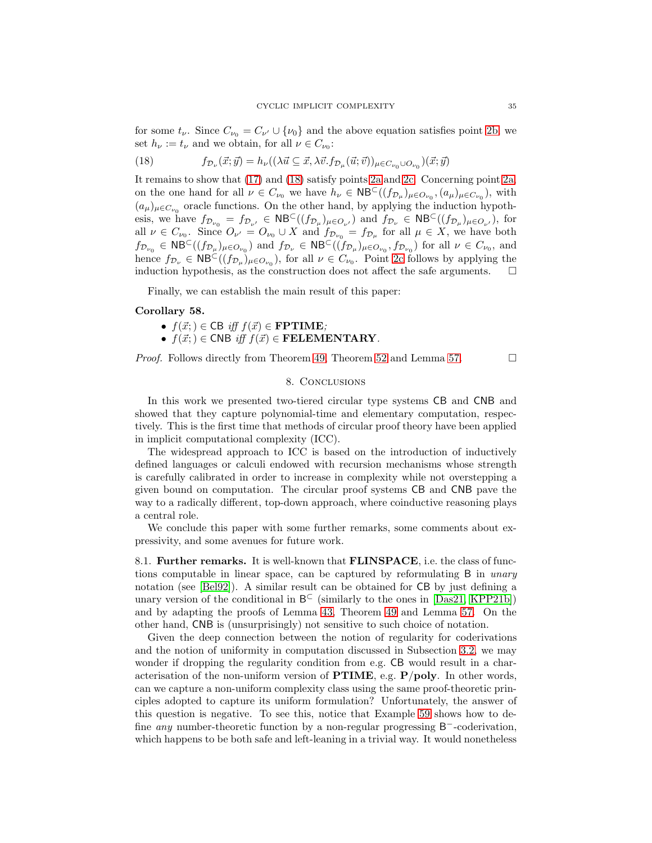for some  $t_{\nu}$ . Since  $C_{\nu_0} = C_{\nu'} \cup {\nu_0}$  and the above equation satisfies point [2b,](#page-33-5) we set  $h_{\nu} := t_{\nu}$  and we obtain, for all  $\nu \in C_{\nu_0}$ :

<span id="page-35-0"></span>(18) 
$$
f_{\mathcal{D}_{\nu}}(\vec{x};\vec{y}) = h_{\nu}((\lambda \vec{u} \subseteq \vec{x}, \lambda \vec{v}.f_{\mathcal{D}_{\mu}}(\vec{u};\vec{v}))_{\mu \in C_{\nu_0} \cup O_{\nu_0}})(\vec{x};\vec{y})
$$

It remains to show that [\(17\)](#page-34-5) and [\(18\)](#page-35-0) satisfy points [2a](#page-33-3) and [2c.](#page-33-4) Concerning point [2a,](#page-33-3) on the one hand for all  $\nu \in C_{\nu_0}$  we have  $h_{\nu} \in \mathsf{NB}^{\mathsf{C}}((f_{\mathcal{D}_{\mu}})_{\mu \in O_{\nu_0}}, (a_{\mu})_{\mu \in C_{\nu_0}})$ , with  $(a_{\mu})_{\mu \in C_{\nu_0}}$  oracle functions. On the other hand, by applying the induction hypothesis, we have  $f_{\mathcal{D}_{\nu_0}} = f_{\mathcal{D}_{\nu'}} \in \mathsf{NB}^{\subset}((f_{\mathcal{D}_\mu})_{\mu \in O_{\nu'}})$  and  $f_{\mathcal{D}_{\nu}} \in \mathsf{NB}^{\subset}((f_{\mathcal{D}_\mu})_{\mu \in O_{\nu'}})$ , for all  $\nu \in C_{\nu_0}$ . Since  $O_{\nu'} = O_{\nu_0} \cup X$  and  $f_{\mathcal{D}_{\nu_0}} = f_{\mathcal{D}_{\mu}}$  for all  $\mu \in X$ , we have both  $f_{\mathcal{D}_{\nu_0}} \in \mathsf{NB}^{\mathsf{C}}((f_{\mathcal{D}_{\mu}})_{\mu \in O_{\nu_0}})$  and  $f_{\mathcal{D}_{\nu}} \in \mathsf{NB}^{\mathsf{C}}((f_{\mathcal{D}_{\mu}})_{\mu \in O_{\nu_0}}, f_{\mathcal{D}_{\nu_0}})$  for all  $\nu \in C_{\nu_0}$ , and hence  $f_{\mathcal{D}_{\nu}} \in \mathsf{NB}^{\mathsf{C}}((f_{\mathcal{D}_{\mu}})_{\mu \in O_{\nu_{0}}})$ , for all  $\nu \in C_{\nu_{0}}$ . Point [2c](#page-33-4) follows by applying the induction hypothesis, as the construction does not affect the safe arguments.  $\Box$ 

<span id="page-35-1"></span>Finally, we can establish the main result of this paper:

#### Corollary 58.

- $f(\vec{x}; ) \in \text{CB}$  iff  $f(\vec{x}) \in \text{FPTIME};$
- $f(\vec{x};) \in \text{CNB}$  iff  $f(\vec{x}) \in \text{FELEMENTARY}$ .

<span id="page-35-2"></span>*Proof.* Follows directly from Theorem [49,](#page-28-0) Theorem [52](#page-30-0) and Lemma [57.](#page-33-0)  $\Box$ 

#### 8. Conclusions

In this work we presented two-tiered circular type systems CB and CNB and showed that they capture polynomial-time and elementary computation, respectively. This is the first time that methods of circular proof theory have been applied in implicit computational complexity (ICC).

The widespread approach to ICC is based on the introduction of inductively defined languages or calculi endowed with recursion mechanisms whose strength is carefully calibrated in order to increase in complexity while not overstepping a given bound on computation. The circular proof systems CB and CNB pave the way to a radically different, top-down approach, where coinductive reasoning plays a central role.

We conclude this paper with some further remarks, some comments about expressivity, and some avenues for future work.

8.1. Further remarks. It is well-known that FLINSPACE, i.e. the class of functions computable in linear space, can be captured by reformulating B in *unary* notation (see [\[Bel92\]](#page-37-6)). A similar result can be obtained for CB by just defining a unary version of the conditional in  $B^{\subset}$  (similarly to the ones in [\[Das21,](#page-37-3) [KPP21b\]](#page-38-11)) and by adapting the proofs of Lemma [43,](#page-22-1) Theorem [49](#page-28-0) and Lemma [57.](#page-33-0) On the other hand, CNB is (unsurprisingly) not sensitive to such choice of notation.

Given the deep connection between the notion of regularity for coderivations and the notion of uniformity in computation discussed in Subsection [3.2,](#page-12-4) we may wonder if dropping the regularity condition from e.g. CB would result in a characterisation of the non-uniform version of  $PTIME$ , e.g.  $P/poly$ . In other words, can we capture a non-uniform complexity class using the same proof-theoretic principles adopted to capture its uniform formulation? Unfortunately, the answer of this question is negative. To see this, notice that Example [59](#page-40-1) shows how to define *any* number-theoretic function by a non-regular progressing B<sup>-</sup>-coderivation, which happens to be both safe and left-leaning in a trivial way. It would nonetheless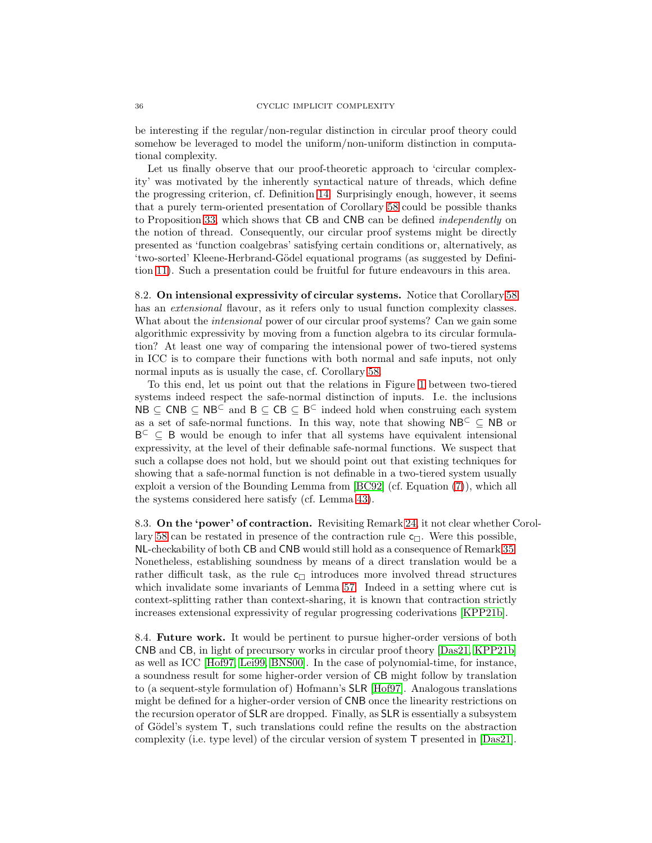be interesting if the regular/non-regular distinction in circular proof theory could somehow be leveraged to model the uniform/non-uniform distinction in computational complexity.

Let us finally observe that our proof-theoretic approach to 'circular complexity' was motivated by the inherently syntactical nature of threads, which define the progressing criterion, cf. Definition [14.](#page-11-1) Surprisingly enough, however, it seems that a purely term-oriented presentation of Corollary [58](#page-35-1) could be possible thanks to Proposition [33,](#page-16-1) which shows that CB and CNB can be defined independently on the notion of thread. Consequently, our circular proof systems might be directly presented as 'function coalgebras' satisfying certain conditions or, alternatively, as 'two-sorted' Kleene-Herbrand-G¨odel equational programs (as suggested by Definition [11\)](#page-9-1). Such a presentation could be fruitful for future endeavours in this area.

8.2. On intensional expressivity of circular systems. Notice that Corollary [58](#page-35-1) has an *extensional* flavour, as it refers only to usual function complexity classes. What about the *intensional* power of our circular proof systems? Can we gain some algorithmic expressivity by moving from a function algebra to its circular formulation? At least one way of comparing the intensional power of two-tiered systems in ICC is to compare their functions with both normal and safe inputs, not only normal inputs as is usually the case, cf. Corollary [58.](#page-35-1)

To this end, let us point out that the relations in Figure [1](#page-3-1) between two-tiered systems indeed respect the safe-normal distinction of inputs. I.e. the inclusions  $NB \subseteq CNB \subseteq NB^{\subset}$  and  $B \subseteq CB \subseteq B^{\subset}$  indeed hold when construing each system as a set of safe-normal functions. In this way, note that showing  $NB<sup>C</sup> \subset NB$  or B<sup>⊂</sup> ⊆ B would be enough to infer that all systems have equivalent intensional expressivity, at the level of their definable safe-normal functions. We suspect that such a collapse does not hold, but we should point out that existing techniques for showing that a safe-normal function is not definable in a two-tiered system usually exploit a version of the Bounding Lemma from [\[BC92\]](#page-37-4) (cf. Equation [\(7\)](#page-22-4)), which all the systems considered here satisfy (cf. Lemma [43\)](#page-22-1).

8.3. On the 'power' of contraction. Revisiting Remark [24,](#page-14-3) it not clear whether Corol-lary [58](#page-35-1) can be restated in presence of the contraction rule  $c_{\Box}$ . Were this possible, NL-checkability of both CB and CNB would still hold as a consequence of Remark [35.](#page-17-3) Nonetheless, establishing soundness by means of a direct translation would be a rather difficult task, as the rule  $c_{\Box}$  introduces more involved thread structures which invalidate some invariants of Lemma [57.](#page-33-0) Indeed in a setting where cut is context-splitting rather than context-sharing, it is known that contraction strictly increases extensional expressivity of regular progressing coderivations [\[KPP21b\]](#page-38-11).

8.4. Future work. It would be pertinent to pursue higher-order versions of both CNB and CB, in light of precursory works in circular proof theory [\[Das21,](#page-37-3) [KPP21b\]](#page-38-11) as well as ICC [\[Hof97,](#page-38-7) [Lei99,](#page-38-8) [BNS00\]](#page-37-7). In the case of polynomial-time, for instance, a soundness result for some higher-order version of CB might follow by translation to (a sequent-style formulation of) Hofmann's SLR [\[Hof97\]](#page-38-7). Analogous translations might be defined for a higher-order version of CNB once the linearity restrictions on the recursion operator of SLR are dropped. Finally, as SLR is essentially a subsystem of Gödel's system T, such translations could refine the results on the abstraction complexity (i.e. type level) of the circular version of system T presented in [\[Das21\]](#page-37-3).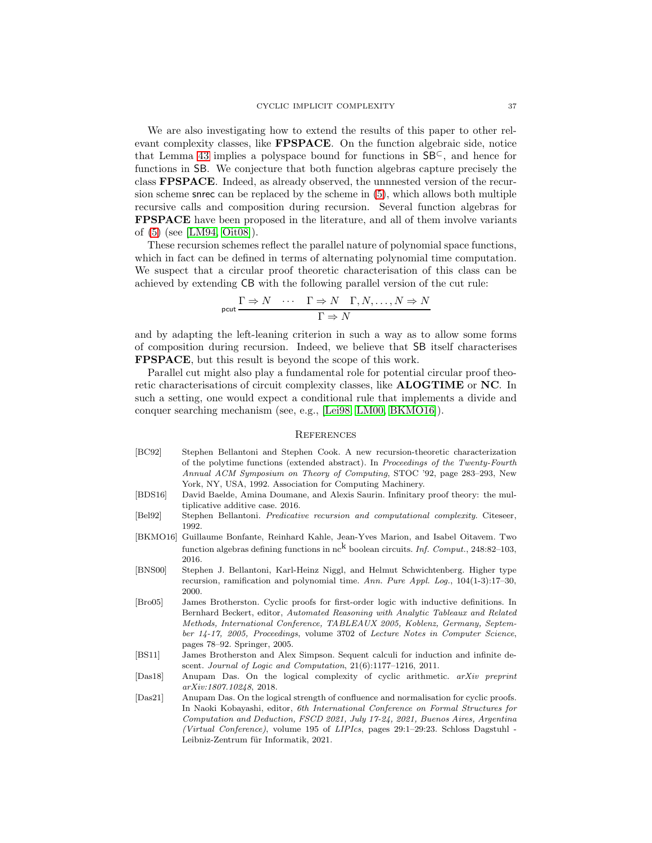We are also investigating how to extend the results of this paper to other relevant complexity classes, like FPSPACE. On the function algebraic side, notice that Lemma [43](#page-22-1) implies a polyspace bound for functions in  $SB<sup>C</sup>$ , and hence for functions in SB. We conjecture that both function algebras capture precisely the class FPSPACE. Indeed, as already observed, the unnnested version of the recursion scheme snrec can be replaced by the scheme in [\(5\)](#page-19-0), which allows both multiple recursive calls and composition during recursion. Several function algebras for FPSPACE have been proposed in the literature, and all of them involve variants of [\(5\)](#page-19-0) (see [\[LM94,](#page-38-15) [Oit08\]](#page-39-2)).

These recursion schemes reflect the parallel nature of polynomial space functions, which in fact can be defined in terms of alternating polynomial time computation. We suspect that a circular proof theoretic characterisation of this class can be achieved by extending CB with the following parallel version of the cut rule:

$$
\text{pcut} \frac{\Gamma \Rightarrow N \quad \cdots \quad \Gamma \Rightarrow N \quad \Gamma, N, \dots, N \Rightarrow N}{\Gamma \Rightarrow N}
$$

and by adapting the left-leaning criterion in such a way as to allow some forms of composition during recursion. Indeed, we believe that SB itself characterises FPSPACE, but this result is beyond the scope of this work.

Parallel cut might also play a fundamental role for potential circular proof theoretic characterisations of circuit complexity classes, like ALOGTIME or NC. In such a setting, one would expect a conditional rule that implements a divide and conquer searching mechanism (see, e.g., [\[Lei98,](#page-38-16) [LM00,](#page-38-17) [BKMO16\]](#page-37-8)).

#### **REFERENCES**

- <span id="page-37-4"></span>[BC92] Stephen Bellantoni and Stephen Cook. A new recursion-theoretic characterization of the polytime functions (extended abstract). In *Proceedings of the Twenty-Fourth Annual ACM Symposium on Theory of Computing*, STOC '92, page 283–293, New York, NY, USA, 1992. Association for Computing Machinery.
- <span id="page-37-1"></span>[BDS16] David Baelde, Amina Doumane, and Alexis Saurin. Infinitary proof theory: the multiplicative additive case. 2016.
- <span id="page-37-6"></span>[Bel92] Stephen Bellantoni. *Predicative recursion and computational complexity*. Citeseer, 1992.
- <span id="page-37-8"></span>[BKMO16] Guillaume Bonfante, Reinhard Kahle, Jean-Yves Marion, and Isabel Oitavem. Two function algebras defining functions in nck boolean circuits. *Inf. Comput.*, 248:82–103, 2016.
- <span id="page-37-7"></span>[BNS00] Stephen J. Bellantoni, Karl-Heinz Niggl, and Helmut Schwichtenberg. Higher type recursion, ramification and polynomial time. *Ann. Pure Appl. Log.*, 104(1-3):17–30, 2000.
- <span id="page-37-5"></span>[Bro05] James Brotherston. Cyclic proofs for first-order logic with inductive definitions. In Bernhard Beckert, editor, *Automated Reasoning with Analytic Tableaux and Related Methods, International Conference, TABLEAUX 2005, Koblenz, Germany, September 14-17, 2005, Proceedings*, volume 3702 of *Lecture Notes in Computer Science*, pages 78–92. Springer, 2005.
- <span id="page-37-0"></span>[BS11] James Brotherston and Alex Simpson. Sequent calculi for induction and infinite descent. *Journal of Logic and Computation*, 21(6):1177–1216, 2011.
- <span id="page-37-2"></span>[Das18] Anupam Das. On the logical complexity of cyclic arithmetic. *arXiv preprint arXiv:1807.10248*, 2018.
- <span id="page-37-3"></span>[Das21] Anupam Das. On the logical strength of confluence and normalisation for cyclic proofs. In Naoki Kobayashi, editor, *6th International Conference on Formal Structures for Computation and Deduction, FSCD 2021, July 17-24, 2021, Buenos Aires, Argentina (Virtual Conference)*, volume 195 of *LIPIcs*, pages 29:1–29:23. Schloss Dagstuhl - Leibniz-Zentrum für Informatik, 2021.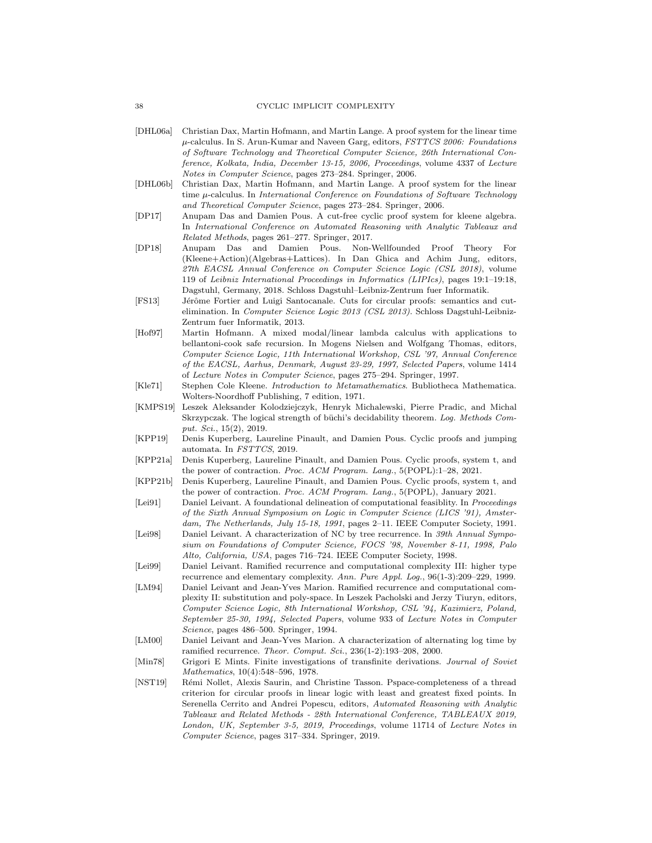- <span id="page-38-12"></span>[DHL06a] Christian Dax, Martin Hofmann, and Martin Lange. A proof system for the linear time µ-calculus. In S. Arun-Kumar and Naveen Garg, editors, *FSTTCS 2006: Foundations of Software Technology and Theoretical Computer Science, 26th International Conference, Kolkata, India, December 13-15, 2006, Proceedings*, volume 4337 of *Lecture Notes in Computer Science*, pages 273–284. Springer, 2006.
- <span id="page-38-0"></span>[DHL06b] Christian Dax, Martin Hofmann, and Martin Lange. A proof system for the linear time µ-calculus. In *International Conference on Foundations of Software Technology and Theoretical Computer Science*, pages 273–284. Springer, 2006.
- <span id="page-38-1"></span>[DP17] Anupam Das and Damien Pous. A cut-free cyclic proof system for kleene algebra. In *International Conference on Automated Reasoning with Analytic Tableaux and Related Methods*, pages 261–277. Springer, 2017.
- <span id="page-38-2"></span>[DP18] Anupam Das and Damien Pous. Non-Wellfounded Proof Theory For (Kleene+Action)(Algebras+Lattices). In Dan Ghica and Achim Jung, editors, *27th EACSL Annual Conference on Computer Science Logic (CSL 2018)*, volume 119 of *Leibniz International Proceedings in Informatics (LIPIcs)*, pages 19:1–19:18, Dagstuhl, Germany, 2018. Schloss Dagstuhl–Leibniz-Zentrum fuer Informatik.
- <span id="page-38-5"></span>[FS13] Jérôme Fortier and Luigi Santocanale. Cuts for circular proofs: semantics and cutelimination. In *Computer Science Logic 2013 (CSL 2013)*. Schloss Dagstuhl-Leibniz-Zentrum fuer Informatik, 2013.
- <span id="page-38-7"></span>[Hof97] Martin Hofmann. A mixed modal/linear lambda calculus with applications to bellantoni-cook safe recursion. In Mogens Nielsen and Wolfgang Thomas, editors, *Computer Science Logic, 11th International Workshop, CSL '97, Annual Conference of the EACSL, Aarhus, Denmark, August 23-29, 1997, Selected Papers*, volume 1414 of *Lecture Notes in Computer Science*, pages 275–294. Springer, 1997.
- <span id="page-38-10"></span>[Kle71] Stephen Cole Kleene. *Introduction to Metamathematics*. Bubliotheca Mathematica. Wolters-Noordhoff Publishing, 7 edition, 1971.
- <span id="page-38-13"></span>[KMPS19] Leszek Aleksander Kolodziejczyk, Henryk Michalewski, Pierre Pradic, and Michal Skrzypczak. The logical strength of büchi's decidability theorem. Log. Methods Com*put. Sci.*, 15(2), 2019.
- <span id="page-38-6"></span>[KPP19] Denis Kuperberg, Laureline Pinault, and Damien Pous. Cyclic proofs and jumping automata. In *FSTTCS*, 2019.
- <span id="page-38-3"></span>[KPP21a] Denis Kuperberg, Laureline Pinault, and Damien Pous. Cyclic proofs, system t, and the power of contraction. *Proc. ACM Program. Lang.*, 5(POPL):1–28, 2021.
- <span id="page-38-11"></span>[KPP21b] Denis Kuperberg, Laureline Pinault, and Damien Pous. Cyclic proofs, system t, and the power of contraction. *Proc. ACM Program. Lang.*, 5(POPL), January 2021.
- <span id="page-38-9"></span>[Lei91] Daniel Leivant. A foundational delineation of computational feasiblity. In *Proceedings of the Sixth Annual Symposium on Logic in Computer Science (LICS '91), Amsterdam, The Netherlands, July 15-18, 1991*, pages 2–11. IEEE Computer Society, 1991.
- <span id="page-38-16"></span>[Lei98] Daniel Leivant. A characterization of NC by tree recurrence. In *39th Annual Symposium on Foundations of Computer Science, FOCS '98, November 8-11, 1998, Palo Alto, California, USA*, pages 716–724. IEEE Computer Society, 1998.
- <span id="page-38-8"></span>[Lei99] Daniel Leivant. Ramified recurrence and computational complexity III: higher type recurrence and elementary complexity. *Ann. Pure Appl. Log.*, 96(1-3):209–229, 1999.
- <span id="page-38-15"></span>[LM94] Daniel Leivant and Jean-Yves Marion. Ramified recurrence and computational complexity II: substitution and poly-space. In Leszek Pacholski and Jerzy Tiuryn, editors, *Computer Science Logic, 8th International Workshop, CSL '94, Kazimierz, Poland, September 25-30, 1994, Selected Papers*, volume 933 of *Lecture Notes in Computer Science*, pages 486–500. Springer, 1994.
- <span id="page-38-17"></span>[LM00] Daniel Leivant and Jean-Yves Marion. A characterization of alternating log time by ramified recurrence. *Theor. Comput. Sci.*, 236(1-2):193–208, 2000.
- <span id="page-38-4"></span>[Min78] Grigori E Mints. Finite investigations of transfinite derivations. *Journal of Soviet Mathematics*, 10(4):548–596, 1978.
- <span id="page-38-14"></span>[NST19] Rémi Nollet, Alexis Saurin, and Christine Tasson. Pspace-completeness of a thread criterion for circular proofs in linear logic with least and greatest fixed points. In Serenella Cerrito and Andrei Popescu, editors, *Automated Reasoning with Analytic Tableaux and Related Methods - 28th International Conference, TABLEAUX 2019, London, UK, September 3-5, 2019, Proceedings*, volume 11714 of *Lecture Notes in Computer Science*, pages 317–334. Springer, 2019.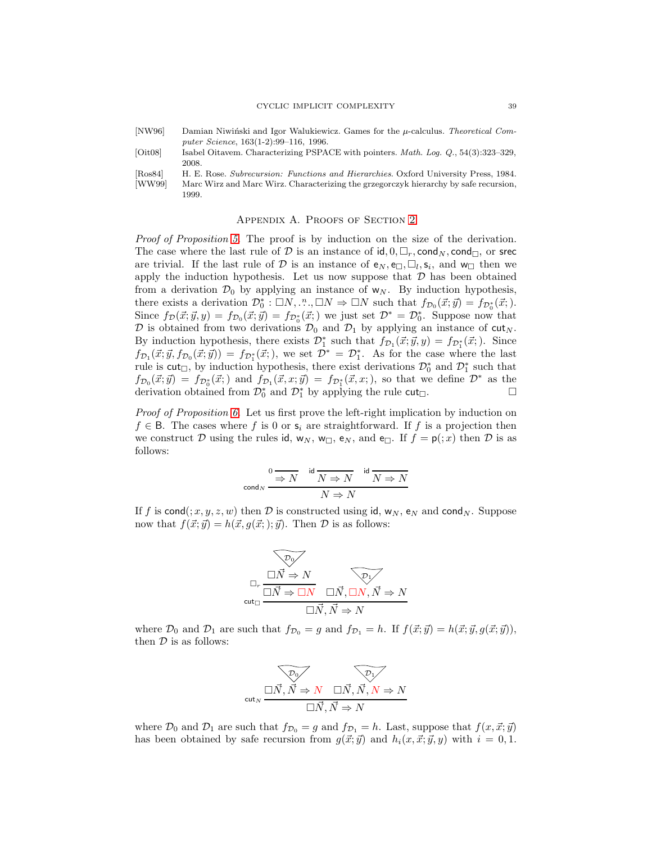- <span id="page-39-0"></span>[NW96] Damian Niwiński and Igor Walukiewicz. Games for the  $\mu$ -calculus. *Theoretical Computer Science*, 163(1-2):99–116, 1996.
- <span id="page-39-2"></span>[Oit08] Isabel Oitavem. Characterizing PSPACE with pointers. *Math. Log. Q.*, 54(3):323–329, 2008.
- <span id="page-39-3"></span><span id="page-39-1"></span>[Ros84] H. E. Rose. *Subrecursion: Functions and Hierarchies*. Oxford University Press, 1984. [WW99] Marc Wirz and Marc Wirz. Characterizing the grzegorczyk hierarchy by safe recursion, 1999.

#### APPENDIX A. PROOFS OF SECTION [2](#page-3-0)

Proof of Proposition [5.](#page-7-0) The proof is by induction on the size of the derivation. The case where the last rule of D is an instance of  $id, 0, \Box_r$ , cond<sub>N</sub>, cond<sub> $\Box$ </sub>, or srec are trivial. If the last rule of  $D$  is an instance of  $e_N, e_\square, \square_l, s_i$ , and  $w_\square$  then we apply the induction hypothesis. Let us now suppose that  $D$  has been obtained from a derivation  $\mathcal{D}_0$  by applying an instance of  $w_N$ . By induction hypothesis, there exists a derivation  $\mathcal{D}_0^* : \Box N, \dots, \Box N \Rightarrow \Box N$  such that  $f_{\mathcal{D}_0}(\vec{x}; \vec{y}) = f_{\mathcal{D}_0^*}(\vec{x};).$ Since  $f_{\mathcal{D}}(\vec{x}; \vec{y}, y) = f_{\mathcal{D}_0}(\vec{x}; \vec{y}) = f_{\mathcal{D}_0^*}(\vec{x};)$  we just set  $\mathcal{D}^* = \mathcal{D}_0^*$ . Suppose now that  $\mathcal D$  is obtained from two derivations  $\mathcal D_0$  and  $\mathcal D_1$  by applying an instance of cut<sub>N</sub>. By induction hypothesis, there exists  $\mathcal{D}_1^*$  such that  $f_{\mathcal{D}_1}(\vec{x}; \vec{y}, y) = f_{\mathcal{D}_1^*}(\vec{x};)$ . Since  $f_{\mathcal{D}_1}(\vec{x}; \vec{y}, f_{\mathcal{D}_0}(\vec{x}; \vec{y})) = f_{\mathcal{D}_1^*}(\vec{x};),$  we set  $\mathcal{D}^* = \mathcal{D}_1^*$ . As for the case where the last rule is  $\textsf{cut}_{\Box}$ , by induction hypothesis, there exist derivations  $\mathcal{D}_0^*$  and  $\mathcal{D}_1^*$  such that  $f_{\mathcal{D}_0}(\vec{x}; \vec{y}) = f_{\mathcal{D}_0^*}(\vec{x};)$  and  $f_{\mathcal{D}_1}(\vec{x}, x; \vec{y}) = f_{\mathcal{D}_1^*}(\vec{x}, x;)$ , so that we define  $\mathcal{D}^*$  as the derivation obtained from  $\mathcal{D}_0^*$  and  $\mathcal{D}_1^*$  by applying the rule  $\text{cut}_{\Box}$ .

Proof of Proposition [6.](#page-8-1) Let us first prove the left-right implication by induction on  $f \in \mathsf{B}$ . The cases where f is 0 or  $\mathsf{s}_i$  are straightforward. If f is a projection then we construct D using the rules id,  $w_N$ ,  $w_\square$ ,  $e_N$ , and  $e_\square$ . If  $f = p(0; x)$  then D is as follows:

0 ⇒ N id N ⇒ N id N ⇒ N cond<sup>N</sup> N ⇒ N

If f is cond(; x, y, z, w) then D is constructed using id,  $w_N$ ,  $e_N$  and cond<sub>N</sub>. Suppose now that  $f(\vec{x}; \vec{y}) = h(\vec{x}, g(\vec{x};); \vec{y})$ . Then  $\mathcal D$  is as follows:

$$
\begin{array}{c}\n\hline\n\text{p}_0 \\
\Box_r \xrightarrow{\Box \vec{N} \Rightarrow N} \qquad \hline\n\text{p}_1 \\
\text{cut}_\Box \overrightarrow{N} \Rightarrow \Box N \qquad \Box \vec{N}, \Box N, \vec{N} \Rightarrow N \\
\Box \vec{N}, \vec{N} \Rightarrow N\n\end{array}
$$

where  $\mathcal{D}_0$  and  $\mathcal{D}_1$  are such that  $f_{\mathcal{D}_0} = g$  and  $f_{\mathcal{D}_1} = h$ . If  $f(\vec{x}; \vec{y}) = h(\vec{x}; \vec{y}, g(\vec{x}; \vec{y})),$ then  $D$  is as follows:



where  $\mathcal{D}_0$  and  $\mathcal{D}_1$  are such that  $f_{\mathcal{D}_0} = g$  and  $f_{\mathcal{D}_1} = h$ . Last, suppose that  $f(x, \vec{x}; \vec{y})$ has been obtained by safe recursion from  $g(\vec{x}; \vec{y})$  and  $h_i(x, \vec{x}; \vec{y}, y)$  with  $i = 0, 1$ .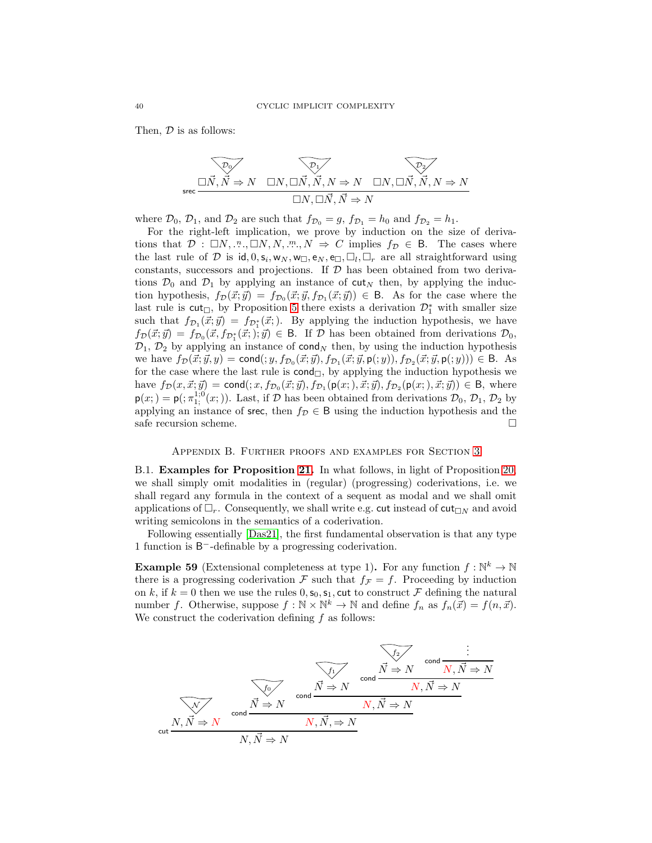Then,  $\mathcal D$  is as follows:

$$
\overbrace{\Box N, \overrightarrow{N} \Rightarrow N}^{\mathcal{D}_0} \quad \overbrace{\Box N, \Box \overrightarrow{N}, \overrightarrow{N}, N \Rightarrow N}^{\mathcal{D}_1} \quad \overbrace{\Box N, \Box \overrightarrow{N}, \overrightarrow{N}, N \Rightarrow N}^{\mathcal{D}_2}}^{\mathcal{D}_2}
$$
\n
$$
\Box N, \Box \overrightarrow{N}, \overrightarrow{N} \Rightarrow N
$$

where  $\mathcal{D}_0$ ,  $\mathcal{D}_1$ , and  $\mathcal{D}_2$  are such that  $f_{\mathcal{D}_0} = g$ ,  $f_{\mathcal{D}_1} = h_0$  and  $f_{\mathcal{D}_2} = h_1$ .

For the right-left implication, we prove by induction on the size of derivations that  $\mathcal{D}: \Box N, \dots, \Box N, N, \dots, N \Rightarrow C$  implies  $f_{\mathcal{D}} \in \mathsf{B}$ . The cases where the last rule of D is  $id, 0, s_i, w_N, w_\square, e_N, e_\square, \square_l, \square_r$  are all straightforward using constants, successors and projections. If  $D$  has been obtained from two derivations  $\mathcal{D}_0$  and  $\mathcal{D}_1$  by applying an instance of cut<sub>N</sub> then, by applying the induction hypothesis,  $f_{\mathcal{D}}(\vec{x}; \vec{y}) = f_{\mathcal{D}_0}(\vec{x}; \vec{y}, f_{\mathcal{D}_1}(\vec{x}; \vec{y})) \in \mathsf{B}$ . As for the case where the last rule is  $cut_{\Box}$ , by Proposition [5](#page-7-0) there exists a derivation  $\mathcal{D}_1^*$  with smaller size such that  $f_{\mathcal{D}_1}(\vec{x}; \vec{y}) = f_{\mathcal{D}_1^*}(\vec{x};)$ . By applying the induction hypothesis, we have  $f_{\mathcal{D}}(\vec{x}; \vec{y}) = f_{\mathcal{D}_0}(\vec{x}, f_{\mathcal{D}_1^*}(\vec{x};); \vec{y}) \in \mathsf{B}$ . If  $\mathcal{D}$  has been obtained from derivations  $\mathcal{D}_0$ ,  $\mathcal{D}_1$ ,  $\mathcal{D}_2$  by applying an instance of cond<sub>N</sub> then, by using the induction hypothesis we have  $f_{\mathcal{D}}(\vec{x}; \vec{y}, y) = \text{cond}(:, y, f_{\mathcal{D}_0}(\vec{x}; \vec{y}), f_{\mathcal{D}_1}(\vec{x}; \vec{y}, \mathsf{p}(:,y)), f_{\mathcal{D}_2}(\vec{x}; \vec{y}, \mathsf{p}(:,y))) \in \mathsf{B}$ . As for the case where the last rule is  $cond_{\Box}$ , by applying the induction hypothesis we have  $f_{\mathcal{D}}(x, \vec{x}; \vec{y}) = \text{cond}((x, f_{\mathcal{D}_0}(\vec{x}; \vec{y}), f_{\mathcal{D}_1}(\mathsf{p}(x;), \vec{x}; \vec{y}), f_{\mathcal{D}_2}(\mathsf{p}(x;), \vec{x}; \vec{y})) \in \mathsf{B}$ , where  $p(x;)=p(\tau_{1};^{1,0}(x;))$ . Last, if  $D$  has been obtained from derivations  $D_0, D_1, D_2$  by applying an instance of srec, then  $f_{\mathcal{D}} \in \mathsf{B}$  using the induction hypothesis and the safe recursion scheme.

#### Appendix B. Further proofs and examples for Section [3](#page-8-0)

<span id="page-40-0"></span>B.1. Examples for Proposition [21.](#page-13-1) In what follows, in light of Proposition [20,](#page-12-1) we shall simply omit modalities in (regular) (progressing) coderivations, i.e. we shall regard any formula in the context of a sequent as modal and we shall omit applications of  $\Box_r$ . Consequently, we shall write e.g. cut instead of cut $\Box_N$  and avoid writing semicolons in the semantics of a coderivation.

<span id="page-40-1"></span>Following essentially [\[Das21\]](#page-37-3), the first fundamental observation is that any type 1 function is B <sup>−</sup>-definable by a progressing coderivation.

**Example 59** (Extensional completeness at type 1). For any function  $f : \mathbb{N}^k \to \mathbb{N}$ there is a progressing coderivation F such that  $f_{\mathcal{F}} = f$ . Proceeding by induction on k, if  $k = 0$  then we use the rules  $0, s_0, s_1$ , cut to construct F defining the natural number f. Otherwise, suppose  $f : \mathbb{N} \times \mathbb{N}^k \to \mathbb{N}$  and define  $f_n$  as  $f_n(\vec{x}) = f(n, \vec{x})$ . We construct the coderivation defining  $f$  as follows:

$$
\begin{array}{c}\n\hline\n\text{cond} \\
\hline\n\text{cond} \\
\hline\n\text{cond} \\
\hline\n\text{cond} \\
\hline\n\text{cond} \\
\hline\n\text{cond} \\
\hline\n\text{cond} \\
\hline\n\text{cond} \\
\hline\n\text{cond} \\
\hline\n\text{cond} \\
\hline\n\text{cond} \\
\hline\n\text{cond} \\
\hline\n\text{cond} \\
\hline\n\text{cond} \\
\hline\n\text{cond} \\
\hline\n\text{cond} \\
\hline\n\text{cond} \\
\hline\n\text{cond} \\
\hline\n\text{cond} \\
\hline\n\text{cond} \\
\hline\n\text{cond} \\
\hline\n\text{cond} \\
\hline\n\text{cond} \\
\hline\n\text{cond} \\
\hline\n\text{cond} \\
\hline\n\text{cond} \\
\hline\n\text{cond} \\
\hline\n\text{cond} \\
\hline\n\text{cond} \\
\hline\n\text{cond} \\
\hline\n\text{cond} \\
\hline\n\text{cond} \\
\hline\n\text{cond} \\
\hline\n\text{cond} \\
\hline\n\text{cond} \\
\hline\n\text{cond} \\
\hline\n\text{cond} \\
\hline\n\text{cond} \\
\hline\n\text{cond} \\
\hline\n\text{cond} \\
\hline\n\text{cond} \\
\hline\n\text{cond} \\
\hline\n\text{cond} \\
\hline\n\text{cond} \\
\hline\n\text{cond} \\
\hline\n\text{cond} \\
\hline\n\text{cond} \\
\hline\n\text{cond} \\
\hline\n\text{cond} \\
\hline\n\text{cond} \\
\hline\n\text{cond} \\
\hline\n\text{cond} \\
\hline\n\text{cond} \\
\hline\n\text{cond} \\
\hline\n\text{cond} \\
\hline\n\text{cond} \\
\hline\n\text{cond} \\
\hline\n\text{cond} \\
\hline\n\text{cond} \\
\hline\n\text{cond} \\
\hline\n\text{cond} \\
\hline\n\text{cond} \\
\hline\n\text{cond} \\
\hline\n\text{cond} \\
\hline\n\text{cond} \\
\hline\n\text{cond} \\
\hline\n\text{cond} \\
\hline\n\text{cond} \\
\hline\n\text{cond} \\
\hline\n\text{cond} \\
\hline\n\text{cond} \\
\hline\n\text{cond} \\
\hline\n\text{cond} \\
\hline\n\text{cond} \\
\hline\n\text{cond} \\
\h
$$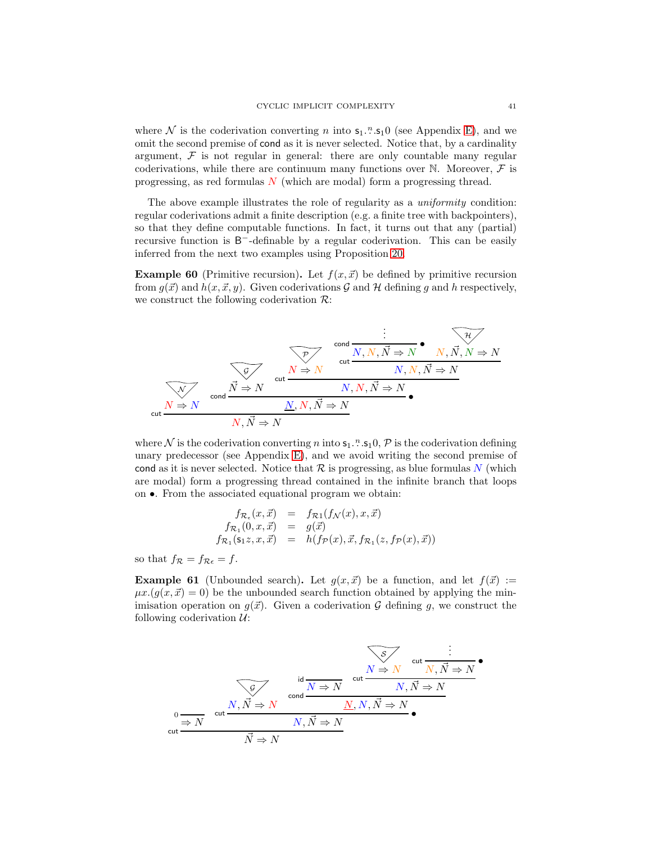where  $\mathcal N$  is the coderivation converting n into  $\mathsf{s}_1$ .<sup>n</sup>.s<sub>1</sub>0 (see Appendix [E\)](#page-51-0), and we omit the second premise of cond as it is never selected. Notice that, by a cardinality argument,  $\mathcal F$  is not regular in general: there are only countable many regular coderivations, while there are continuum many functions over  $\mathbb N$ . Moreover,  $\mathcal F$  is progressing, as red formulas  $N$  (which are modal) form a progressing thread.

The above example illustrates the role of regularity as a uniformity condition: regular coderivations admit a finite description (e.g. a finite tree with backpointers), so that they define computable functions. In fact, it turns out that any (partial) recursive function is B<sup>-</sup>-definable by a regular coderivation. This can be easily inferred from the next two examples using Proposition [20.](#page-12-1)

**Example 60** (Primitive recursion). Let  $f(x, \vec{x})$  be defined by primitive recursion from  $g(\vec{x})$  and  $h(x, \vec{x}, y)$ . Given coderivations G and H defining g and h respectively, we construct the following coderivation  $\mathcal{R}$ :



where  $\mathcal N$  is the coderivation converting n into  $\mathsf{s}_1$ . " $\mathsf{s}_1$ ,  $\mathsf{D}, \mathcal P$  is the coderivation defining unary predecessor (see Appendix [E\)](#page-51-0), and we avoid writing the second premise of cond as it is never selected. Notice that  $R$  is progressing, as blue formulas  $N$  (which are modal) form a progressing thread contained in the infinite branch that loops on •. From the associated equational program we obtain:

$$
f_{\mathcal{R}_{\epsilon}}(x, \vec{x}) = f_{\mathcal{R}1}(f_{\mathcal{N}}(x), x, \vec{x})
$$
  
\n
$$
f_{\mathcal{R}_1}(0, x, \vec{x}) = g(\vec{x})
$$
  
\n
$$
f_{\mathcal{R}_1}(\mathsf{s}_1 z, x, \vec{x}) = h(f_{\mathcal{P}}(x), \vec{x}, f_{\mathcal{R}_1}(z, f_{\mathcal{P}}(x), \vec{x}))
$$

so that  $f_{\mathcal{R}} = f_{\mathcal{R}\epsilon} = f$ .

**Example 61** (Unbounded search). Let  $g(x, \vec{x})$  be a function, and let  $f(\vec{x}) :=$  $\mu x.(g(x, \vec{x}) = 0)$  be the unbounded search function obtained by applying the minimisation operation on  $g(\vec{x})$ . Given a coderivation G defining g, we construct the following coderivation  $\mathcal{U}$ :

$$
\frac{\sqrt{S}}{\text{cut }N,\vec{N}\Rightarrow N} \text{ cut } \frac{\frac{\sqrt{S}}{\text{cut }N,\vec{N}\Rightarrow N}}{\frac{\text{cut }N,\vec{N}\Rightarrow N}{\text{cut }N,\vec{N}\Rightarrow N}} \text{ cut } \frac{\frac{\sqrt{S}}{N \Rightarrow N} \text{ cut } \frac{\frac{\text{cut }N,\vec{N}\Rightarrow N}{\text{cut }N,\vec{N}\Rightarrow N}}{\frac{N}{N \Rightarrow N}}}{\sqrt{N \Rightarrow N}}
$$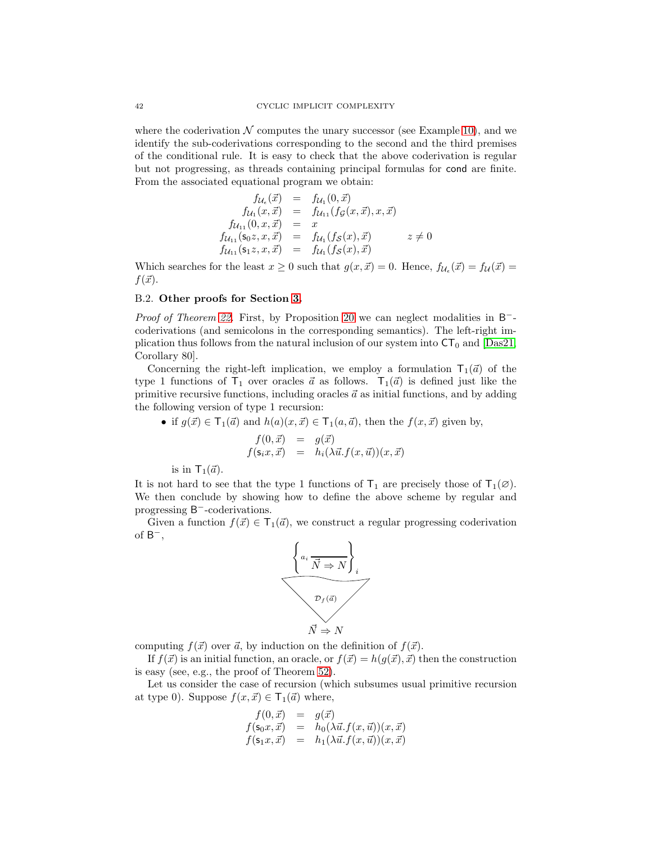where the coderivation  $N$  computes the unary successor (see Example [10\)](#page-9-0), and we identify the sub-coderivations corresponding to the second and the third premises of the conditional rule. It is easy to check that the above coderivation is regular but not progressing, as threads containing principal formulas for cond are finite. From the associated equational program we obtain:

$$
f_{\mathcal{U}_{\epsilon}}(\vec{x}) = f_{\mathcal{U}_{1}}(0, \vec{x})
$$
  
\n
$$
f_{\mathcal{U}_{1}}(x, \vec{x}) = f_{\mathcal{U}_{11}}(f_{\mathcal{G}}(x, \vec{x}), x, \vec{x})
$$
  
\n
$$
f_{\mathcal{U}_{11}}(0, x, \vec{x}) = x
$$
  
\n
$$
f_{\mathcal{U}_{11}}(s_{0}z, x, \vec{x}) = f_{\mathcal{U}_{1}}(f_{\mathcal{S}}(x), \vec{x}) \qquad z \neq 0
$$
  
\n
$$
f_{\mathcal{U}_{11}}(s_{1}z, x, \vec{x}) = f_{\mathcal{U}_{1}}(f_{\mathcal{S}}(x), \vec{x})
$$

Which searches for the least  $x \geq 0$  such that  $g(x, \vec{x}) = 0$ . Hence,  $f_{\mathcal{U}_{\epsilon}}(\vec{x}) = f_{\mathcal{U}}(\vec{x}) =$  $f(\vec{x})$ .

#### <span id="page-42-0"></span>B.2. Other proofs for Section [3.](#page-8-0)

Proof of Theorem [22.](#page-13-0) First, by Proposition [20](#page-12-1) we can neglect modalities in B<sup>−</sup>coderivations (and semicolons in the corresponding semantics). The left-right implication thus follows from the natural inclusion of our system into  $CT_0$  and [\[Das21,](#page-37-3) Corollary 80].

Concerning the right-left implication, we employ a formulation  $T_1(\vec{a})$  of the type 1 functions of  $T_1$  over oracles  $\vec{a}$  as follows.  $T_1(\vec{a})$  is defined just like the primitive recursive functions, including oracles  $\vec{a}$  as initial functions, and by adding the following version of type 1 recursion:

• if 
$$
g(\vec{x}) \in \mathsf{T}_1(\vec{a})
$$
 and  $h(a)(x, \vec{x}) \in \mathsf{T}_1(a, \vec{a})$ , then the  $f(x, \vec{x})$  given by,

$$
f(0, \vec{x}) = g(\vec{x})
$$
  

$$
f(\mathbf{s}_i x, \vec{x}) = h_i(\lambda \vec{u} . f(x, \vec{u})) (x, \vec{x})
$$

is in  $\mathsf{T}_1(\vec{a})$ .

It is not hard to see that the type 1 functions of  $T_1$  are precisely those of  $T_1(\emptyset)$ . We then conclude by showing how to define the above scheme by regular and progressing B<sup>-</sup>-coderivations.

Given a function  $f(\vec{x}) \in \mathsf{T}_1(\vec{a})$ , we construct a regular progressing coderivation of  $B^-$ ,



computing  $f(\vec{x})$  over  $\vec{a}$ , by induction on the definition of  $f(\vec{x})$ .

If  $f(\vec{x})$  is an initial function, an oracle, or  $f(\vec{x}) = h(g(\vec{x}), \vec{x})$  then the construction is easy (see, e.g., the proof of Theorem [52\)](#page-30-0).

Let us consider the case of recursion (which subsumes usual primitive recursion at type 0). Suppose  $f(x, \vec{x}) \in \mathsf{T}_1(\vec{a})$  where,

$$
f(0, \vec{x}) = g(\vec{x})
$$
  
\n
$$
f(\mathbf{s}_0 x, \vec{x}) = h_0(\lambda \vec{u} . f(x, \vec{u}))(x, \vec{x})
$$
  
\n
$$
f(\mathbf{s}_1 x, \vec{x}) = h_1(\lambda \vec{u} . f(x, \vec{u}))(x, \vec{x})
$$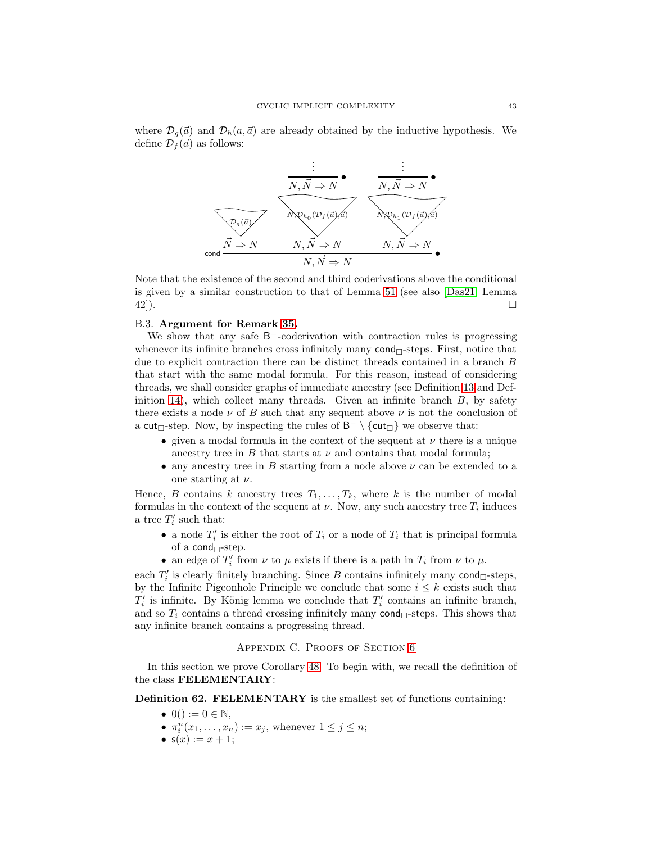

Note that the existence of the second and third coderivations above the conditional is given by a similar construction to that of Lemma [51](#page-29-0) (see also [\[Das21,](#page-37-3) Lemma  $42$ ]).

#### <span id="page-43-0"></span>B.3. Argument for Remark [35.](#page-17-3)

We show that any safe B<sup>-</sup>-coderivation with contraction rules is progressing whenever its infinite branches cross infinitely many  $cond_{\Box}$ -steps. First, notice that due to explicit contraction there can be distinct threads contained in a branch B that start with the same modal formula. For this reason, instead of considering threads, we shall consider graphs of immediate ancestry (see Definition [13](#page-10-0) and Def-inition [14\)](#page-11-1), which collect many threads. Given an infinite branch  $B$ , by safety there exists a node  $\nu$  of B such that any sequent above  $\nu$  is not the conclusion of a cut<sub> $\Box$ </sub>-step. Now, by inspecting the rules of  $\mathsf{B}^-\setminus\{\textsf{cut}_{\Box}\}\$ we observe that:

- given a modal formula in the context of the sequent at  $\nu$  there is a unique ancestry tree in  $B$  that starts at  $\nu$  and contains that modal formula;
- any ancestry tree in B starting from a node above  $\nu$  can be extended to a one starting at  $\nu$ .

Hence, B contains k ancestry trees  $T_1, \ldots, T_k$ , where k is the number of modal formulas in the context of the sequent at  $\nu$ . Now, any such ancestry tree  $T_i$  induces a tree  $T_i'$  such that:

- a node  $T_i'$  is either the root of  $T_i$  or a node of  $T_i$  that is principal formula of a cond $\lnot$ -step.
- an edge of  $T_i'$  from  $\nu$  to  $\mu$  exists if there is a path in  $T_i$  from  $\nu$  to  $\mu$ .

each  $T_i'$  is clearly finitely branching. Since B contains infinitely many  $\text{cond}_{\Box}$ -steps, by the Infinite Pigeonhole Principle we conclude that some  $i \leq k$  exists such that  $T_i'$  is infinite. By König lemma we conclude that  $T_i'$  contains an infinite branch, and so  $T_i$  contains a thread crossing infinitely many cond $\Box$ -steps. This shows that any infinite branch contains a progressing thread.

#### APPENDIX C. PROOFS OF SECTION [6](#page-27-2)

In this section we prove Corollary [48.](#page-27-1) To begin with, we recall the definition of the class FELEMENTARY:

Definition 62. FELEMENTARY is the smallest set of functions containing:

- $0() := 0 \in \mathbb{N},$
- $\pi_i^n(x_1,\ldots,x_n) := x_j$ , whenever  $1 \leq j \leq n$ ;
- $s(x) := x + 1$ ;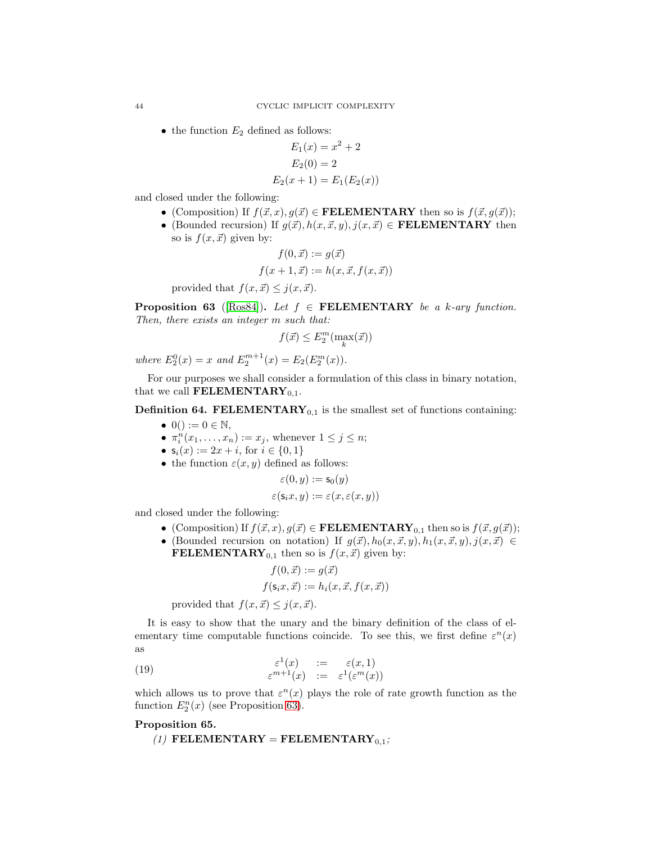• the function  $E_2$  defined as follows:

$$
E_1(x) = x2 + 2
$$
  
\n
$$
E_2(0) = 2
$$
  
\n
$$
E_2(x+1) = E_1(E_2(x))
$$

and closed under the following:

- (Composition) If  $f(\vec{x}, x), g(\vec{x}) \in \textbf{FELEMENTARY}$  then so is  $f(\vec{x}, g(\vec{x}))$ ;
- (Bounded recursion) If  $g(\vec{x}), h(x, \vec{x}, y), j(x, \vec{x}) \in \textbf{FELEMENTARY}$  then so is  $f(x, \vec{x})$  given by:

$$
f(0, \vec{x}) := g(\vec{x})
$$

$$
f(x+1, \vec{x}) := h(x, \vec{x}, f(x, \vec{x}))
$$

provided that  $f(x, \vec{x}) \leq j(x, \vec{x})$ .

<span id="page-44-0"></span>**Proposition 63** ([\[Ros84\]](#page-39-3)). Let  $f \in \textbf{FELEMENTARY}$  be a k-ary function. Then, there exists an integer m such that:

$$
f(\vec{x}) \le E_2^m(\max_k(\vec{x}))
$$

where  $E_2^0(x) = x$  and  $E_2^{m+1}(x) = E_2(E_2^m(x))$ .

For our purposes we shall consider a formulation of this class in binary notation, that we call **FELEMENTARY**<sub>0,1</sub>.

**Definition 64. FELEMENTARY**<sub>0,1</sub> is the smallest set of functions containing:

- $0() := 0 \in \mathbb{N},$
- $\pi_i^n(x_1,\ldots,x_n) := x_j$ , whenever  $1 \leq j \leq n$ ;
- $s_i(x) := 2x + i$ , for  $i \in \{0, 1\}$
- the function  $\varepsilon(x, y)$  defined as follows:

$$
\varepsilon(0, y) := \mathsf{s}_0(y)
$$

$$
\varepsilon(\mathsf{s}_i x, y) := \varepsilon(x, \varepsilon(x, y))
$$

and closed under the following:

- (Composition) If  $f(\vec{x}, x), g(\vec{x}) \in \textbf{FELEMENTARY}_{0,1}$  then so is  $f(\vec{x}, g(\vec{x}))$ ;
- (Bounded recursion on notation) If  $g(\vec{x}), h_0(x, \vec{x}, y), h_1(x, \vec{x}, y), j(x, \vec{x}) \in$ **FELEMENTARY**<sub>0,1</sub> then so is  $f(x, \vec{x})$  given by:

<span id="page-44-2"></span>
$$
f(0, \vec{x}) := g(\vec{x})
$$
  

$$
f(\mathbf{s}_i x, \vec{x}) := h_i(x, \vec{x}, f(x, \vec{x}))
$$

provided that  $f(x, \vec{x}) \leq i(x, \vec{x})$ .

It is easy to show that the unary and the binary definition of the class of elementary time computable functions coincide. To see this, we first define  $\varepsilon^{n}(x)$ as

(19) 
$$
\begin{array}{rcl}\n\varepsilon^1(x) & := & \varepsilon(x,1) \\
\varepsilon^{m+1}(x) & := & \varepsilon^1(\varepsilon^m(x))\n\end{array}
$$

<span id="page-44-3"></span>which allows us to prove that  $\varepsilon^{n}(x)$  plays the role of rate growth function as the function  $E_2^n(x)$  (see Proposition [63\)](#page-44-0).

#### <span id="page-44-1"></span>Proposition 65.

(1) FELEMENTARY = FELEMENTARY<sub>0,1</sub>;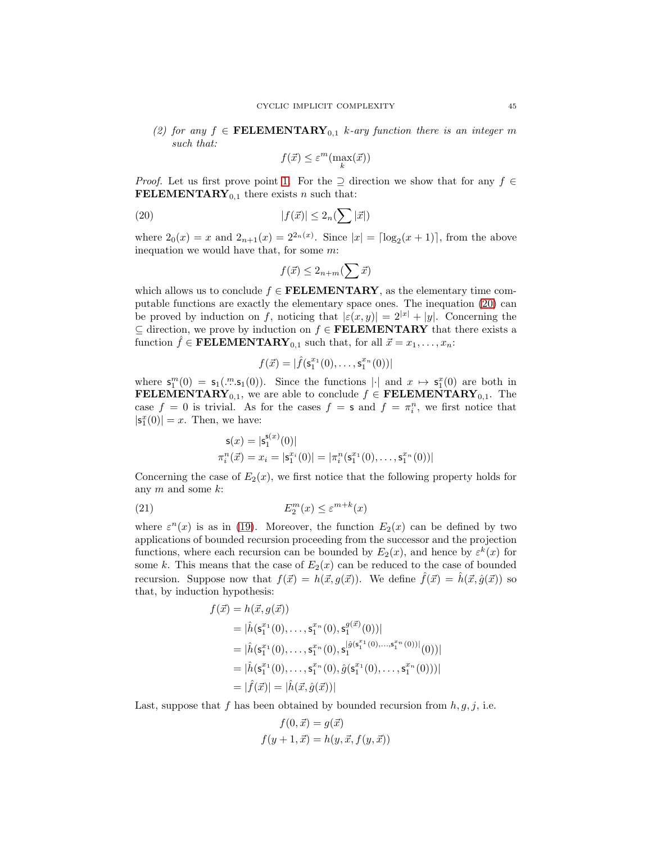<span id="page-45-1"></span>(2) for any  $f \in \textbf{FELEMENTARY}_{0,1}$  k-ary function there is an integer m such that:

$$
f(\vec{x}) \le \varepsilon^m(\max_k(\vec{x}))
$$

*Proof.* Let us first prove point [1.](#page-44-1) For the  $\supseteq$  direction we show that for any  $f \in$ FELEMENTARY<sub>0.1</sub> there exists *n* such that:

(20) 
$$
|f(\vec{x})| \leq 2_n \left(\sum |\vec{x}|\right)
$$

where  $2_0(x) = x$  and  $2_{n+1}(x) = 2^{2_n(x)}$ . Since  $|x| = \lfloor \log_2(x+1) \rfloor$ , from the above inequation we would have that, for some m:

<span id="page-45-0"></span>
$$
f(\vec{x}) \le 2_{n+m}(\sum \vec{x})
$$

which allows us to conclude  $f \in \textbf{FELEMENTARY}$ , as the elementary time computable functions are exactly the elementary space ones. The inequation [\(20\)](#page-45-0) can be proved by induction on f, noticing that  $|\varepsilon(x, y)| = 2^{|x|} + |y|$ . Concerning the  $\subseteq$  direction, we prove by induction on  $f \in \textbf{FELEMENTARY}$  that there exists a function  $\hat{f} \in \textbf{FELEMENTARY}_{0,1}$  such that, for all  $\vec{x} = x_1, \dots, x_n$ :

$$
f(\vec{x}) = |\hat{f}(\mathsf{s}_1^{x_1}(0), \dots, \mathsf{s}_1^{x_n}(0))|
$$

where  $\mathbf{s}_1^m(0) = \mathbf{s}_1(\cdot^n \cdot \mathbf{s}_1(0))$ . Since the functions  $|\cdot|$  and  $x \mapsto \mathbf{s}_1^x(0)$  are both in **FELEMENTARY**<sub>0,1</sub>, we are able to conclude  $f \in \textbf{FELEMENTARY}_{0,1}$ . The case  $f = 0$  is trivial. As for the cases  $f = s$  and  $f = \pi_i^n$ , we first notice that  $|\mathsf{s}_1^x(0)|=x.$  Then, we have:

<span id="page-45-2"></span>
$$
s(x) = |s_1^{s(x)}(0)|
$$
  
\n
$$
\pi_i^n(\vec{x}) = x_i = |s_1^{x_i}(0)| = |\pi_i^n(s_1^{x_1}(0), \dots, s_1^{x_n}(0))|
$$

Concerning the case of  $E_2(x)$ , we first notice that the following property holds for any  $m$  and some  $k$ :

(21) 
$$
E_2^m(x) \le \varepsilon^{m+k}(x)
$$

where  $\varepsilon^{n}(x)$  is as in [\(19\)](#page-44-2). Moreover, the function  $E_2(x)$  can be defined by two applications of bounded recursion proceeding from the successor and the projection functions, where each recursion can be bounded by  $E_2(x)$ , and hence by  $\varepsilon^k(x)$  for some k. This means that the case of  $E_2(x)$  can be reduced to the case of bounded recursion. Suppose now that  $f(\vec{x}) = h(\vec{x}, g(\vec{x}))$ . We define  $\hat{f}(\vec{x}) = \hat{h}(\vec{x}, \hat{g}(\vec{x}))$  so that, by induction hypothesis:

$$
f(\vec{x}) = h(\vec{x}, g(\vec{x}))
$$
  
\n
$$
= |\hat{h}(\mathbf{s}_1^{x_1}(0), \dots, \mathbf{s}_1^{x_n}(0), \mathbf{s}_1^{g(\vec{x})}(0))|
$$
  
\n
$$
= |\hat{h}(\mathbf{s}_1^{x_1}(0), \dots, \mathbf{s}_1^{x_n}(0), \mathbf{s}_1^{|\hat{g}(\mathbf{s}_1^{x_1}(0), \dots, \mathbf{s}_1^{x_n}(0))|}(0))|
$$
  
\n
$$
= |\hat{h}(\mathbf{s}_1^{x_1}(0), \dots, \mathbf{s}_1^{x_n}(0), \hat{g}(\mathbf{s}_1^{x_1}(0), \dots, \mathbf{s}_1^{x_n}(0)))|
$$
  
\n
$$
= |\hat{f}(\vec{x})| = |\hat{h}(\vec{x}, \hat{g}(\vec{x}))|
$$

Last, suppose that f has been obtained by bounded recursion from  $h, g, j$ , i.e.

$$
f(0, \vec{x}) = g(\vec{x})
$$

$$
f(y+1, \vec{x}) = h(y, \vec{x}, f(y, \vec{x}))
$$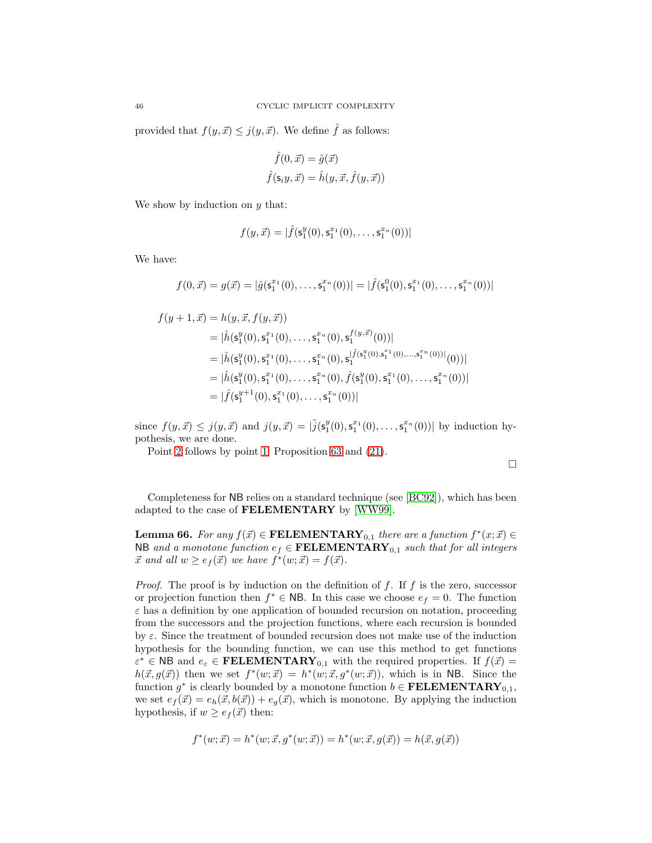provided that  $f(y, \vec{x}) \leq j(y, \vec{x})$ . We define  $\hat{f}$  as follows:

$$
\hat{f}(0, \vec{x}) = \hat{g}(\vec{x})
$$

$$
\hat{f}(\mathbf{s}_i y, \vec{x}) = \hat{h}(y, \vec{x}, \hat{f}(y, \vec{x}))
$$

We show by induction on  $y$  that:

$$
f(y, \vec{x}) = |\hat{f}(\mathbf{s}_1^y(0), \mathbf{s}_1^{x_1}(0), \dots, \mathbf{s}_1^{x_n}(0))|
$$

We have:

$$
f(0,\vec{x}) = g(\vec{x}) = |\hat{g}(\mathsf{s}_1^{x_1}(0),\ldots,\mathsf{s}_1^{x_n}(0))| = |\hat{f}(\mathsf{s}_1^0(0),\mathsf{s}_1^{x_1}(0),\ldots,\mathsf{s}_1^{x_n}(0))|
$$

$$
f(y+1, \vec{x}) = h(y, \vec{x}, f(y, \vec{x}))
$$
  
\n
$$
= |\hat{h}(\mathbf{s}_1^y(0), \mathbf{s}_1^{x_1}(0), \dots, \mathbf{s}_1^{x_n}(0), \mathbf{s}_1^{f(y, \vec{x})}(0))|
$$
  
\n
$$
= |\hat{h}(\mathbf{s}_1^y(0), \mathbf{s}_1^{x_1}(0), \dots, \mathbf{s}_1^{x_n}(0), \mathbf{s}_1^{|\hat{f}(\mathbf{s}_1^y(0), \mathbf{s}_1^{x_1}(0), \dots, \mathbf{s}_1^{x_n}(0))|}(0))|
$$
  
\n
$$
= |\hat{h}(\mathbf{s}_1^y(0), \mathbf{s}_1^{x_1}(0), \dots, \mathbf{s}_1^{x_n}(0), \hat{f}(\mathbf{s}_1^y(0), \mathbf{s}_1^{x_1}(0), \dots, \mathbf{s}_1^{x_n}(0))|
$$
  
\n
$$
= |\hat{f}(\mathbf{s}_1^{y+1}(0), \mathbf{s}_1^{x_1}(0), \dots, \mathbf{s}_1^{x_n}(0))|
$$

since  $f(y, \vec{x}) \leq j(y, \vec{x})$  and  $j(y, \vec{x}) = |\hat{j}(s_1^y(0), s_1^{x_1}(0), \dots, s_1^{x_n}(0))|$  by induction hypothesis, we are done.

Point [2](#page-45-1) follows by point [1,](#page-44-1) Proposition [63](#page-44-0) and [\(21\)](#page-45-2).

<span id="page-46-0"></span>Completeness for NB relies on a standard technique (see [\[BC92\]](#page-37-4)), which has been adapted to the case of FELEMENTARY by [\[WW99\]](#page-39-1).

**Lemma 66.** For any  $f(\vec{x}) \in \textbf{FELEMENTARY}_{0,1}$  there are a function  $f^*(x; \vec{x}) \in$ NB and a monotone function  $e_f \in \textbf{FELEMENTARY}_{0,1}$  such that for all integers  $\vec{x}$  and all  $w \geq e_f(\vec{x})$  we have  $f^*(w; \vec{x}) = f(\vec{x})$ .

*Proof.* The proof is by induction on the definition of  $f$ . If  $f$  is the zero, successor or projection function then  $f^* \in \mathsf{NB}$ . In this case we choose  $e_f = 0$ . The function  $\varepsilon$  has a definition by one application of bounded recursion on notation, proceeding from the successors and the projection functions, where each recursion is bounded by  $\varepsilon$ . Since the treatment of bounded recursion does not make use of the induction hypothesis for the bounding function, we can use this method to get functions  $\varepsilon^* \in \text{NB}$  and  $e_{\varepsilon} \in \text{FELEMENTARY}_{0,1}$  with the required properties. If  $f(\vec{x}) =$  $h(\vec{x}, g(\vec{x}))$  then we set  $f^*(w; \vec{x}) = h^*(w; \vec{x}, g^*(w; \vec{x}))$ , which is in NB. Since the function  $g^*$  is clearly bounded by a monotone function  $b \in \textbf{FELEMENTARY}_{0,1}$ , we set  $e_f(\vec{x}) = e_h(\vec{x}, b(\vec{x})) + e_g(\vec{x})$ , which is monotone. By applying the induction hypothesis, if  $w \geq e_f(\vec{x})$  then:

$$
f^*(w; \vec{x}) = h^*(w; \vec{x}, g^*(w; \vec{x})) = h^*(w; \vec{x}, g(\vec{x})) = h(\vec{x}, g(\vec{x}))
$$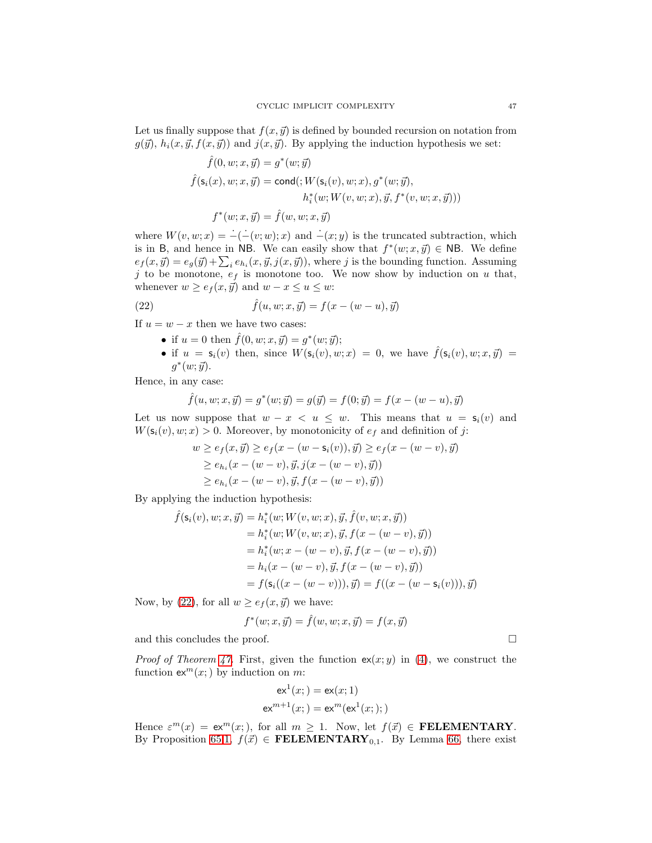Let us finally suppose that  $f(x, \vec{y})$  is defined by bounded recursion on notation from  $g(\vec{y})$ ,  $h_i(x, \vec{y}, f(x, \vec{y}))$  and  $j(x, \vec{y})$ . By applying the induction hypothesis we set:

$$
\hat{f}(0, w; x, \vec{y}) = g^*(w; \vec{y})
$$

$$
\hat{f}(\mathsf{s}_i(x), w; x, \vec{y}) = \text{cond}(\, W(\mathsf{s}_i(v), w; x), g^*(w; \vec{y}),
$$

$$
h_i^*(w; W(v, w; x), \vec{y}, f^*(v, w; x, \vec{y})))
$$

$$
f^*(w; x, \vec{y}) = \hat{f}(w, w; x, \vec{y})
$$

where  $W(v, w; x) = -(-\overline{(v; w)}; x)$  and  $-\overline{(x; y)}$  is the truncated subtraction, which is in B, and hence in NB. We can easily show that  $f^*(w; x, \vec{y}) \in \mathsf{NB}$ . We define  $e_f(x, \vec{y}) = e_g(\vec{y}) + \sum_i e_{h_i}(x, \vec{y}, j(x, \vec{y}))$ , where j is the bounding function. Assuming j to be monotone,  $e_f$  is monotone too. We now show by induction on u that, whenever  $w \ge e_f(x, \vec{y})$  and  $w - x \le u \le w$ :

(22) 
$$
\hat{f}(u, w; x, \vec{y}) = f(x - (w - u), \vec{y})
$$

If  $u = w - x$  then we have two cases:

- <span id="page-47-0"></span>• if  $u = 0$  then  $\hat{f}(0, w; x, \vec{y}) = g^*(w; \vec{y});$
- if  $u = s_i(v)$  then, since  $W(s_i(v), w; x) = 0$ , we have  $\hat{f}(s_i(v), w; x, \vec{y}) =$  $g^*(w; \vec{y}).$

Hence, in any case:

$$
\hat{f}(u, w; x, \vec{y}) = g^*(w; \vec{y}) = g(\vec{y}) = f(0; \vec{y}) = f(x - (w - u), \vec{y})
$$

Let us now suppose that  $w - x < u \leq w$ . This means that  $u = s_i(v)$  and  $W(\mathsf{s}_i(v), w; x) > 0$ . Moreover, by monotonicity of  $e_f$  and definition of j:

$$
w \ge e_f(x, \vec{y}) \ge e_f(x - (w - s_i(v)), \vec{y}) \ge e_f(x - (w - v), \vec{y})
$$
  
 
$$
\ge e_{h_i}(x - (w - v), \vec{y}, j(x - (w - v), \vec{y}))
$$
  
 
$$
\ge e_{h_i}(x - (w - v), \vec{y}, f(x - (w - v), \vec{y}))
$$

By applying the induction hypothesis:

$$
\hat{f}(\mathsf{s}_i(v), w; x, \vec{y}) = h_i^*(w; W(v, w; x), \vec{y}, \hat{f}(v, w; x, \vec{y})) \n= h_i^*(w; W(v, w; x), \vec{y}, f(x - (w - v), \vec{y})) \n= h_i^*(w; x - (w - v), \vec{y}, f(x - (w - v), \vec{y})) \n= h_i(x - (w - v), \vec{y}, f(x - (w - v), \vec{y})) \n= f(\mathsf{s}_i((x - (w - v))), \vec{y}) = f((x - (w - \mathsf{s}_i(v))), \vec{y})
$$

Now, by [\(22\)](#page-47-0), for all  $w \ge e_f(x, \vec{y})$  we have:

$$
f^*(w; x, \vec{y}) = \hat{f}(w, w; x, \vec{y}) = f(x, \vec{y})
$$

and this concludes the proof.

*Proof of Theorem [47.](#page-27-0)* First, given the function  $ex(x; y)$  in [\(4\)](#page-17-2), we construct the function  $ex^m(x)$  by induction on m:

$$
ex^{1}(x;)=ex(x;1)
$$
  

$$
ex^{m+1}(x;)=ex^{m}(ex^{1}(x;));
$$

Hence  $\varepsilon^{m}(x) = \mathbf{e} \mathbf{x}^{m}(x;),$  for all  $m \geq 1$ . Now, let  $f(\vec{x}) \in \mathbf{FELEMENTARY}$ . By Proposition [65.](#page-44-3)[1,](#page-44-1)  $f(\vec{x}) \in \textbf{FELEMENTARY}_{0,1}$ . By Lemma [66,](#page-46-0) there exist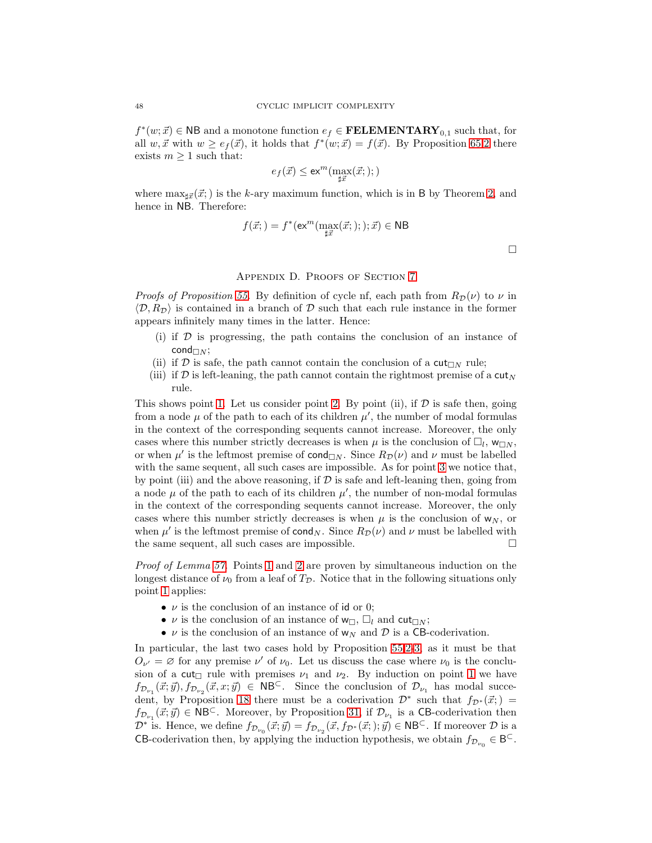$f^*(w; \vec{x}) \in \mathsf{NB}$  and a monotone function  $e_f \in \mathbf{FELEMENTARY}_{0,1}$  such that, for all  $w, \vec{x}$  with  $w \ge e_f(\vec{x})$ , it holds that  $f^*(w; \vec{x}) = f(\vec{x})$ . By Proposition [65.](#page-44-3)[2](#page-45-1) there exists  $m \geq 1$  such that:

$$
e_f(\vec{x}) \le \mathsf{ex}^m(\max_{\sharp \vec{x}}(\vec{x};));)
$$

where  $\max_{\vec{x}}(\vec{x};)$  is the k-ary maximum function, which is in B by Theorem [2,](#page-4-1) and hence in NB. Therefore:

$$
f(\vec{x};\theta) = f^*(\operatorname{ex}^m(\max_{\sharp \vec{x}}(\vec{x};\theta);\xi;\vec{x}) \in \text{NB}
$$

#### Appendix D. Proofs of Section [7](#page-32-0)

*Proofs of Proposition [55.](#page-32-1)* By definition of cycle nf, each path from  $R_{\mathcal{D}}(\nu)$  to  $\nu$  in  $\langle \mathcal{D}, R_{\mathcal{D}} \rangle$  is contained in a branch of  $\mathcal D$  such that each rule instance in the former appears infinitely many times in the latter. Hence:

- (i) if  $D$  is progressing, the path contains the conclusion of an instance of cond $\sqcap_N$ ;
- (ii) if  $D$  is safe, the path cannot contain the conclusion of a  $\text{cut}_{\Box N}$  rule;
- (iii) if D is left-leaning, the path cannot contain the rightmost premise of a  $\text{cut}_N$ rule.

This shows point [1.](#page-32-2) Let us consider point [2.](#page-33-6) By point (ii), if  $\mathcal D$  is safe then, going from a node  $\mu$  of the path to each of its children  $\mu'$ , the number of modal formulas in the context of the corresponding sequents cannot increase. Moreover, the only cases where this number strictly decreases is when  $\mu$  is the conclusion of  $\Box_l$ ,  $w_{\Box N}$ , or when  $\mu'$  is the leftmost premise of cond<sub> $\Box N$ </sub>. Since  $R_{\mathcal{D}}(\nu)$  and  $\nu$  must be labelled with the same sequent, all such cases are impossible. As for point [3](#page-33-7) we notice that, by point (iii) and the above reasoning, if  $D$  is safe and left-leaning then, going from a node  $\mu$  of the path to each of its children  $\mu'$ , the number of non-modal formulas in the context of the corresponding sequents cannot increase. Moreover, the only cases where this number strictly decreases is when  $\mu$  is the conclusion of  $w_N$ , or when  $\mu'$  is the leftmost premise of cond<sub>N</sub>. Since  $R_{\mathcal{D}}(\nu)$  and  $\nu$  must be labelled with the same sequent, all such cases are impossible.

Proof of Lemma [57.](#page-33-0) Points [1](#page-33-1) and [2](#page-33-2) are proven by simultaneous induction on the longest distance of  $\nu_0$  from a leaf of  $T_{\mathcal{D}}$ . Notice that in the following situations only point [1](#page-33-1) applies:

- $\nu$  is the conclusion of an instance of id or 0;
- $\nu$  is the conclusion of an instance of  $w_{\Box}$ ,  $\Box_l$  and cut $\Box_N$ ;
- $\nu$  is the conclusion of an instance of  $w_N$  and  $\mathcal D$  is a CB-coderivation.

In particular, the last two cases hold by Proposition [55](#page-32-1)[.2](#page-33-6)[-3,](#page-33-7) as it must be that  $O_{\nu'} = \emptyset$  for any premise  $\nu'$  of  $\nu_0$ . Let us discuss the case where  $\nu_0$  is the conclusion of a cut<sub> $\Box$ </sub> rule with premises  $\nu_1$  and  $\nu_2$ . By induction on point [1](#page-33-1) we have  $f_{\mathcal{D}_{\nu_1}}(\vec{x};\vec{y}), f_{\mathcal{D}_{\nu_2}}(\vec{x},x;\vec{y}) \in \mathsf{NB}^{\mathsf{C}}$ . Since the conclusion of  $\mathcal{D}_{\nu_1}$  has modal succe-dent, by Proposition [18](#page-12-3) there must be a coderivation  $\mathcal{D}^*$  such that  $f_{\mathcal{D}^*}(\vec{x};) =$  $f_{\mathcal{D}_{\nu_1}}(\vec{x};\vec{y}) \in \mathsf{NB}^{\mathsf{C}}$ . Moreover, by Proposition [31,](#page-16-2) if  $\mathcal{D}_{\nu_1}$  is a CB-coderivation then  $\mathcal{D}^*$  is. Hence, we define  $f_{\mathcal{D}_{\nu_0}}(\vec{x};\vec{y}) = f_{\mathcal{D}_{\nu_2}}(\vec{x},f_{\mathcal{D}^*}(\vec{x};);\vec{y}) \in \mathsf{NB}^{\subset}$ . If moreover  $\mathcal D$  is a **CB**-coderivation then, by applying the induction hypothesis, we obtain  $f_{\mathcal{D}_{\nu_0}} \in \mathsf{B}^{\mathsf{C}}$ .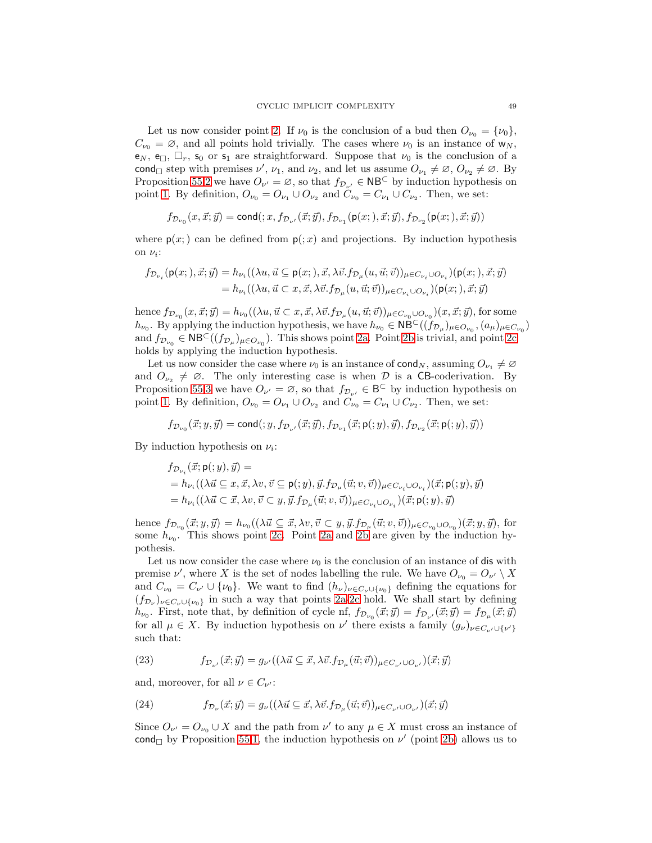Let us now consider point [2.](#page-33-2) If  $\nu_0$  is the conclusion of a bud then  $O_{\nu_0} = {\nu_0},$  $C_{\nu_0} = \emptyset$ , and all points hold trivially. The cases where  $\nu_0$  is an instance of  $w_N$ ,  $e_N$ ,  $e_{\square}$ ,  $\square_r$ ,  $s_0$  or  $s_1$  are straightforward. Suppose that  $\nu_0$  is the conclusion of a cond g step with premises  $\nu'$ ,  $\nu_1$ , and  $\nu_2$ , and let us assume  $O_{\nu_1} \neq \emptyset$ ,  $O_{\nu_2} \neq \emptyset$ . By Proposition [55.](#page-32-1)[2](#page-33-6) we have  $O_{\nu'} = \emptyset$ , so that  $f_{\mathcal{D}_{\nu'}} \in \mathsf{NB}^{\mathsf{C}}$  by induction hypothesis on point [1.](#page-33-1) By definition,  $O_{\nu_0} = O_{\nu_1} \cup O_{\nu_2}$  and  $C_{\nu_0} = C_{\nu_1} \cup C_{\nu_2}$ . Then, we set:

$$
f_{\mathcal{D}_{\nu_0}}(x,\vec{x};\vec{y})=\mathrm{cond}(:,x,f_{\mathcal{D}_{\nu'}}(\vec{x};\vec{y}),f_{\mathcal{D}_{\nu_1}}(\mathsf{p}(x;),\vec{x};\vec{y}),f_{\mathcal{D}_{\nu_2}}(\mathsf{p}(x;),\vec{x};\vec{y}))
$$

where  $p(x;)$  can be defined from  $p(x; x)$  and projections. By induction hypothesis on  $\nu_i$ :

$$
f_{\mathcal{D}_{\nu_i}}(\mathsf{p}(x;),\vec{x};\vec{y}) = h_{\nu_i}((\lambda u, \vec{u} \subseteq \mathsf{p}(x;),\vec{x},\lambda \vec{v}.f_{\mathcal{D}_{\mu}}(u,\vec{u};\vec{v}))_{\mu \in C_{\nu_i} \cup O_{\nu_i}})(\mathsf{p}(x;),\vec{x};\vec{y})
$$
  
=  $h_{\nu_i}((\lambda u, \vec{u} \subset x, \vec{x},\lambda \vec{v}.f_{\mathcal{D}_{\mu}}(u,\vec{u};\vec{v}))_{\mu \in C_{\nu_i} \cup O_{\nu_i}})(\mathsf{p}(x;),\vec{x};\vec{y})$ 

hence  $f_{\mathcal{D}_{\nu_0}}(x, \vec{x}; \vec{y}) = h_{\nu_0}((\lambda u, \vec{u} \subset x, \vec{x}, \lambda \vec{v}.f_{\mathcal{D}_{\mu}}(u, \vec{u}; \vec{v}))_{\mu \in C_{\nu_0} \cup O_{\nu_0}})(x, \vec{x}; \vec{y}),$  for some  $h_{\nu_0}$ . By applying the induction hypothesis, we have  $h_{\nu_0} \in \mathsf{N}\mathsf{B}^{\subset}((f_{\mathcal{D}_\mu})_{\mu \in O_{\nu_0}}, (a_\mu)_{\mu \in C_{\nu_0}})$ and  $f_{\mathcal{D}_{\nu_0}} \in \mathsf{NB}^{\subset}((f_{\mathcal{D}_\mu})_{\mu \in O_{\nu_0}})$ . This shows point [2a.](#page-33-3) Point [2b](#page-33-5) is trivial, and point [2c](#page-33-4) holds by applying the induction hypothesis.

Let us now consider the case where  $\nu_0$  is an instance of cond<sub>N</sub>, assuming  $O_{\nu_1} \neq \emptyset$ and  $O_{\nu_2} \neq \emptyset$ . The only interesting case is when D is a CB-coderivation. By Proposition [55.](#page-32-1)[3](#page-33-7) we have  $O_{\nu'} = \emptyset$ , so that  $f_{\mathcal{D}_{\nu'}} \in \mathsf{B}^{\subset}$  by induction hypothesis on point [1.](#page-33-1) By definition,  $O_{\nu_0} = O_{\nu_1} \cup O_{\nu_2}$  and  $C_{\nu_0} = C_{\nu_1} \cup C_{\nu_2}$ . Then, we set:

$$
f_{\mathcal{D}_{\nu_0}}(\vec{x};y,\vec{y}) = \mathsf{cond}(:,y,f_{\mathcal{D}_{\nu'}}(\vec{x};\vec{y}),f_{\mathcal{D}_{\nu_1}}(\vec{x};\mathsf{p}(:,y),\vec{y}),f_{\mathcal{D}_{\nu_2}}(\vec{x};\mathsf{p}(:,y),\vec{y}))
$$

By induction hypothesis on  $\nu_i$ :

$$
\begin{aligned} &f_{\mathcal{D}_{\nu_i}}(\vec{x};\mathsf{p}(:,y),\vec{y}) = \\ &=h_{\nu_i}((\lambda\vec{u}\subseteq x,\vec{x},\lambda v,\vec{v}\subseteq\mathsf{p}(:,y),\vec{y}.f_{\mathcal{D}_{\mu}}(\vec{u};v,\vec{v}))_{\mu\in C_{\nu_i}\cup O_{\nu_i}})(\vec{x};\mathsf{p}(:,y),\vec{y}) \\ &=h_{\nu_i}((\lambda\vec{u}\subset \vec{x},\lambda v,\vec{v}\subset y,\vec{y}.f_{\mathcal{D}_{\mu}}(\vec{u};v,\vec{v}))_{\mu\in C_{\nu_i}\cup O_{\nu_i}})(\vec{x};\mathsf{p}(:,y),\vec{y}) \end{aligned}
$$

hence  $f_{\mathcal{D}_{\nu_0}}(\vec{x}; y, \vec{y}) = h_{\nu_0}((\lambda \vec{u} \subseteq \vec{x}, \lambda v, \vec{v} \subset y, \vec{y}.f_{\mathcal{D}_\mu}(\vec{u}; v, \vec{v}))_{\mu \in C_{\nu_0} \cup O_{\nu_0}})(\vec{x}; y, \vec{y}),$  for some  $h_{\nu_0}$ . This shows point [2c.](#page-33-4) Point [2a](#page-33-3) and [2b](#page-33-5) are given by the induction hypothesis.

Let us now consider the case where  $\nu_0$  is the conclusion of an instance of dis with premise  $\nu'$ , where X is the set of nodes labelling the rule. We have  $O_{\nu_0} = O_{\nu'} \setminus X$ and  $C_{\nu_0} = C_{\nu'} \cup \{\nu_0\}$ . We want to find  $(h_{\nu})_{\nu \in C_{\nu} \cup \{\nu_0\}}$  defining the equations for  $(f_{\mathcal{D}_{\nu}})_{\nu \in C_{\nu} \cup \{\nu_0\}}$  in such a way that points [2a](#page-33-3)[-2c](#page-33-4) hold. We shall start by defining  $h_{\nu_0}$ . First, note that, by definition of cycle nf,  $f_{\mathcal{D}_{\nu_0}}(\vec{x}; \vec{y}) = f_{\mathcal{D}_{\nu'}}(\vec{x}; \vec{y}) = f_{\mathcal{D}_{\mu}}(\vec{x}; \vec{y})$ for all  $\mu \in X$ . By induction hypothesis on  $\nu'$  there exists a family  $(g_{\nu})_{\nu \in C_{\nu'} \cup \{\nu'\}}$ such that:

<span id="page-49-0"></span>(23) 
$$
f_{\mathcal{D}_{\nu'}}(\vec{x};\vec{y}) = g_{\nu'}((\lambda \vec{u} \subseteq \vec{x}, \lambda \vec{v}.f_{\mathcal{D}_{\mu}}(\vec{u};\vec{v}))_{\mu \in C_{\nu'} \cup O_{\nu'}})(\vec{x};\vec{y})
$$

and, moreover, for all  $\nu \in C_{\nu'}$ :

<span id="page-49-1"></span>(24) 
$$
f_{\mathcal{D}_{\nu}}(\vec{x};\vec{y}) = g_{\nu}((\lambda \vec{u} \subseteq \vec{x}, \lambda \vec{v}.f_{\mathcal{D}_{\mu}}(\vec{u};\vec{v}))_{\mu \in C_{\nu'} \cup O_{\nu'}})(\vec{x};\vec{y})
$$

Since  $O_{\nu'} = O_{\nu_0} \cup X$  and the path from  $\nu'$  to any  $\mu \in X$  must cross an instance of cond by Proposition [55](#page-32-1)[.1,](#page-32-2) the induction hypothesis on  $\nu'$  (point [2b\)](#page-33-5) allows us to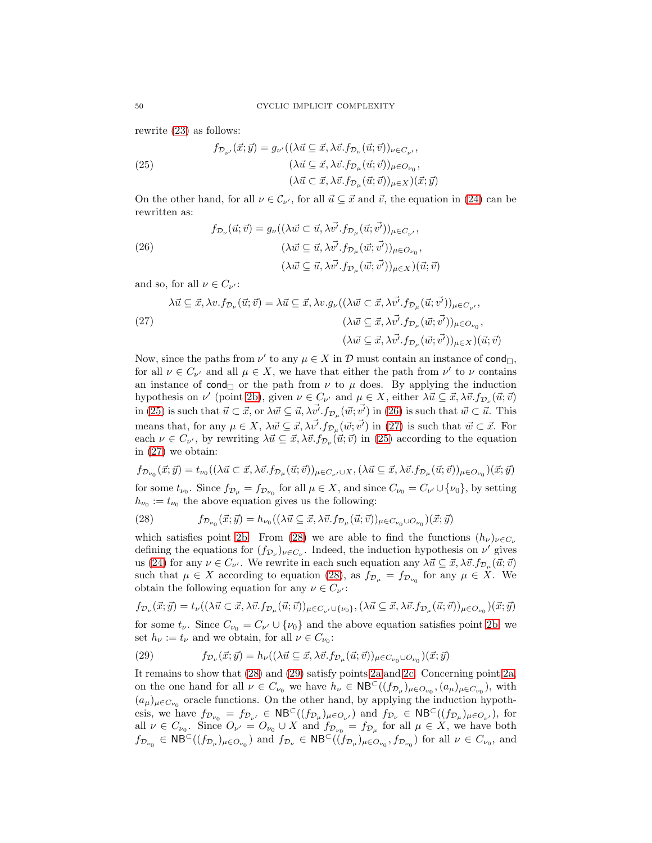rewrite [\(23\)](#page-49-0) as follows:

<span id="page-50-0"></span>(25) 
$$
f_{\mathcal{D}_{\nu'}}(\vec{x}; \vec{y}) = g_{\nu'}((\lambda \vec{u} \subseteq \vec{x}, \lambda \vec{v}. f_{\mathcal{D}_{\nu}}(\vec{u}; \vec{v}))_{\nu \in C_{\nu'}},
$$

$$
(\lambda \vec{u} \subseteq \vec{x}, \lambda \vec{v}. f_{\mathcal{D}_{\mu}}(\vec{u}; \vec{v}))_{\mu \in O_{\nu_{0}}},
$$

$$
(\lambda \vec{u} \subset \vec{x}, \lambda \vec{v}. f_{\mathcal{D}_{\mu}}(\vec{u}; \vec{v}))_{\mu \in X})(\vec{x}; \vec{y})
$$

On the other hand, for all  $\nu \in \mathcal{C}_{\nu'}$ , for all  $\vec{u} \subseteq \vec{x}$  and  $\vec{v}$ , the equation in [\(24\)](#page-49-1) can be rewritten as:

<span id="page-50-1"></span>(26)  
\n
$$
f_{\mathcal{D}_{\nu}}(\vec{u};\vec{v}) = g_{\nu}((\lambda \vec{w} \subset \vec{u}, \lambda \vec{v'}, f_{\mathcal{D}_{\mu}}(\vec{u};\vec{v'}))_{\mu \in C_{\nu'}},
$$
\n
$$
(\lambda \vec{w} \subseteq \vec{u}, \lambda \vec{v'}, f_{\mathcal{D}_{\mu}}(\vec{w};\vec{v'}))_{\mu \in O_{\nu_{0}}},
$$
\n
$$
(\lambda \vec{w} \subseteq \vec{u}, \lambda \vec{v'}, f_{\mathcal{D}_{\mu}}(\vec{w};\vec{v'}))_{\mu \in X})(\vec{u};\vec{v})
$$

and so, for all  $\nu \in C_{\nu'}$ :

<span id="page-50-2"></span>
$$
\lambda \vec{u} \subseteq \vec{x}, \lambda v. f_{\mathcal{D}_{\nu}}(\vec{u}; \vec{v}) = \lambda \vec{u} \subseteq \vec{x}, \lambda v. g_{\nu}((\lambda \vec{w} \subset \vec{x}, \lambda \vec{v'}, f_{\mathcal{D}_{\mu}}(\vec{u}; \vec{v'}))_{\mu \in C_{\nu'}},
$$
  

$$
(\lambda \vec{w} \subseteq \vec{x}, \lambda \vec{v'}, f_{\mathcal{D}_{\mu}}(\vec{w}; \vec{v'}))_{\mu \in O_{\nu_{0}}},
$$
  

$$
(\lambda \vec{w} \subseteq \vec{x}, \lambda \vec{v'}, f_{\mathcal{D}_{\mu}}(\vec{w}; \vec{v'}))_{\mu \in X})(\vec{u}; \vec{v})
$$

Now, since the paths from  $\nu'$  to any  $\mu \in X$  in  $\mathcal D$  must contain an instance of cond<sub> $\Box$ </sub>, for all  $\nu \in C_{\nu'}$  and all  $\mu \in X$ , we have that either the path from  $\nu'$  to  $\nu$  contains an instance of cond<sub> $\Box$ </sub> or the path from  $\nu$  to  $\mu$  does. By applying the induction hypothesis on  $\nu'$  (point [2b\)](#page-33-5), given  $\nu \in C_{\nu'}$  and  $\mu \in X$ , either  $\lambda \vec{u} \subseteq \vec{x}, \lambda \vec{v}.f_{\mathcal{D}_{\nu}}(\vec{u}; \vec{v})$ in [\(25\)](#page-50-0) is such that  $\vec{u} \subset \vec{x}$ , or  $\lambda \vec{w} \subseteq \vec{u}, \lambda \vec{v'} . f_{\mathcal{D}_{\mu}}(\vec{w}; \vec{v'})$  in [\(26\)](#page-50-1) is such that  $\vec{w} \subset \vec{u}$ . This means that, for any  $\mu \in X$ ,  $\lambda \vec{w} \subseteq \vec{x}, \lambda \vec{v'} . f_{\mathcal{D}_{\mu}}(\vec{w}; \vec{v'})$  in [\(27\)](#page-50-2) is such that  $\vec{w} \subset \vec{x}$ . For each  $\nu \in C_{\nu'}$ , by rewriting  $\lambda \vec{u} \subseteq \vec{x}, \lambda \vec{v}.f_{\mathcal{D}_{\nu}}(\vec{u}; \vec{v})$  in [\(25\)](#page-50-0) according to the equation in [\(27\)](#page-50-2) we obtain:

$$
f_{\mathcal{D}_{\nu_0}}(\vec{x};\vec{y})=t_{\nu_0}((\lambda\vec{u}\subset \vec{x},\lambda\vec{v}.f_{\mathcal{D}_{\mu}}(\vec{u};\vec{v}))_{\mu\in C_{\nu'}\cup X}, (\lambda\vec{u}\subseteq \vec{x},\lambda\vec{v}.f_{\mathcal{D}_{\mu}}(\vec{u};\vec{v}))_{\mu\in O_{\nu_0}})(\vec{x};\vec{y})
$$

for some  $t_{\nu_0}$ . Since  $f_{\mathcal{D}_\mu} = f_{\mathcal{D}_{\nu_0}}$  for all  $\mu \in X$ , and since  $C_{\nu_0} = C_{\nu'} \cup {\{\nu_0\}}$ , by setting  $h_{\nu_0} := t_{\nu_0}$  the above equation gives us the following:

<span id="page-50-3"></span>(28) 
$$
f_{\mathcal{D}_{\nu_0}}(\vec{x};\vec{y}) = h_{\nu_0}((\lambda \vec{u} \subseteq \vec{x}, \lambda \vec{v}.f_{\mathcal{D}_{\mu}}(\vec{u};\vec{v}))_{\mu \in C_{\nu_0} \cup O_{\nu_0}})(\vec{x};\vec{y})
$$

which satisfies point [2b.](#page-33-5) From [\(28\)](#page-50-3) we are able to find the functions  $(h_{\nu})_{\nu \in C_{\nu}}$ defining the equations for  $(f_{\mathcal{D}_{\nu}})_{\nu \in C_{\nu}}$ . Indeed, the induction hypothesis on  $\nu'$  gives us [\(24\)](#page-49-1) for any  $\nu \in C_{\nu'}$ . We rewrite in each such equation any  $\lambda \vec{u} \subseteq \vec{x}, \lambda \vec{v}.f_{\mathcal{D}_{\mu}}(\vec{u}; \vec{v})$ such that  $\mu \in X$  according to equation [\(28\)](#page-50-3), as  $f_{\mathcal{D}_{\mu}} = f_{\mathcal{D}_{\nu_0}}$  for any  $\mu \in X$ . We obtain the following equation for any  $\nu \in C_{\nu'}$ :

$$
f_{\mathcal{D}_{\nu}}(\vec{x};\vec{y}) = t_{\nu}((\lambda \vec{u} \subset \vec{x}, \lambda \vec{v}.f_{\mathcal{D}_{\mu}}(\vec{u};\vec{v}))_{\mu \in C_{\nu'} \cup \{\nu_0\}}, (\lambda \vec{u} \subseteq \vec{x}, \lambda \vec{v}.f_{\mathcal{D}_{\mu}}(\vec{u};\vec{v}))_{\mu \in O_{\nu_0}})(\vec{x};\vec{y})
$$

for some  $t_{\nu}$ . Since  $C_{\nu_0} = C_{\nu'} \cup {\nu_0}$  and the above equation satisfies point [2b,](#page-33-5) we set  $h_{\nu} := t_{\nu}$  and we obtain, for all  $\nu \in C_{\nu_0}$ :

<span id="page-50-4"></span>(29) 
$$
f_{\mathcal{D}_{\nu}}(\vec{x};\vec{y}) = h_{\nu}((\lambda \vec{u} \subseteq \vec{x}, \lambda \vec{v}.f_{\mathcal{D}_{\mu}}(\vec{u};\vec{v}))_{\mu \in C_{\nu_0} \cup O_{\nu_0}})(\vec{x};\vec{y})
$$

It remains to show that [\(28\)](#page-50-3) and [\(29\)](#page-50-4) satisfy points [2a](#page-33-3) and [2c.](#page-33-4) Concerning point [2a,](#page-33-3) on the one hand for all  $\nu \in C_{\nu_0}$  we have  $h_{\nu} \in \mathsf{NB}^{\mathsf{C}}((f_{\mathcal{D}_{\mu}})_{\mu \in O_{\nu_0}}, (a_{\mu})_{\mu \in C_{\nu_0}})$ , with  $(a_{\mu})_{\mu \in C_{\nu_0}}$  oracle functions. On the other hand, by applying the induction hypothesis, we have  $f_{\mathcal{D}_{\nu_0}} = f_{\mathcal{D}_{\nu'}} \in \mathsf{NB}^{\mathsf{C}}((f_{\mathcal{D}_{\mu}})_{\mu \in O_{\nu'}})$  and  $f_{\mathcal{D}_{\nu}} \in \mathsf{NB}^{\mathsf{C}}((f_{\mathcal{D}_{\mu}})_{\mu \in O_{\nu'}})$ , for all  $\nu \in C_{\nu_0}$ . Since  $O_{\nu'} = O_{\nu_0} \cup X$  and  $f_{\mathcal{D}_{\nu_0}} = f_{\mathcal{D}_{\mu}}$  for all  $\mu \in X$ , we have both  $f_{\mathcal{D}_{\nu_0}} \in \mathsf{NB}^{\mathsf{C}}((f_{\mathcal{D}_{\mu}})_{\mu \in O_{\nu_0}})$  and  $f_{\mathcal{D}_{\nu}} \in \mathsf{NB}^{\mathsf{C}}((f_{\mathcal{D}_{\mu}})_{\mu \in O_{\nu_0}}, f_{\mathcal{D}_{\nu_0}})$  for all  $\nu \in C_{\nu_0}$ , and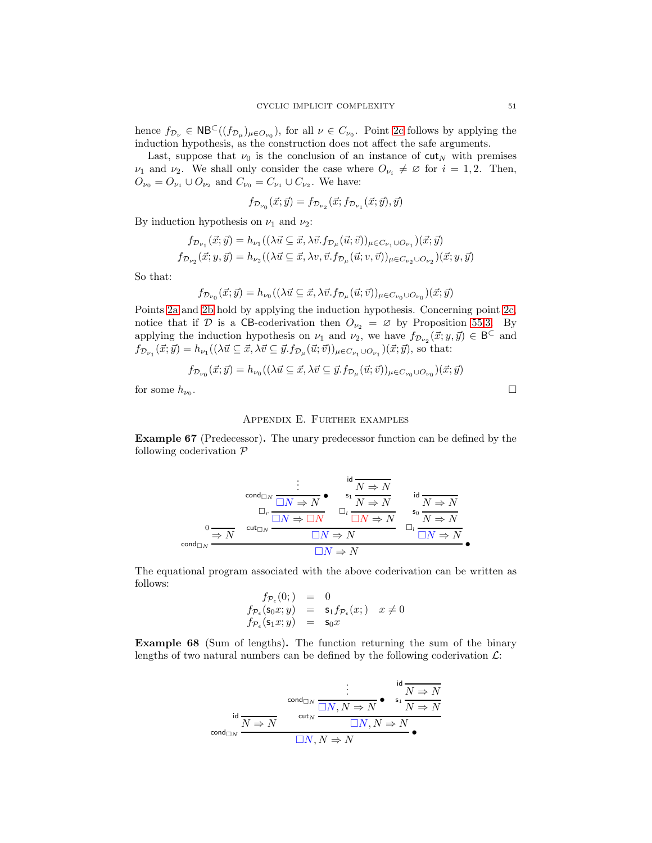hence  $f_{\mathcal{D}_{\nu}} \in \mathsf{NB}^{\mathsf{C}}((f_{\mathcal{D}_{\mu}})_{\mu \in O_{\nu_0}})$ , for all  $\nu \in C_{\nu_0}$ . Point [2c](#page-33-4) follows by applying the induction hypothesis, as the construction does not affect the safe arguments.

Last, suppose that  $\nu_0$  is the conclusion of an instance of cut<sub>N</sub> with premises  $\nu_1$  and  $\nu_2$ . We shall only consider the case where  $O_{\nu_i} \neq \emptyset$  for  $i = 1, 2$ . Then,  $O_{\nu_0} = O_{\nu_1} \cup O_{\nu_2}$  and  $C_{\nu_0} = C_{\nu_1} \cup C_{\nu_2}$ . We have:

$$
f_{\mathcal{D}_{\nu_0}}(\vec{x};\vec{y}) = f_{\mathcal{D}_{\nu_2}}(\vec{x};f_{\mathcal{D}_{\nu_1}}(\vec{x};\vec{y}),\vec{y})
$$

By induction hypothesis on  $\nu_1$  and  $\nu_2$ :

$$
f_{\mathcal{D}_{\nu_1}}(\vec{x};\vec{y}) = h_{\nu_1}((\lambda \vec{u} \subseteq \vec{x}, \lambda \vec{v}.f_{\mathcal{D}_{\mu}}(\vec{u};\vec{v}))_{\mu \in C_{\nu_1} \cup O_{\nu_1}})(\vec{x};\vec{y})
$$
  

$$
f_{\mathcal{D}_{\nu_2}}(\vec{x};y,\vec{y}) = h_{\nu_2}((\lambda \vec{u} \subseteq \vec{x}, \lambda v, \vec{v}.f_{\mathcal{D}_{\mu}}(\vec{u};v,\vec{v}))_{\mu \in C_{\nu_2} \cup O_{\nu_2}})(\vec{x};y,\vec{y})
$$

So that:

$$
f_{\mathcal{D}_{\nu_0}}(\vec{x};\vec{y}) = h_{\nu_0}((\lambda \vec{u} \subseteq \vec{x}, \lambda \vec{v}.f_{\mathcal{D}_{\mu}}(\vec{u};\vec{v}))_{\mu \in C_{\nu_0} \cup O_{\nu_0}})(\vec{x};\vec{y})
$$

Points [2a](#page-33-3) and [2b](#page-33-5) hold by applying the induction hypothesis. Concerning point [2c,](#page-33-4) notice that if D is a CB-coderivation then  $O_{\nu_2} = \emptyset$  by Proposition [55.](#page-32-1)[3.](#page-33-7) By applying the induction hypothesis on  $\nu_1$  and  $\nu_2$ , we have  $f_{\mathcal{D}_{\nu_2}}(\vec{x}; y, \vec{y}) \in \mathsf{B}^{\subset}$  and  $f_{\mathcal{D}_{\nu_1}}(\vec{x};\vec{y}) = h_{\nu_1}((\lambda \vec{u}) \subseteq \vec{x}, \lambda \vec{v} \subseteq \vec{y}.f_{\mathcal{D}_{\mu}}(\vec{u};\vec{v}))_{\mu \in C_{\nu_1} \cup O_{\nu_1}})(\vec{x};\vec{y}),$  so that:

$$
f_{\mathcal{D}_{\nu_0}}(\vec{x};\vec{y}) = h_{\nu_0}((\lambda \vec{u} \subseteq \vec{x}, \lambda \vec{v} \subseteq \vec{y}.f_{\mathcal{D}_{\mu}}(\vec{u};\vec{v}))_{\mu \in C_{\nu_0} \cup O_{\nu_0}})(\vec{x};\vec{y})
$$

<span id="page-51-0"></span>for some  $h_{\nu_0}$ .

#### Appendix E. Further examples

Example 67 (Predecessor). The unary predecessor function can be defined by the following coderivation  $P$ 

$$
\begin{array}{ccccccc} & \vdots & & \operatorname{id}\overline{N\Rightarrow N} \\ & \boxdot_N & \boxdot_N\Rightarrow N & & \operatorname{id}\overline{N\Rightarrow N} \\ & \boxdot_r & \boxdot_N\Rightarrow N & & \boxdot_r & \overline{N\Rightarrow N} \\ & \circledcirc & & \circledrightarrow N & & \circledcirc\overline{N\Rightarrow N} & & \circledcirc\overline{N\Rightarrow N} \\ & \circledcirc\overline{N\Rightarrow N} & & \boxdot_N\Rightarrow N & & \boxdot_r & \overline{N\Rightarrow N} \\ & \circledcirc\overline{N\Rightarrow N} & & \boxdot_N\Rightarrow N & & \boxdot_r & \overline{N\Rightarrow N} \\ & \boxdot_N\Rightarrow N & & & \boxdot_N\Rightarrow N & & \end{array}
$$

The equational program associated with the above coderivation can be written as follows:

$$
f_{\mathcal{P}_{\epsilon}}(0;)=0
$$
  
\n
$$
f_{\mathcal{P}_{\epsilon}}(s_0x; y) = s_1 f_{\mathcal{P}_{\epsilon}}(x;) \quad x \neq 0
$$
  
\n
$$
f_{\mathcal{P}_{\epsilon}}(s_1x; y) = s_0x
$$

<span id="page-51-1"></span>Example 68 (Sum of lengths). The function returning the sum of the binary lengths of two natural numbers can be defined by the following coderivation  $\mathcal{L}$ :

$$
\vdots \qquad \qquad \vdots \qquad \qquad \vdots \qquad \qquad \vdots \qquad \qquad \vdots \qquad \qquad \vdots \qquad \qquad \vdots \qquad \qquad \vdots \qquad \qquad \vdots \qquad \qquad \vdots \qquad \qquad \vdots \qquad \qquad \vdots \qquad \qquad \vdots \qquad \qquad \vdots \qquad \qquad \vdots \qquad \qquad \vdots \qquad \qquad \vdots \qquad \qquad \vdots \qquad \qquad \vdots \qquad \qquad \vdots \qquad \qquad \vdots \qquad \qquad \vdots \qquad \qquad \vdots \qquad \qquad \vdots \qquad \qquad \vdots \qquad \qquad \vdots \qquad \qquad \vdots \qquad \qquad \vdots \qquad \qquad \vdots \qquad \qquad \vdots \qquad \qquad \vdots \qquad \qquad \vdots \qquad \qquad \vdots \qquad \qquad \vdots \qquad \qquad \vdots \qquad \qquad \vdots \qquad \qquad \vdots \qquad \qquad \vdots \qquad \qquad \vdots \qquad \qquad \vdots \qquad \qquad \vdots \qquad \qquad \vdots \qquad \qquad \vdots \qquad \qquad \vdots \qquad \qquad \vdots \qquad \qquad \vdots \qquad \qquad \vdots \qquad \qquad \vdots \qquad \qquad \vdots \qquad \qquad \vdots \qquad \qquad \vdots \qquad \qquad \vdots \qquad \qquad \vdots \qquad \qquad \vdots \qquad \qquad \vdots \qquad \qquad \vdots \qquad \qquad \vdots \qquad \qquad \vdots \qquad \qquad \vdots \qquad \qquad \vdots \qquad \qquad \vdots \qquad \qquad \vdots \qquad \qquad \vdots \qquad \qquad \vdots \qquad \qquad \vdots \qquad \qquad \vdots \qquad \qquad \vdots \qquad \qquad \vdots \qquad \qquad \vdots \qquad \qquad \vdots \qquad \qquad \vdots \qquad \qquad \vdots \qquad \qquad \vdots \qquad \qquad \vdots \qquad \qquad \qquad \vdots \qquad \qquad \qquad \vdots \qquad \qquad \qquad \vdots \qquad \qquad \qquad \vdots \qquad \qquad \qquad \qquad \vdots \qquad \qquad \qquad \qquad \vdots \qquad \qquad \qquad \vdots \qquad \qquad \qquad \
$$

.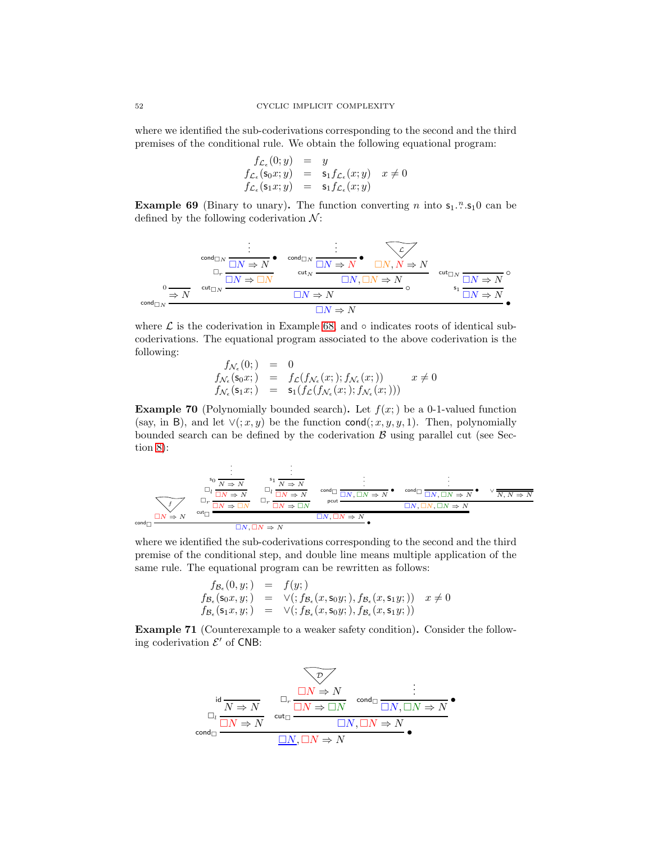where we identified the sub-coderivations corresponding to the second and the third premises of the conditional rule. We obtain the following equational program:

$$
f_{\mathcal{L}_{\epsilon}}(0; y) = y
$$
  
\n
$$
f_{\mathcal{L}_{\epsilon}}(\mathsf{s}_0 x; y) = \mathsf{s}_1 f_{\mathcal{L}_{\epsilon}}(x; y) \quad x \neq 0
$$
  
\n
$$
f_{\mathcal{L}_{\epsilon}}(\mathsf{s}_1 x; y) = \mathsf{s}_1 f_{\mathcal{L}_{\epsilon}}(x; y)
$$

**Example 69** (Binary to unary). The function converting n into  $s_1$ .<sup>n</sup>.s<sub>1</sub>0 can be defined by the following coderivation  $\mathcal{N}$ :

0 ⇒ N . . . cond<sup>N</sup> • N ⇒ N <sup>r</sup> N ⇒ N . . . cond<sup>N</sup> • N ⇒ N L N, N ⇒ N cut<sup>N</sup> N, N ⇒ N cut<sup>N</sup> ◦ N ⇒ N cut<sup>N</sup> ◦ N ⇒ N s1 N ⇒ N cond<sup>N</sup> • N ⇒ N

where  $\mathcal L$  is the coderivation in Example [68,](#page-51-1) and  $\circ$  indicates roots of identical subcoderivations. The equational program associated to the above coderivation is the following:

$$
\begin{array}{rcl}\nf_{\mathcal{N}_{\epsilon}}(0;) & = & 0 \\
f_{\mathcal{N}_{\epsilon}}(\mathsf{s}_0 x;) & = & f_{\mathcal{L}}(f_{\mathcal{N}_{\epsilon}}(x;); f_{\mathcal{N}_{\epsilon}}(x;)) \\
f_{\mathcal{N}_{\epsilon}}(\mathsf{s}_1 x;) & = & \mathsf{s}_1(f_{\mathcal{L}}(f_{\mathcal{N}_{\epsilon}}(x;); f_{\mathcal{N}_{\epsilon}}(x;))) \\
\end{array} \quad x \neq 0
$$

**Example 70** (Polynomially bounded search). Let  $f(x; )$  be a 0-1-valued function (say, in B), and let  $\vee$ (; x, y) be the function cond(; x, y, y, 1). Then, polynomially bounded search can be defined by the coderivation  $\beta$  using parallel cut (see Section [8\)](#page-35-2):

f N ⇒ N . . <sup>s</sup><sup>0</sup> <sup>N</sup> <sup>⇒</sup> <sup>N</sup> <sup>l</sup> <sup>N</sup> <sup>⇒</sup> <sup>N</sup> r N ⇒ N . . <sup>s</sup><sup>1</sup> <sup>N</sup> <sup>⇒</sup> <sup>N</sup> <sup>l</sup> <sup>N</sup> <sup>⇒</sup> <sup>N</sup> r N ⇒ N . . . cond • N, N ⇒ N . . . cond • N, N ⇒ N ∨ N, N ⇒ N pcut N, N, N ⇒ N cut N, <sup>N</sup> <sup>⇒</sup> <sup>N</sup> cond • N, N ⇒ N

where we identified the sub-coderivations corresponding to the second and the third premise of the conditional step, and double line means multiple application of the same rule. The equational program can be rewritten as follows:

$$
f_{\mathcal{B}_{\epsilon}}(0, y;) = f(y;)
$$
  
\n
$$
f_{\mathcal{B}_{\epsilon}}(\mathsf{s}_0 x, y;) = \vee (f_{\mathcal{B}_{\epsilon}}(x, \mathsf{s}_0 y;), f_{\mathcal{B}_{\epsilon}}(x, \mathsf{s}_1 y;)) x \neq 0
$$
  
\n
$$
f_{\mathcal{B}_{\epsilon}}(\mathsf{s}_1 x, y;) = \vee (f_{\mathcal{B}_{\epsilon}}(x, \mathsf{s}_0 y;), f_{\mathcal{B}_{\epsilon}}(x, \mathsf{s}_1 y;))
$$

Example 71 (Counterexample to a weaker safety condition). Consider the following coderivation  $\mathcal{E}'$  of CNB:

$$
\begin{array}{ccc}\n\text{id} & \longrightarrow & \text{and} & \text{and} & \text{and} & \text{and} & \text{and} & \text{and} & \text{and} & \text{and} & \text{and} & \text{and} & \text{and} & \text{and} & \text{and} & \text{and} & \text{and} & \text{and} & \text{and} & \text{and} & \text{and} & \text{and} & \text{and} & \text{and} & \text{and} & \text{and} & \text{and} & \text{and} & \text{and} & \text{and} & \text{and} & \text{and} & \text{and} & \text{and} & \text{and} & \text{and} & \text{and} & \text{and} & \text{and} & \text{and} & \text{and} & \text{and} & \text{and} & \text{and} & \text{and} & \text{and} & \text{and} & \text{and} & \text{and} & \text{and} & \text{and} & \text{and} & \text{and} & \text{and} & \text{and} & \text{and} & \text{and} & \text{and} & \text{and} & \text{and} & \text{and} & \text{and} & \text{and} & \text{and} & \text{and} & \text{and} & \text{and} & \text{and} & \text{and} & \text{and} & \text{and} & \text{and} & \text{and} & \text{and} & \text{and} & \text{and} & \text{and} & \text{and} & \text{and} & \text{and} & \text{and} & \text{and} & \text{and} & \text{and} & \text{and} & \text{and} & \text{and} & \text{and} & \text{and} & \text{and} & \text{and} & \text{and} & \text{and} & \text{and} & \text{and} & \text{and} & \text{and} & \text{and} & \text{and} & \text{and} & \text{and} & \text{and} & \text{and} & \text{and} & \text{and} & \text{and} & \text{and} & \text{and} & \text{and} & \text{and} & \text{and} & \text{and} & \text{and} & \text{and} & \text{and} & \text{and} & \text{and} & \text{and} & \text{and} & \text{and} & \text{and} & \text{and} & \text{and} & \text{and} & \text{and} & \text{and} &
$$